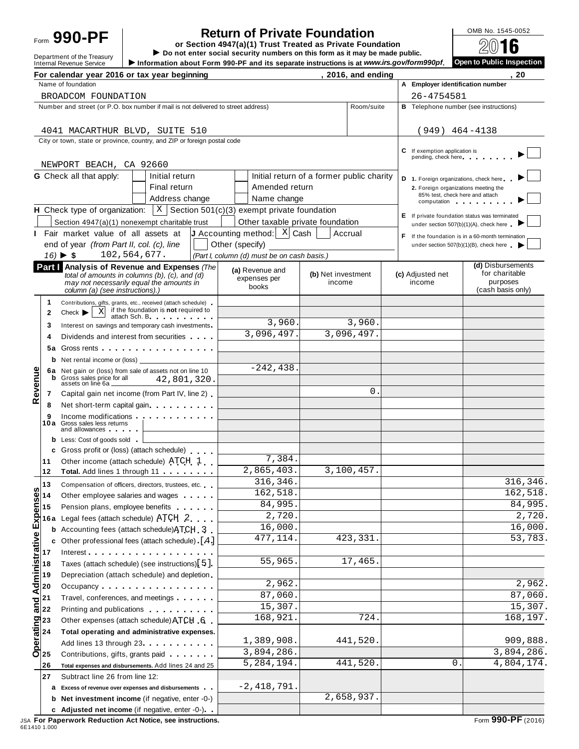**Return of Private Foundation**<br> **Return 4947(a)(1)** Trust Treated as Private Foundation<br> **EXECUTE 10** 2001 Form  $990 - PF$ <br>  $\begin{array}{r} \hline \text{Perp} \\ \hline \text{Perp} \\ \hline \text{Perp} \\ \hline \text{Perp} \\ \hline \end{array}$  **Exaction 4947(a)(1)** Trust Treated as Private Foundation<br>
Department of the Treasury<br>  $\begin{array}{r} \hline \text{OMB NO. 1545-0052} \\ \hline \text{PO} \\ \hline \end{array}$ 

Department of the Treasury **Department of the Treasury Department of the Treasury Department of the Treasury Department of the Treasury Department of the Treasury Department of the Treasury Department on the term 990-PF an** 

|                                                                | For calendar year 2016 or tax year beginning                                                                                                                                                                                                                                                   |                                                                                                   | Principle and the contract of the contract of the copyright models of the contract of the contract of the contract of the contract of the contract of the contract of the contract of the contract of the contract of the cont |                                           | , 2016, and ending |                                                            | 20                                                                                      |
|----------------------------------------------------------------|------------------------------------------------------------------------------------------------------------------------------------------------------------------------------------------------------------------------------------------------------------------------------------------------|---------------------------------------------------------------------------------------------------|--------------------------------------------------------------------------------------------------------------------------------------------------------------------------------------------------------------------------------|-------------------------------------------|--------------------|------------------------------------------------------------|-----------------------------------------------------------------------------------------|
|                                                                | Name of foundation                                                                                                                                                                                                                                                                             |                                                                                                   |                                                                                                                                                                                                                                |                                           |                    | A Employer identification number                           |                                                                                         |
|                                                                | BROADCOM FOUNDATION                                                                                                                                                                                                                                                                            |                                                                                                   |                                                                                                                                                                                                                                |                                           |                    | 26-4754581                                                 |                                                                                         |
|                                                                | Number and street (or P.O. box number if mail is not delivered to street address)                                                                                                                                                                                                              |                                                                                                   |                                                                                                                                                                                                                                |                                           | Room/suite         | <b>B</b> Telephone number (see instructions)               |                                                                                         |
|                                                                | 4041 MACARTHUR BLVD, SUITE 510                                                                                                                                                                                                                                                                 |                                                                                                   |                                                                                                                                                                                                                                |                                           |                    | $(949)$ 464-4138                                           |                                                                                         |
|                                                                | City or town, state or province, country, and ZIP or foreign postal code                                                                                                                                                                                                                       |                                                                                                   |                                                                                                                                                                                                                                |                                           |                    | C If exemption application is<br>pending, check here       |                                                                                         |
|                                                                | NEWPORT BEACH, CA 92660                                                                                                                                                                                                                                                                        |                                                                                                   |                                                                                                                                                                                                                                |                                           |                    |                                                            |                                                                                         |
|                                                                | <b>G</b> Check all that apply:                                                                                                                                                                                                                                                                 | Initial return                                                                                    |                                                                                                                                                                                                                                | Initial return of a former public charity |                    | D 1. Foreign organizations, check here                     |                                                                                         |
|                                                                |                                                                                                                                                                                                                                                                                                | Final return                                                                                      | Amended return                                                                                                                                                                                                                 |                                           |                    | 2. Foreign organizations meeting the                       |                                                                                         |
|                                                                |                                                                                                                                                                                                                                                                                                | Address change                                                                                    | Name change                                                                                                                                                                                                                    |                                           |                    | 85% test, check here and attach<br>computation computation |                                                                                         |
|                                                                | <b>H</b> Check type of organization: $X \mid S$ ection 501(c)(3) exempt private foundation                                                                                                                                                                                                     |                                                                                                   |                                                                                                                                                                                                                                |                                           |                    |                                                            |                                                                                         |
|                                                                | Section 4947(a)(1) nonexempt charitable trust                                                                                                                                                                                                                                                  |                                                                                                   | Other taxable private foundation                                                                                                                                                                                               |                                           |                    |                                                            | E If private foundation status was terminated<br>under section 507(b)(1)(A), check here |
| п.                                                             | Fair market value of all assets at                                                                                                                                                                                                                                                             |                                                                                                   | <b>J</b> Accounting method: $\begin{bmatrix} x \\ y \end{bmatrix}$ Cash                                                                                                                                                        | Accrual                                   |                    |                                                            | F If the foundation is in a 60-month termination                                        |
|                                                                | end of year (from Part II, col. (c), line                                                                                                                                                                                                                                                      |                                                                                                   | Other (specify)                                                                                                                                                                                                                |                                           |                    |                                                            | under section $507(b)(1)(B)$ , check here $\triangleright$                              |
|                                                                | $16) \triangleright $ \$                                                                                                                                                                                                                                                                       | 102,564,677.                                                                                      | (Part I, column (d) must be on cash basis.)                                                                                                                                                                                    |                                           |                    |                                                            |                                                                                         |
|                                                                | Part   Analysis of Revenue and Expenses (The<br>column (a) (see instructions).)                                                                                                                                                                                                                | total of amounts in columns $(b)$ , $(c)$ , and $(d)$<br>may not necessarily equal the amounts in | (a) Revenue and<br>expenses per<br>books                                                                                                                                                                                       | (b) Net investment<br>income              |                    | (c) Adjusted net<br>income                                 | (d) Disbursements<br>for charitable<br>purposes<br>(cash basis only)                    |
| 1.                                                             |                                                                                                                                                                                                                                                                                                |                                                                                                   |                                                                                                                                                                                                                                |                                           |                    |                                                            |                                                                                         |
| 2                                                              | Contributions, gifts, grants, etc., received (attach schedule)<br>Check $\blacktriangleright$                                                                                                                                                                                                  | $\overline{x}$ if the foundation is <b>not</b> required to                                        |                                                                                                                                                                                                                                |                                           |                    |                                                            |                                                                                         |
|                                                                |                                                                                                                                                                                                                                                                                                |                                                                                                   | 3,960.                                                                                                                                                                                                                         |                                           | 3,960.             |                                                            |                                                                                         |
| 3<br>4                                                         | Interest on savings and temporary cash investments<br>Dividends and interest from securities                                                                                                                                                                                                   |                                                                                                   | 3,096,497.                                                                                                                                                                                                                     |                                           | 3,096,497.         |                                                            |                                                                                         |
| 5а                                                             |                                                                                                                                                                                                                                                                                                |                                                                                                   |                                                                                                                                                                                                                                |                                           |                    |                                                            |                                                                                         |
|                                                                |                                                                                                                                                                                                                                                                                                |                                                                                                   |                                                                                                                                                                                                                                |                                           |                    |                                                            |                                                                                         |
|                                                                | Net rental income or (loss)<br>b                                                                                                                                                                                                                                                               |                                                                                                   | $-242, 438.$                                                                                                                                                                                                                   |                                           |                    |                                                            |                                                                                         |
| Revenue                                                        | 6a Net gain or (loss) from sale of assets not on line 10<br>Gross sales price for all<br>b                                                                                                                                                                                                     | 42,801,320.                                                                                       |                                                                                                                                                                                                                                |                                           |                    |                                                            |                                                                                         |
|                                                                | assets on line 6a                                                                                                                                                                                                                                                                              |                                                                                                   |                                                                                                                                                                                                                                |                                           | $\Omega$ .         |                                                            |                                                                                         |
| 7                                                              | Capital gain net income (from Part IV, line 2)                                                                                                                                                                                                                                                 |                                                                                                   |                                                                                                                                                                                                                                |                                           |                    |                                                            |                                                                                         |
| 8                                                              | Net short-term capital gain                                                                                                                                                                                                                                                                    |                                                                                                   |                                                                                                                                                                                                                                |                                           |                    |                                                            |                                                                                         |
| 9                                                              | Income modifications expansion and the set of the set of the set of the set of the set of the set of the set of the set of the set of the set of the set of the set of the set of the set of the set of the set of the set of<br>10a Gross sales less returns<br>and allowances <b>and all</b> |                                                                                                   |                                                                                                                                                                                                                                |                                           |                    |                                                            |                                                                                         |
|                                                                | <b>b</b> Less: Cost of goods sold                                                                                                                                                                                                                                                              |                                                                                                   |                                                                                                                                                                                                                                |                                           |                    |                                                            |                                                                                         |
|                                                                | Gross profit or (loss) (attach schedule)<br>с                                                                                                                                                                                                                                                  |                                                                                                   |                                                                                                                                                                                                                                |                                           |                    |                                                            |                                                                                         |
| 11                                                             | Other income (attach schedule) ATCH 1                                                                                                                                                                                                                                                          |                                                                                                   | 7,384.                                                                                                                                                                                                                         |                                           |                    |                                                            |                                                                                         |
| 12                                                             | Total. Add lines 1 through 11                                                                                                                                                                                                                                                                  |                                                                                                   | 2,865,403.                                                                                                                                                                                                                     |                                           | 3,100,457.         |                                                            |                                                                                         |
| 13                                                             | Compensation of officers, directors, trustees, etc.                                                                                                                                                                                                                                            |                                                                                                   | 316,346.                                                                                                                                                                                                                       |                                           |                    |                                                            | 316,346.                                                                                |
| 14                                                             | Other employee salaries and wages                                                                                                                                                                                                                                                              |                                                                                                   | 162,518                                                                                                                                                                                                                        |                                           |                    |                                                            | 162,518.                                                                                |
| 15                                                             | Pension plans, employee benefits                                                                                                                                                                                                                                                               |                                                                                                   | 84,995                                                                                                                                                                                                                         |                                           |                    |                                                            | 84,995.<br>$\overline{2,720}$ .                                                         |
| 16 a                                                           | Legal fees (attach schedule) ATCH 2                                                                                                                                                                                                                                                            |                                                                                                   | 2,720.                                                                                                                                                                                                                         |                                           |                    |                                                            |                                                                                         |
|                                                                | Accounting fees (attach schedule) ATCH 3<br>b                                                                                                                                                                                                                                                  |                                                                                                   | 16,000.                                                                                                                                                                                                                        |                                           |                    |                                                            | 16,000.                                                                                 |
|                                                                | Other professional fees (attach schedule) [4]<br>c                                                                                                                                                                                                                                             |                                                                                                   | 477,114.                                                                                                                                                                                                                       |                                           | 423,331.           |                                                            | 53,783.                                                                                 |
| 17                                                             | $Interest$ ,                                                                                                                                                                                                                                                                                   |                                                                                                   |                                                                                                                                                                                                                                |                                           |                    |                                                            |                                                                                         |
| <b>Administrative Expenses</b><br>18                           | Taxes (attach schedule) (see instructions) [5]                                                                                                                                                                                                                                                 |                                                                                                   | 55,965.                                                                                                                                                                                                                        |                                           | 17,465.            |                                                            |                                                                                         |
| 19                                                             | Depreciation (attach schedule) and depletion                                                                                                                                                                                                                                                   |                                                                                                   |                                                                                                                                                                                                                                |                                           |                    |                                                            | 2,962.                                                                                  |
| 20                                                             | Occupancy                                                                                                                                                                                                                                                                                      |                                                                                                   | 2,962.                                                                                                                                                                                                                         |                                           |                    |                                                            | 87,060.                                                                                 |
| $\frac{1}{\overline{6}}\begin{vmatrix} 21 \\ 22 \end{vmatrix}$ | Travel, conferences, and meetings                                                                                                                                                                                                                                                              |                                                                                                   | 87,060.                                                                                                                                                                                                                        |                                           |                    |                                                            | 15,307.                                                                                 |
|                                                                | Printing and publications <b>Community</b> Printing and publications                                                                                                                                                                                                                           |                                                                                                   | 15,307.                                                                                                                                                                                                                        |                                           | 724.               |                                                            | 168,197.                                                                                |
|                                                                | Other expenses (attach schedule) ATCH 6                                                                                                                                                                                                                                                        |                                                                                                   | 168,921.                                                                                                                                                                                                                       |                                           |                    |                                                            |                                                                                         |
|                                                                | Total operating and administrative expenses.                                                                                                                                                                                                                                                   |                                                                                                   |                                                                                                                                                                                                                                |                                           |                    |                                                            |                                                                                         |
|                                                                | Add lines 13 through 23                                                                                                                                                                                                                                                                        |                                                                                                   | 1,389,908.                                                                                                                                                                                                                     |                                           | 441,520.           |                                                            | 909,888.                                                                                |
| $\overline{O}$ 25                                              | Contributions, gifts, grants paid                                                                                                                                                                                                                                                              |                                                                                                   | 3,894,286.                                                                                                                                                                                                                     |                                           |                    |                                                            | 3,894,286.                                                                              |
| 26                                                             | Total expenses and disbursements. Add lines 24 and 25                                                                                                                                                                                                                                          |                                                                                                   | 5,284,194.                                                                                                                                                                                                                     |                                           | 441,520.           | $\mathsf{O}$ .                                             | 4,804,174.                                                                              |
| 27                                                             | Subtract line 26 from line 12:                                                                                                                                                                                                                                                                 |                                                                                                   |                                                                                                                                                                                                                                |                                           |                    |                                                            |                                                                                         |
|                                                                | Excess of revenue over expenses and disbursements<br>а                                                                                                                                                                                                                                         |                                                                                                   | $-2,418,791.$                                                                                                                                                                                                                  |                                           |                    |                                                            |                                                                                         |
|                                                                | Net investment income (if negative, enter -0-)<br>b                                                                                                                                                                                                                                            |                                                                                                   |                                                                                                                                                                                                                                |                                           | 2,658,937.         |                                                            |                                                                                         |
|                                                                | c Adjusted net income (if negative, enter -0-)                                                                                                                                                                                                                                                 |                                                                                                   |                                                                                                                                                                                                                                |                                           |                    |                                                            |                                                                                         |

JSA **For Paperwork Reduction Act Notice, see instructions.** Form **990-PF** (2016) 6E1410 1.000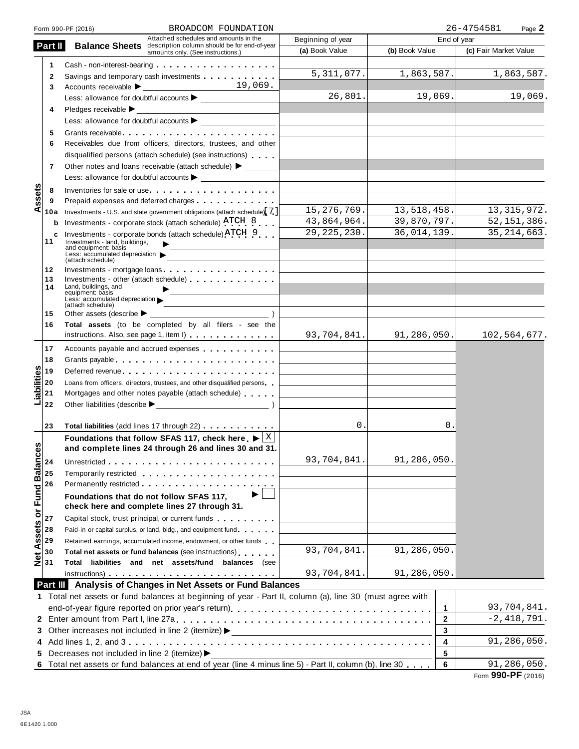|                        |          | BROADCOM FOUNDATION<br>Form 990-PF (2016)                                                                                                                                                                                      |                                                      | 26-4754581<br>Page 2    |                       |
|------------------------|----------|--------------------------------------------------------------------------------------------------------------------------------------------------------------------------------------------------------------------------------|------------------------------------------------------|-------------------------|-----------------------|
|                        |          | Attached schedules and amounts in the                                                                                                                                                                                          | Beginning of year                                    | End of year             |                       |
|                        | Part II  | <b>Balance Sheets</b> description column should be for end-of-year<br>amounts only. (See instructions.)                                                                                                                        | (a) Book Value                                       | (b) Book Value          | (c) Fair Market Value |
|                        | 1        | Cash - non-interest-bearing entitled and the set of the set of the set of the set of the set of the set of the                                                                                                                 |                                                      |                         |                       |
|                        | 2        | Savings and temporary cash investments                                                                                                                                                                                         | 5,311,077.                                           | 1,863,587.              | 1,863,587.            |
|                        | 3        | 19,069.<br>Accounts receivable                                                                                                                                                                                                 |                                                      |                         |                       |
|                        |          |                                                                                                                                                                                                                                | 26,801.                                              | 19,069.                 | 19,069.               |
|                        | 4        | Pledges receivable ▶                                                                                                                                                                                                           |                                                      |                         |                       |
|                        |          |                                                                                                                                                                                                                                |                                                      |                         |                       |
|                        | 5        |                                                                                                                                                                                                                                |                                                      |                         |                       |
|                        | 6        | Receivables due from officers, directors, trustees, and other                                                                                                                                                                  |                                                      |                         |                       |
|                        |          | disqualified persons (attach schedule) (see instructions)                                                                                                                                                                      |                                                      |                         |                       |
|                        | 7        | Other notes and loans receivable (attach schedule) > ______                                                                                                                                                                    |                                                      |                         |                       |
|                        |          |                                                                                                                                                                                                                                |                                                      |                         |                       |
|                        |          |                                                                                                                                                                                                                                |                                                      |                         |                       |
| ssets                  | 8        | Inventories for sale or use                                                                                                                                                                                                    |                                                      |                         |                       |
| ⋖                      | 9<br>10a | Prepaid expenses and deferred charges <b>Expenses Expenses Expenses EXP.</b><br>Investments - U.S. and state government obligations (attach schedule) 7 ]                                                                      | 15, 276, 769.                                        | 13,518,458.             | 13, 315, 972.         |
|                        |          | Investments - corporate stock (attach schedule) ATCH 8                                                                                                                                                                         | 43,864,964.                                          | 39,870,797.             | 52, 151, 386.         |
|                        | b        | Investments - corporate bonds (attach schedule) ATCH 9                                                                                                                                                                         | 29, 225, 230.                                        | 36,014,139.             | 35, 214, 663.         |
|                        | с<br>11  | Investments - land, buildings,                                                                                                                                                                                                 |                                                      |                         |                       |
|                        |          | and equipment: basis<br>Less: accumulated depreciation                                                                                                                                                                         |                                                      |                         |                       |
|                        |          | (attach schedule)                                                                                                                                                                                                              |                                                      |                         |                       |
|                        | 12<br>13 | Investments - mortgage loans<br>Investments - other (attach schedule)                                                                                                                                                          |                                                      |                         |                       |
|                        | 14       | Land, buildings, and                                                                                                                                                                                                           |                                                      |                         |                       |
|                        |          | equipment: basis<br>Less: accumulated depreciation                                                                                                                                                                             |                                                      |                         |                       |
|                        |          | (attach schedule)                                                                                                                                                                                                              |                                                      |                         |                       |
|                        | 15<br>16 | Other assets (describe $\blacktriangleright$<br>Total assets (to be completed by all filers - see the                                                                                                                          |                                                      |                         |                       |
|                        |          | instructions. Also, see page 1, item I)                                                                                                                                                                                        | 93,704,841.                                          | 91, 286, 050.           | 102,564,677.          |
|                        |          |                                                                                                                                                                                                                                |                                                      |                         |                       |
|                        | 17       | Accounts payable and accrued expenses                                                                                                                                                                                          |                                                      |                         |                       |
|                        | 18       | Grants payable entering the state of the state of the state of the state of the state of the state of the state of the state of the state of the state of the state of the state of the state of the state of the state of the |                                                      |                         |                       |
|                        | 19       | Deferred revenue                                                                                                                                                                                                               |                                                      |                         |                       |
|                        | 20       | Loans from officers, directors, trustees, and other disqualified persons                                                                                                                                                       |                                                      |                         |                       |
| Liabilities            | 21       | Mortgages and other notes payable (attach schedule)                                                                                                                                                                            |                                                      |                         |                       |
|                        | 22       |                                                                                                                                                                                                                                |                                                      |                         |                       |
|                        | 23       | Total liabilities (add lines 17 through 22)                                                                                                                                                                                    | 0.                                                   | О.                      |                       |
|                        |          | Foundations that follow SFAS 117, check here $\blacktriangleright$ $\lfloor$ X                                                                                                                                                 |                                                      |                         |                       |
| U)                     |          | and complete lines 24 through 26 and lines 30 and 31                                                                                                                                                                           |                                                      |                         |                       |
|                        |          |                                                                                                                                                                                                                                | 93,704,841.                                          | 91,286,050.             |                       |
|                        | 24       |                                                                                                                                                                                                                                |                                                      |                         |                       |
|                        | 25       | Temporarily restricted entertainment of the state of the state of the state of the state of the state of the state of the state of the state of the state of the state of the state of the state of the state of the state of  |                                                      |                         |                       |
|                        | 26       | ▶                                                                                                                                                                                                                              |                                                      |                         |                       |
|                        |          | Foundations that do not follow SFAS 117,                                                                                                                                                                                       |                                                      |                         |                       |
| Assets or Fund Balance | 27       | check here and complete lines 27 through 31.                                                                                                                                                                                   |                                                      |                         |                       |
|                        | 28       | Capital stock, trust principal, or current funds                                                                                                                                                                               |                                                      |                         |                       |
|                        | 29       | Paid-in or capital surplus, or land, bldg., and equipment fund<br>Retained earnings, accumulated income, endowment, or other funds                                                                                             |                                                      |                         |                       |
|                        | 30       |                                                                                                                                                                                                                                | 93,704,841.                                          | 91,286,050.             |                       |
| $\frac{1}{2}$          | 31       | Total net assets or fund balances (see instructions)<br>Total liabilities and net assets/fund balances (see                                                                                                                    |                                                      |                         |                       |
|                        |          |                                                                                                                                                                                                                                | 93,704,841.                                          | 91,286,050.             |                       |
|                        |          | Part III Analysis of Changes in Net Assets or Fund Balances                                                                                                                                                                    |                                                      |                         |                       |
|                        |          | 1 Total net assets or fund balances at beginning of year - Part II, column (a), line 30 (must agree with                                                                                                                       |                                                      |                         |                       |
|                        |          |                                                                                                                                                                                                                                |                                                      | 1                       | 93,704,841.           |
|                        |          |                                                                                                                                                                                                                                |                                                      | $\mathbf{2}$            | $-2,418,791.$         |
|                        |          | 3 Other increases not included in line 2 (itemize) >                                                                                                                                                                           |                                                      | 3                       |                       |
|                        |          |                                                                                                                                                                                                                                | <u> 1989 - Johann Barn, fransk politik (d. 1989)</u> | $\overline{\mathbf{A}}$ | 91,286,050.           |
|                        |          | 5 Decreases not included in line 2 (itemize) >                                                                                                                                                                                 |                                                      | 5                       |                       |
|                        |          | Total net assets or fund balances at end of year (line 4 minus line 5) - Part II, column (b), line 30                                                                                                                          |                                                      | 6                       | 91,286,050.           |
|                        |          |                                                                                                                                                                                                                                |                                                      |                         |                       |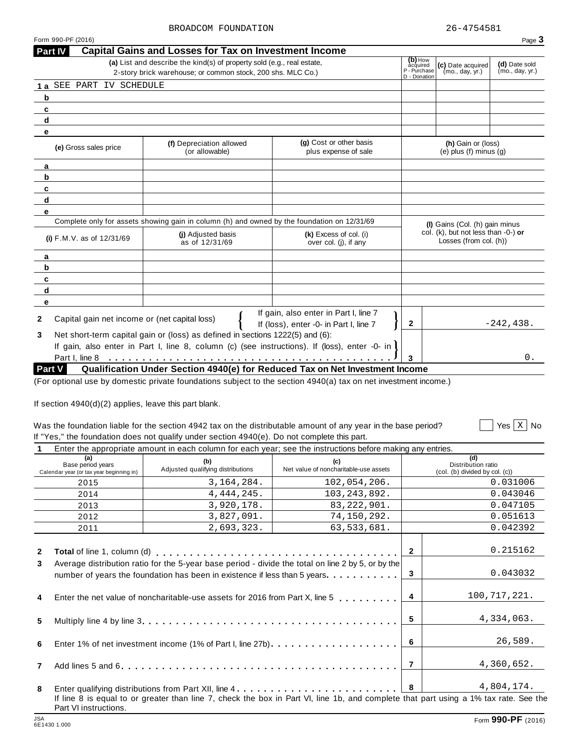**Part IV Capital Gains and Losses for Tax on Investment Income**

 $\sqrt{X}$  Yes  $\boxed{X}$  No

|                               | (e) Gross sales price                         | (f) Depreciation allowed<br>(or allowable)                                                                      | (g) Cost or other basis<br>plus expense of sale                                 |              | (h) Gain or (loss)<br>(e) plus $(f)$ minus $(g)$                 |
|-------------------------------|-----------------------------------------------|-----------------------------------------------------------------------------------------------------------------|---------------------------------------------------------------------------------|--------------|------------------------------------------------------------------|
| a                             |                                               |                                                                                                                 |                                                                                 |              |                                                                  |
| b                             |                                               |                                                                                                                 |                                                                                 |              |                                                                  |
| с                             |                                               |                                                                                                                 |                                                                                 |              |                                                                  |
| d                             |                                               |                                                                                                                 |                                                                                 |              |                                                                  |
| е                             |                                               |                                                                                                                 |                                                                                 |              |                                                                  |
|                               |                                               | Complete only for assets showing gain in column (h) and owned by the foundation on 12/31/69                     |                                                                                 |              | (I) Gains (Col. (h) gain minus                                   |
| (i) $F.M.V.$ as of $12/31/69$ |                                               | (i) Adjusted basis<br>as of 12/31/69                                                                            | (k) Excess of col. (i)<br>over col. (i), if any                                 |              | col. (k), but not less than $-0$ -) or<br>Losses (from col. (h)) |
| a                             |                                               |                                                                                                                 |                                                                                 |              |                                                                  |
| b                             |                                               |                                                                                                                 |                                                                                 |              |                                                                  |
| c                             |                                               |                                                                                                                 |                                                                                 |              |                                                                  |
| d                             |                                               |                                                                                                                 |                                                                                 |              |                                                                  |
| е                             |                                               |                                                                                                                 |                                                                                 |              |                                                                  |
| $\mathbf{2}$                  | Capital gain net income or (net capital loss) |                                                                                                                 | If gain, also enter in Part I, line 7<br>If (loss), enter -0- in Part I, line 7 | $\mathbf{2}$ | $-242, 438.$                                                     |
| 3                             |                                               | Net short-term capital gain or (loss) as defined in sections 1222(5) and (6):                                   |                                                                                 |              |                                                                  |
|                               |                                               | If gain, also enter in Part I, line 8, column (c) (see instructions). If (loss), enter -0- in I                 |                                                                                 |              |                                                                  |
|                               |                                               |                                                                                                                 |                                                                                 | 3            | 0.                                                               |
|                               | Part V                                        | Qualification Under Section 4940(e) for Reduced Tax on Net Investment Income                                    |                                                                                 |              |                                                                  |
|                               |                                               | (For optional use by domestic private foundations subject to the section 4940(a) tax on net investment income.) |                                                                                 |              |                                                                  |

(a) List and describe the kind(s) of property sold (e.g., real estate,  $\begin{bmatrix} \textbf{(b)} & \textbf{b} & \textbf{c} \\ \textbf{c} & \textbf{d} & \textbf{c} \end{bmatrix}$  Date acquired  $\begin{bmatrix} \textbf{c} & \textbf{d} & \textbf{c} \\ \textbf{c} & \textbf{d} & \textbf{c} \\ \textbf{c} & \textbf{d} & \textbf{c} \end{bmatrix}$  Date

2-story brick warehouse; or common stock, 200 shs. MLC Co.) <br>D - Donation D - Donation D - Donation D - Donation D - Donation D - Donation D - Donation D - Donation D - Do

If section 4940(d)(2) applies, leave this part blank.

**1 a** SEE PART IV SCHEDULE

**b c d e**

# Was the foundation liable for the section 4942 tax on the distributable amount of any year in the base period? If "Yes," the foundation does not qualify under section 4940(e). Do not complete this part. Yes No

|  |  | Enter the appropriate amount in each column for each year; see the instructions before making any entries. |
|--|--|------------------------------------------------------------------------------------------------------------|

| (a)<br>Base period years<br>Calendar year (or tax year beginning in) |                                                                                                                                                                                         | (b)<br>(c)<br>Net value of noncharitable-use assets<br>Adjusted qualifying distributions                                             |                |                | (d)<br>Distribution ratio<br>(col. (b) divided by col. (c)) |
|----------------------------------------------------------------------|-----------------------------------------------------------------------------------------------------------------------------------------------------------------------------------------|--------------------------------------------------------------------------------------------------------------------------------------|----------------|----------------|-------------------------------------------------------------|
|                                                                      | 2015                                                                                                                                                                                    | 3, 164, 284.                                                                                                                         | 102,054,206.   |                | 0.031006                                                    |
|                                                                      | 2014                                                                                                                                                                                    | 4, 444, 245.                                                                                                                         | 103, 243, 892. |                | 0.043046                                                    |
|                                                                      | 2013                                                                                                                                                                                    | 3,920,178.                                                                                                                           | 83, 222, 901.  |                | 0.047105                                                    |
|                                                                      | 2012                                                                                                                                                                                    | 3,827,091.                                                                                                                           | 74,150,292.    |                | 0.051613                                                    |
|                                                                      | 2011                                                                                                                                                                                    | 2,693,323.                                                                                                                           | 63,533,681.    |                | 0.042392                                                    |
| $\mathbf{2}$<br>3                                                    |                                                                                                                                                                                         |                                                                                                                                      |                | $\mathbf{2}$   | 0.215162                                                    |
|                                                                      | Average distribution ratio for the 5-year base period - divide the total on line 2 by 5, or by the<br>- 3<br>number of years the foundation has been in existence if less than 5 years. |                                                                                                                                      |                |                | 0.043032                                                    |
| 4                                                                    | Enter the net value of noncharitable-use assets for 2016 from Part X, line 5,,,,,,,,,,                                                                                                  |                                                                                                                                      |                |                | 100,717,221.                                                |
| 5                                                                    |                                                                                                                                                                                         |                                                                                                                                      |                | 5              | 4,334,063.                                                  |
| 6                                                                    |                                                                                                                                                                                         | Enter 1% of net investment income (1% of Part I, line 27b)                                                                           |                | - 6            | 26,589.                                                     |
| $\overline{7}$                                                       |                                                                                                                                                                                         |                                                                                                                                      |                | $\overline{7}$ | 4,360,652.                                                  |
| 8                                                                    |                                                                                                                                                                                         |                                                                                                                                      |                | $\vert$ 8      | 4,804,174.                                                  |
|                                                                      | Part VI instructions.                                                                                                                                                                   | If line 8 is equal to or greater than line 7, check the box in Part VI, line 1b, and complete that part using a 1% tax rate. See the |                |                |                                                             |

**(b)** How<br>acquired **(c)** Date acquired<br>P - Purchase (mo., day, yr.)<br>D - Donation

Form 990-PF (2016) Page  $3$ 

(d) Date sold<br>(mo., day, yr.)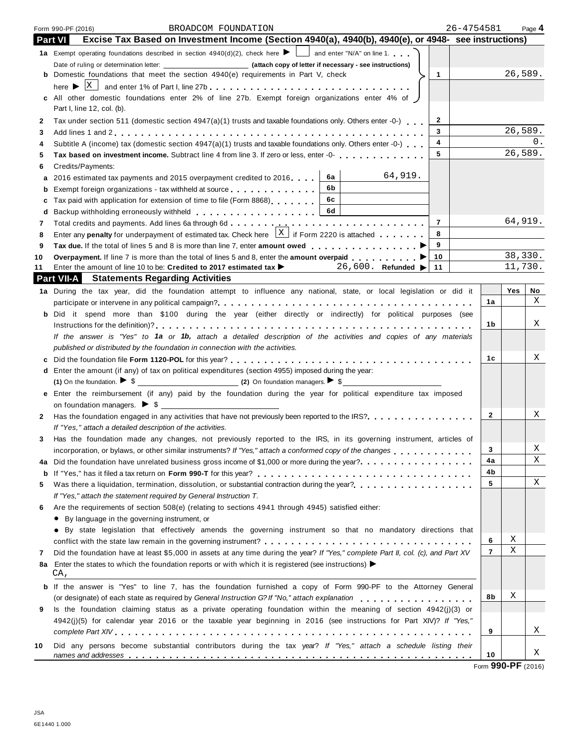|         | BROADCOM FOUNDATION<br>Form 990-PF (2016)                                                                                                         | 26-4754581     | Page 4    |
|---------|---------------------------------------------------------------------------------------------------------------------------------------------------|----------------|-----------|
| Part VI | Excise Tax Based on Investment Income (Section 4940(a), 4940(b), 4940(e), or 4948- see instructions)                                              |                |           |
|         | <b>1a</b> Exempt operating foundations described in section $4940(d)(2)$ , check here $\blacksquare$ and enter "N/A" on line 1.                   |                |           |
|         |                                                                                                                                                   |                |           |
|         | <b>b</b> Domestic foundations that meet the section 4940(e) requirements in Part V, check<br>$\mathbf{1}$                                         |                | 26,589.   |
|         |                                                                                                                                                   |                |           |
|         | c All other domestic foundations enter 2% of line 27b. Exempt foreign organizations enter 4% of                                                   |                |           |
|         | Part I, line 12, col. (b).                                                                                                                        |                |           |
| 2       | $\mathbf{2}$<br>Tax under section 511 (domestic section 4947(a)(1) trusts and taxable foundations only. Others enter -0-)                         |                |           |
| 3       | 3                                                                                                                                                 |                | 26,589.   |
| 4       | 4<br>Subtitle A (income) tax (domestic section $4947(a)(1)$ trusts and taxable foundations only. Others enter -0-) $\ldots$                       |                | 0.        |
| 5       | 5<br>Tax based on investment income. Subtract line 4 from line 3. If zero or less, enter -0-<br>                                                  |                | 26,589.   |
| 6       | Credits/Payments:                                                                                                                                 |                |           |
| a       | 64,919.<br>6а<br>2016 estimated tax payments and 2015 overpayment credited to 2016                                                                |                |           |
| b       | 6b<br>Exempt foreign organizations - tax withheld at source <b>the continuum</b>                                                                  |                |           |
| с       | 6c<br>Tax paid with application for extension of time to file (Form 8868)                                                                         |                |           |
| d       | 6d                                                                                                                                                |                |           |
| 7       | $\overline{7}$                                                                                                                                    |                | 64,919.   |
| 8       | Enter any <b>penalty</b> for underpayment of estimated tax. Check here $X$ if Form 2220 is attached<br>8                                          |                |           |
| 9       | 9                                                                                                                                                 |                |           |
| 10      | 10<br>Overpayment. If line 7 is more than the total of lines 5 and 8, enter the amount overpaid                                                   |                | 38,330.   |
| 11      | Enter the amount of line 10 to be: Credited to 2017 estimated tax $\blacktriangleright$ 26,600. Refunded $\blacktriangleright$<br>11              |                | 11,730.   |
|         | <b>Part VII-A</b> Statements Regarding Activities                                                                                                 |                |           |
|         | 1a During the tax year, did the foundation attempt to influence any national, state, or local legislation or did it                               |                | Yes<br>No |
|         |                                                                                                                                                   | 1a             | X         |
|         | b Did it spend more than \$100 during the year (either directly or indirectly) for political purposes (see                                        |                |           |
|         |                                                                                                                                                   | 1b             | X         |
|         | If the answer is "Yes" to 1a or 1b, attach a detailed description of the activities and copies of any materials                                   |                |           |
|         | published or distributed by the foundation in connection with the activities.                                                                     |                |           |
| c       |                                                                                                                                                   | 1c             | Χ         |
|         | d Enter the amount (if any) of tax on political expenditures (section 4955) imposed during the year:                                              |                |           |
|         | (1) On the foundation. $\triangleright$ \$                                                                                                        |                |           |
|         | e Enter the reimbursement (if any) paid by the foundation during the year for political expenditure tax imposed                                   |                |           |
|         |                                                                                                                                                   |                |           |
| 2.      | Has the foundation engaged in any activities that have not previously been reported to the IRS?                                                   | $\mathbf{2}$   | Χ         |
|         | If "Yes," attach a detailed description of the activities.                                                                                        |                |           |
| 3.      | Has the foundation made any changes, not previously reported to the IRS, in its governing instrument, articles of                                 |                |           |
|         | incorporation, or bylaws, or other similar instruments? If "Yes," attach a conformed copy of the changes                                          | 3              | X         |
| 4a      | Did the foundation have unrelated business gross income of \$1,000 or more during the year?                                                       | 4a             | Χ         |
| b       |                                                                                                                                                   | 4b             |           |
| 5       | Was there a liquidation, termination, dissolution, or substantial contraction during the year?                                                    | 5              | Χ         |
|         | If "Yes," attach the statement required by General Instruction T.                                                                                 |                |           |
| 6       | Are the requirements of section 508(e) (relating to sections 4941 through 4945) satisfied either:                                                 |                |           |
|         | • By language in the governing instrument, or                                                                                                     |                |           |
|         | • By state legislation that effectively amends the governing instrument so that no mandatory directions that                                      |                |           |
|         |                                                                                                                                                   | 6              | х         |
| 7       | Did the foundation have at least \$5,000 in assets at any time during the year? If "Yes," complete Part II, col. (c), and Part XV                 | $\overline{7}$ | Χ         |
| 8a      | Enter the states to which the foundation reports or with which it is registered (see instructions) $\blacktriangleright$                          |                |           |
|         | CA,                                                                                                                                               |                |           |
| b       | If the answer is "Yes" to line 7, has the foundation furnished a copy of Form 990-PF to the Attorney General                                      |                |           |
|         | (or designate) of each state as required by General Instruction G? If "No," attach explanation enterprised by $\cdot$ , and $\cdot$ , and $\cdot$ | 8b             | Χ         |
| 9       | Is the foundation claiming status as a private operating foundation within the meaning of section 4942(j)(3) or                                   |                |           |
|         | 4942(j)(5) for calendar year 2016 or the taxable year beginning in 2016 (see instructions for Part XIV)? If "Yes,"                                |                |           |
|         |                                                                                                                                                   | 9              | Χ         |
|         |                                                                                                                                                   |                |           |
| 10      | Did any persons become substantial contributors during the tax year? If "Yes," attach a schedule listing their                                    | 10             | Χ         |
|         |                                                                                                                                                   |                |           |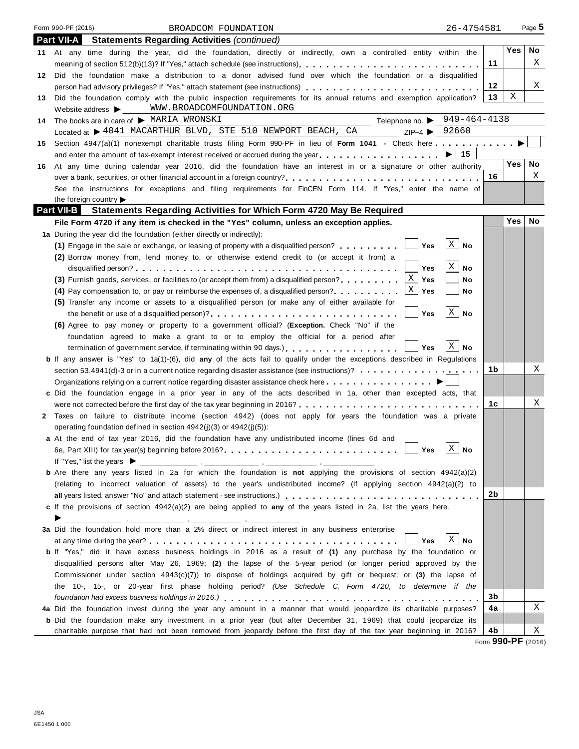|    | Form 990-PF (2016)<br>BROADCOM FOUNDATION<br>26-4754581                                                                                                                                                                                         |                     |     | Page 5 |
|----|-------------------------------------------------------------------------------------------------------------------------------------------------------------------------------------------------------------------------------------------------|---------------------|-----|--------|
|    | <b>Part VII-A</b><br><b>Statements Regarding Activities (continued)</b>                                                                                                                                                                         |                     |     |        |
|    | 11 At any time during the year, did the foundation, directly or indirectly, own a controlled entity within the                                                                                                                                  |                     | Yes | No.    |
|    |                                                                                                                                                                                                                                                 | 11                  |     | X      |
| 12 | Did the foundation make a distribution to a donor advised fund over which the foundation or a disqualified                                                                                                                                      |                     |     |        |
|    | person had advisory privileges? If "Yes," attach statement (see instructions)                                                                                                                                                                   | 12                  |     | X      |
| 13 | Did the foundation comply with the public inspection requirements for its annual returns and exemption application?                                                                                                                             | 13                  | Χ   |        |
|    | WWW.BROADCOMFOUNDATION.ORG<br>Website address $\blacktriangleright$                                                                                                                                                                             |                     |     |        |
| 14 | Telephone no. $\triangleright$ 949-464-4138<br>The books are in care of MARIA WRONSKI                                                                                                                                                           |                     |     |        |
|    | Located at $\triangleright$ 4041 MACARTHUR BLVD, STE 510 NEWPORT BEACH, CA ZIP+4 $\triangleright$ 92660                                                                                                                                         |                     |     |        |
| 15 | Section 4947(a)(1) nonexempt charitable trusts filing Form 990-PF in lieu of Form 1041 - Check here                                                                                                                                             |                     |     |        |
|    |                                                                                                                                                                                                                                                 |                     |     |        |
| 16 | At any time during calendar year 2016, did the foundation have an interest in or a signature or other authority                                                                                                                                 |                     | Yes | No     |
|    | over a bank, securities, or other financial account in a foreign country?                                                                                                                                                                       | 16                  |     | Χ      |
|    | See the instructions for exceptions and filing requirements for FinCEN Form 114. If "Yes," enter the name of                                                                                                                                    |                     |     |        |
|    | the foreign country<br><b>Part VII-B</b><br>Statements Regarding Activities for Which Form 4720 May Be Required                                                                                                                                 |                     |     |        |
|    | File Form 4720 if any item is checked in the "Yes" column, unless an exception applies.                                                                                                                                                         |                     | Yes | No     |
|    | 1a During the year did the foundation (either directly or indirectly):                                                                                                                                                                          |                     |     |        |
|    | $\vert X \vert$ No<br>(1) Engage in the sale or exchange, or leasing of property with a disqualified person? $\ldots \ldots$                                                                                                                    |                     |     |        |
|    | (2) Borrow money from, lend money to, or otherwise extend credit to (or accept it from) a                                                                                                                                                       |                     |     |        |
|    | X<br><b>No</b><br>Yes                                                                                                                                                                                                                           |                     |     |        |
|    | (3) Furnish goods, services, or facilities to (or accept them from) a disqualified person?<br>Yes<br>No                                                                                                                                         |                     |     |        |
|    | $\mathbf X$<br>Yes<br>(4) Pay compensation to, or pay or reimburse the expenses of, a disqualified person?<br>No                                                                                                                                |                     |     |        |
|    | (5) Transfer any income or assets to a disqualified person (or make any of either available for                                                                                                                                                 |                     |     |        |
|    | $X \mid No$<br>Yes                                                                                                                                                                                                                              |                     |     |        |
|    | (6) Agree to pay money or property to a government official? (Exception. Check "No" if the                                                                                                                                                      |                     |     |        |
|    | foundation agreed to make a grant to or to employ the official for a period after                                                                                                                                                               |                     |     |        |
|    | $X \mid No$<br>termination of government service, if terminating within 90 days.)<br>Yes                                                                                                                                                        |                     |     |        |
|    | b If any answer is "Yes" to 1a(1)-(6), did any of the acts fail to qualify under the exceptions described in Regulations                                                                                                                        |                     |     |        |
|    | section 53.4941(d)-3 or in a current notice regarding disaster assistance (see instructions)?                                                                                                                                                   | 1b                  |     | Χ      |
|    |                                                                                                                                                                                                                                                 |                     |     |        |
|    | c Did the foundation engage in a prior year in any of the acts described in 1a, other than excepted acts, that                                                                                                                                  |                     |     |        |
|    | were not corrected before the first day of the tax year beginning in 2016? $\ldots$ , $\ldots$ , $\ldots$ , $\ldots$ , $\ldots$ , $\ldots$ , $\ldots$ , $\ldots$                                                                                | 1c                  |     | Χ      |
|    | 2 Taxes on failure to distribute income (section 4942) (does not apply for years the foundation was a private                                                                                                                                   |                     |     |        |
|    | operating foundation defined in section $4942(j)(3)$ or $4942(j)(5)$ :                                                                                                                                                                          |                     |     |        |
|    | a At the end of tax year 2016, did the foundation have any undistributed income (lines 6d and                                                                                                                                                   |                     |     |        |
|    | $X \mid No$<br>Yes                                                                                                                                                                                                                              |                     |     |        |
|    | If "Yes," list the years $\blacktriangleright$                                                                                                                                                                                                  |                     |     |        |
|    | <b>b</b> Are there any years listed in 2a for which the foundation is not applying the provisions of section $4942(a)(2)$<br>(relating to incorrect valuation of assets) to the year's undistributed income? (If applying section 4942(a)(2) to |                     |     |        |
|    |                                                                                                                                                                                                                                                 | 2b                  |     |        |
|    | c If the provisions of section 4942(a)(2) are being applied to any of the years listed in 2a, list the years here.                                                                                                                              |                     |     |        |
|    | ▶                                                                                                                                                                                                                                               |                     |     |        |
|    | 3a Did the foundation hold more than a 2% direct or indirect interest in any business enterprise                                                                                                                                                |                     |     |        |
|    | $X$ No<br>Yes                                                                                                                                                                                                                                   |                     |     |        |
|    | <b>b</b> If "Yes," did it have excess business holdings in 2016 as a result of (1) any purchase by the foundation or                                                                                                                            |                     |     |        |
|    | disqualified persons after May 26, 1969; (2) the lapse of the 5-year period (or longer period approved by the                                                                                                                                   |                     |     |        |
|    | Commissioner under section $4943(c)(7)$ to dispose of holdings acquired by gift or bequest; or (3) the lapse of                                                                                                                                 |                     |     |        |
|    | the 10-, 15-, or 20-year first phase holding period? (Use Schedule C, Form 4720, to determine if the                                                                                                                                            |                     |     |        |
|    |                                                                                                                                                                                                                                                 | 3b                  |     |        |
|    | 4a Did the foundation invest during the year any amount in a manner that would jeopardize its charitable purposes?                                                                                                                              | 4a                  |     | Χ      |
|    | <b>b</b> Did the foundation make any investment in a prior year (but after December 31, 1969) that could jeopardize its                                                                                                                         |                     |     |        |
|    | charitable purpose that had not been removed from jeopardy before the first day of the tax year beginning in 2016?                                                                                                                              | 4b<br>$\sim$ $\sim$ |     | Χ      |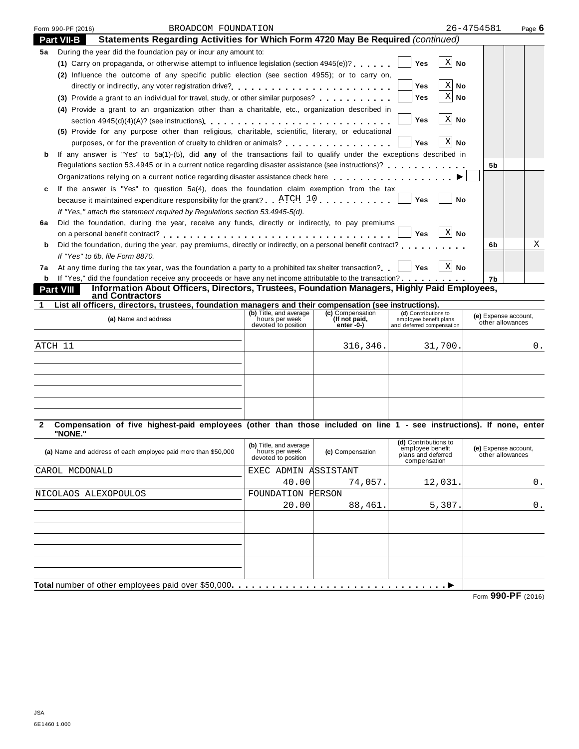|                   | Form 990-PF (2016)                                                                                                                                                                         | BROADCOM FOUNDATION                                                                                                                                                      |                                          |                                   |                                                | 26-4754581                               | Page 6 |  |  |
|-------------------|--------------------------------------------------------------------------------------------------------------------------------------------------------------------------------------------|--------------------------------------------------------------------------------------------------------------------------------------------------------------------------|------------------------------------------|-----------------------------------|------------------------------------------------|------------------------------------------|--------|--|--|
| <b>Part VII-B</b> |                                                                                                                                                                                            | Statements Regarding Activities for Which Form 4720 May Be Required (continued)                                                                                          |                                          |                                   |                                                |                                          |        |  |  |
| 5а                |                                                                                                                                                                                            | During the year did the foundation pay or incur any amount to:                                                                                                           |                                          |                                   |                                                |                                          |        |  |  |
|                   |                                                                                                                                                                                            | (1) Carry on propaganda, or otherwise attempt to influence legislation (section 4945(e))?                                                                                |                                          |                                   | $X$ No<br><b>Yes</b>                           |                                          |        |  |  |
|                   |                                                                                                                                                                                            | (2) Influence the outcome of any specific public election (see section 4955); or to carry on,                                                                            |                                          |                                   |                                                |                                          |        |  |  |
|                   |                                                                                                                                                                                            |                                                                                                                                                                          |                                          |                                   | $X$ No<br>Yes                                  |                                          |        |  |  |
|                   |                                                                                                                                                                                            | (3) Provide a grant to an individual for travel, study, or other similar purposes?                                                                                       |                                          |                                   | $X$ No<br>Yes                                  |                                          |        |  |  |
|                   |                                                                                                                                                                                            | (4) Provide a grant to an organization other than a charitable, etc., organization described in                                                                          |                                          |                                   |                                                |                                          |        |  |  |
|                   |                                                                                                                                                                                            |                                                                                                                                                                          |                                          |                                   | $X$ No<br>Yes                                  |                                          |        |  |  |
|                   |                                                                                                                                                                                            | (5) Provide for any purpose other than religious, charitable, scientific, literary, or educational                                                                       |                                          |                                   |                                                |                                          |        |  |  |
|                   |                                                                                                                                                                                            | purposes, or for the prevention of cruelty to children or animals?                                                                                                       |                                          |                                   | $X$ No<br>Yes                                  |                                          |        |  |  |
| b                 |                                                                                                                                                                                            | If any answer is "Yes" to 5a(1)-(5), did any of the transactions fail to qualify under the exceptions described in                                                       |                                          |                                   |                                                |                                          |        |  |  |
|                   |                                                                                                                                                                                            | 5b                                                                                                                                                                       |                                          |                                   |                                                |                                          |        |  |  |
|                   | Regulations section 53.4945 or in a current notice regarding disaster assistance (see instructions)?<br>Organizations relying on a current notice regarding disaster assistance check here |                                                                                                                                                                          |                                          |                                   |                                                |                                          |        |  |  |
| c                 |                                                                                                                                                                                            | If the answer is "Yes" to question $5a(4)$ , does the foundation claim exemption from the tax                                                                            |                                          |                                   |                                                |                                          |        |  |  |
|                   |                                                                                                                                                                                            |                                                                                                                                                                          |                                          |                                   | Yes<br>No                                      |                                          |        |  |  |
|                   | because it maintained expenditure responsibility for the grant? $ATCH$ 10 $\ldots$ ,,,,,,,,,<br>If "Yes," attach the statement required by Requlations section 53.4945-5(d).               |                                                                                                                                                                          |                                          |                                   |                                                |                                          |        |  |  |
|                   |                                                                                                                                                                                            | Did the foundation, during the year, receive any funds, directly or indirectly, to pay premiums                                                                          |                                          |                                   |                                                |                                          |        |  |  |
| 6a                |                                                                                                                                                                                            |                                                                                                                                                                          |                                          |                                   | $X$ No<br>Yes                                  |                                          |        |  |  |
|                   |                                                                                                                                                                                            | Did the foundation, during the year, pay premiums, directly or indirectly, on a personal benefit contract?                                                               |                                          |                                   |                                                | 6b                                       | Χ      |  |  |
| b                 |                                                                                                                                                                                            |                                                                                                                                                                          |                                          |                                   |                                                |                                          |        |  |  |
|                   |                                                                                                                                                                                            | If "Yes" to 6b, file Form 8870.<br>At any time during the tax year, was the foundation a party to a prohibited tax shelter transaction? $ \cdot $ Yes $ \cdot \cdot $ No |                                          |                                   |                                                |                                          |        |  |  |
| 7a                |                                                                                                                                                                                            | <b>b</b> If "Yes," did the foundation receive any proceeds or have any net income attributable to the transaction?                                                       |                                          |                                   |                                                |                                          |        |  |  |
|                   |                                                                                                                                                                                            | Information About Officers, Directors, Trustees, Foundation Managers, Highly Paid Employees,                                                                             |                                          |                                   |                                                | 7b                                       |        |  |  |
| <b>Part VIII</b>  |                                                                                                                                                                                            | and Contractors                                                                                                                                                          |                                          |                                   |                                                |                                          |        |  |  |
|                   |                                                                                                                                                                                            | List all officers, directors, trustees, foundation managers and their compensation (see instructions).                                                                   |                                          |                                   |                                                |                                          |        |  |  |
|                   |                                                                                                                                                                                            | (a) Name and address                                                                                                                                                     | (b) Title, and average<br>hours per week | (c) Compensation<br>(If not paid, | (d) Contributions to<br>employee benefit plans | (e) Expense account,<br>other allowances |        |  |  |
|                   |                                                                                                                                                                                            |                                                                                                                                                                          | devoted to position                      | $enter - 0-$                      | and deferred compensation                      |                                          |        |  |  |
| ATCH 11           |                                                                                                                                                                                            |                                                                                                                                                                          |                                          | 316,346.                          | 31,700.                                        |                                          | 0.     |  |  |
|                   |                                                                                                                                                                                            |                                                                                                                                                                          |                                          |                                   |                                                |                                          |        |  |  |
|                   |                                                                                                                                                                                            |                                                                                                                                                                          |                                          |                                   |                                                |                                          |        |  |  |
|                   |                                                                                                                                                                                            |                                                                                                                                                                          |                                          |                                   |                                                |                                          |        |  |  |
|                   |                                                                                                                                                                                            |                                                                                                                                                                          |                                          |                                   |                                                |                                          |        |  |  |
|                   |                                                                                                                                                                                            |                                                                                                                                                                          |                                          |                                   |                                                |                                          |        |  |  |
|                   |                                                                                                                                                                                            |                                                                                                                                                                          |                                          |                                   |                                                |                                          |        |  |  |
| 2                 |                                                                                                                                                                                            | Compensation of five highest-paid employees (other than those included on line 1 - see instructions). If none, enter                                                     |                                          |                                   |                                                |                                          |        |  |  |
|                   | "NONE."                                                                                                                                                                                    |                                                                                                                                                                          |                                          |                                   |                                                |                                          |        |  |  |
|                   |                                                                                                                                                                                            |                                                                                                                                                                          | (b) Title, and average                   |                                   | (d) Contributions to                           |                                          |        |  |  |
|                   |                                                                                                                                                                                            | (a) Name and address of each employee paid more than \$50,000                                                                                                            | hours per week<br>devoted to position    | (c) Compensation                  | employee benefit<br>plans and deferred         | (e) Expense account,<br>other allowances |        |  |  |
|                   |                                                                                                                                                                                            |                                                                                                                                                                          |                                          |                                   | compensation                                   |                                          |        |  |  |
|                   | CAROL MCDONALD                                                                                                                                                                             |                                                                                                                                                                          | EXEC ADMIN ASSISTANT                     |                                   |                                                |                                          |        |  |  |
|                   |                                                                                                                                                                                            |                                                                                                                                                                          | 40.00                                    | 74,057.                           | 12,031.                                        |                                          | 0.     |  |  |
|                   |                                                                                                                                                                                            | NICOLAOS ALEXOPOULOS                                                                                                                                                     | FOUNDATION PERSON                        |                                   |                                                |                                          |        |  |  |
|                   |                                                                                                                                                                                            |                                                                                                                                                                          | 20.00                                    | 88,461                            | 5,307.                                         |                                          | 0.     |  |  |
|                   |                                                                                                                                                                                            |                                                                                                                                                                          |                                          |                                   |                                                |                                          |        |  |  |
|                   |                                                                                                                                                                                            |                                                                                                                                                                          |                                          |                                   |                                                |                                          |        |  |  |
|                   |                                                                                                                                                                                            |                                                                                                                                                                          |                                          |                                   |                                                |                                          |        |  |  |
|                   |                                                                                                                                                                                            |                                                                                                                                                                          |                                          |                                   |                                                |                                          |        |  |  |
|                   |                                                                                                                                                                                            |                                                                                                                                                                          |                                          |                                   |                                                |                                          |        |  |  |
|                   |                                                                                                                                                                                            |                                                                                                                                                                          |                                          |                                   |                                                |                                          |        |  |  |
|                   |                                                                                                                                                                                            |                                                                                                                                                                          |                                          |                                   |                                                |                                          |        |  |  |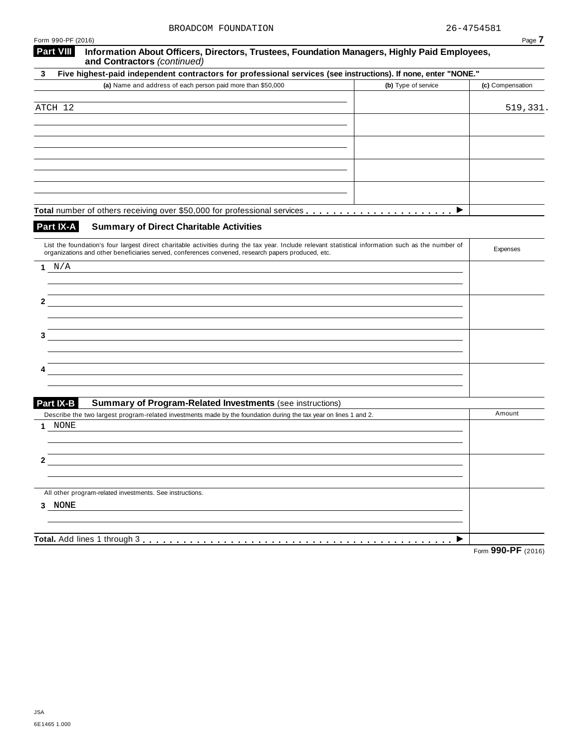| Form 990-PF (2016)                                                                                                                                                                                                                                        |                     | Page 7           |
|-----------------------------------------------------------------------------------------------------------------------------------------------------------------------------------------------------------------------------------------------------------|---------------------|------------------|
| <b>Part VIII</b><br>Information About Officers, Directors, Trustees, Foundation Managers, Highly Paid Employees,<br>and Contractors (continued)                                                                                                           |                     |                  |
| Five highest-paid independent contractors for professional services (see instructions). If none, enter "NONE."<br>3                                                                                                                                       |                     |                  |
| (a) Name and address of each person paid more than \$50,000                                                                                                                                                                                               | (b) Type of service | (c) Compensation |
|                                                                                                                                                                                                                                                           |                     |                  |
| ATCH 12                                                                                                                                                                                                                                                   |                     | 519,331.         |
|                                                                                                                                                                                                                                                           |                     |                  |
|                                                                                                                                                                                                                                                           |                     |                  |
|                                                                                                                                                                                                                                                           |                     |                  |
|                                                                                                                                                                                                                                                           |                     |                  |
|                                                                                                                                                                                                                                                           |                     |                  |
|                                                                                                                                                                                                                                                           |                     |                  |
|                                                                                                                                                                                                                                                           | ▶                   |                  |
| Part IX-A<br><b>Summary of Direct Charitable Activities</b>                                                                                                                                                                                               |                     |                  |
| List the foundation's four largest direct charitable activities during the tax year. Include relevant statistical information such as the number of<br>organizations and other beneficiaries served, conferences convened, research papers produced, etc. |                     | Expenses         |
| N/A<br>1                                                                                                                                                                                                                                                  |                     |                  |
|                                                                                                                                                                                                                                                           |                     |                  |
|                                                                                                                                                                                                                                                           |                     |                  |
|                                                                                                                                                                                                                                                           |                     |                  |
|                                                                                                                                                                                                                                                           |                     |                  |
|                                                                                                                                                                                                                                                           |                     |                  |
|                                                                                                                                                                                                                                                           |                     |                  |
|                                                                                                                                                                                                                                                           |                     |                  |
|                                                                                                                                                                                                                                                           |                     |                  |
|                                                                                                                                                                                                                                                           |                     |                  |
| Part IX-B<br><b>Summary of Program-Related Investments (see instructions)</b>                                                                                                                                                                             |                     |                  |
| Describe the two largest program-related investments made by the foundation during the tax year on lines 1 and 2.                                                                                                                                         |                     | Amount           |
| <b>NONE</b><br>1                                                                                                                                                                                                                                          |                     |                  |
|                                                                                                                                                                                                                                                           |                     |                  |
| ۷                                                                                                                                                                                                                                                         |                     |                  |
|                                                                                                                                                                                                                                                           |                     |                  |
| All other program-related investments. See instructions.                                                                                                                                                                                                  |                     |                  |
| 3 NONE                                                                                                                                                                                                                                                    |                     |                  |
|                                                                                                                                                                                                                                                           |                     |                  |
|                                                                                                                                                                                                                                                           |                     |                  |
|                                                                                                                                                                                                                                                           |                     | 0.0000           |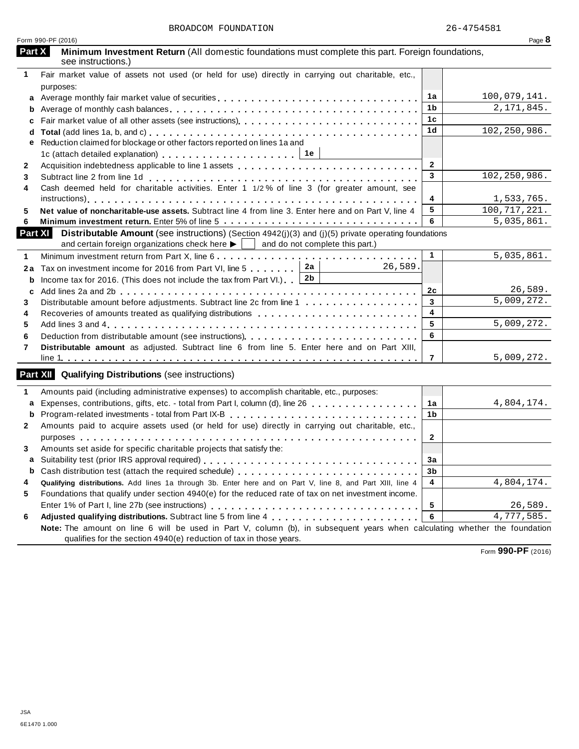| Form 990-PF (2016)                                                                                                                |                | Page 8                              |
|-----------------------------------------------------------------------------------------------------------------------------------|----------------|-------------------------------------|
| Part X<br>Minimum Investment Return (All domestic foundations must complete this part. Foreign foundations,<br>see instructions.) |                |                                     |
| Fair market value of assets not used (or held for use) directly in carrying out charitable, etc.,<br>1                            |                |                                     |
| purposes:                                                                                                                         |                |                                     |
| a                                                                                                                                 | 1a             | 100,079,141.                        |
| b                                                                                                                                 | 1b             | 2, 171, 845.                        |
| c                                                                                                                                 | 1c             |                                     |
| d                                                                                                                                 | 1 <sub>d</sub> | 102, 250, 986.                      |
| Reduction claimed for blockage or other factors reported on lines 1a and<br>е                                                     |                |                                     |
|                                                                                                                                   |                |                                     |
| $\mathbf{2}$                                                                                                                      | $\overline{2}$ |                                     |
| 3                                                                                                                                 | 3              | 102, 250, 986.                      |
| Cash deemed held for charitable activities. Enter 1 1/2% of line 3 (for greater amount, see<br>4                                  |                |                                     |
|                                                                                                                                   | 4              | 1,533,765.                          |
| Net value of noncharitable-use assets. Subtract line 4 from line 3. Enter here and on Part V, line 4<br>5                         | 5              | 100, 717, 221.                      |
| 6                                                                                                                                 | 6              | 5,035,861.                          |
| <b>Part XI</b><br><b>Distributable Amount</b> (see instructions) (Section $4942(j)(3)$ and (j)(5) private operating foundations   |                |                                     |
| and certain foreign organizations check here $\blacktriangleright$ $\vert$ and do not complete this part.)                        |                |                                     |
| 1                                                                                                                                 | $\mathbf{1}$   | 5,035,861.                          |
| 2a<br>26,589.<br>Tax on investment income for 2016 from Part VI, line 5<br>2a                                                     |                |                                     |
| 2 <sub>b</sub><br>Income tax for 2016. (This does not include the tax from Part VI.) [<br>b                                       |                |                                     |
| c                                                                                                                                 | 2c             | 26,589.                             |
| Distributable amount before adjustments. Subtract line 2c from line 1<br>3                                                        | $\mathbf{3}$   | 5,009,272.                          |
| Recoveries of amounts treated as qualifying distributions<br>4                                                                    | 4              |                                     |
| 5                                                                                                                                 | 5              | 5,009,272.                          |
| Deduction from distributable amount (see instructions)                                                                            | 6              |                                     |
| 6<br>Distributable amount as adjusted. Subtract line 6 from line 5. Enter here and on Part XIII,<br>7                             |                |                                     |
|                                                                                                                                   | $\overline{7}$ | 5,009,272.                          |
| <b>Part XII</b> Qualifying Distributions (see instructions)                                                                       |                |                                     |
| Amounts paid (including administrative expenses) to accomplish charitable, etc., purposes:<br>1                                   |                |                                     |
| Expenses, contributions, gifts, etc. - total from Part I, column (d), line 26<br>a                                                | 1a             | 4,804,174.                          |
| Program-related investments - total from Part IX-B<br>b                                                                           | 1b             |                                     |
| Amounts paid to acquire assets used (or held for use) directly in carrying out charitable, etc.,<br>$\mathbf{2}$                  |                |                                     |
|                                                                                                                                   | $\mathbf{2}$   |                                     |
|                                                                                                                                   |                |                                     |
|                                                                                                                                   |                |                                     |
| Amounts set aside for specific charitable projects that satisfy the:<br>3.                                                        |                |                                     |
|                                                                                                                                   | 3a             |                                     |
| b                                                                                                                                 | 3b             |                                     |
| Qualifying distributions. Add lines 1a through 3b. Enter here and on Part V, line 8, and Part XIII, line 4<br>4                   | 4              |                                     |
| Foundations that qualify under section 4940(e) for the reduced rate of tax on net investment income.<br>5                         |                |                                     |
| 6                                                                                                                                 | 5<br>6         | 4,804,174.<br>26,589.<br>4,777,585. |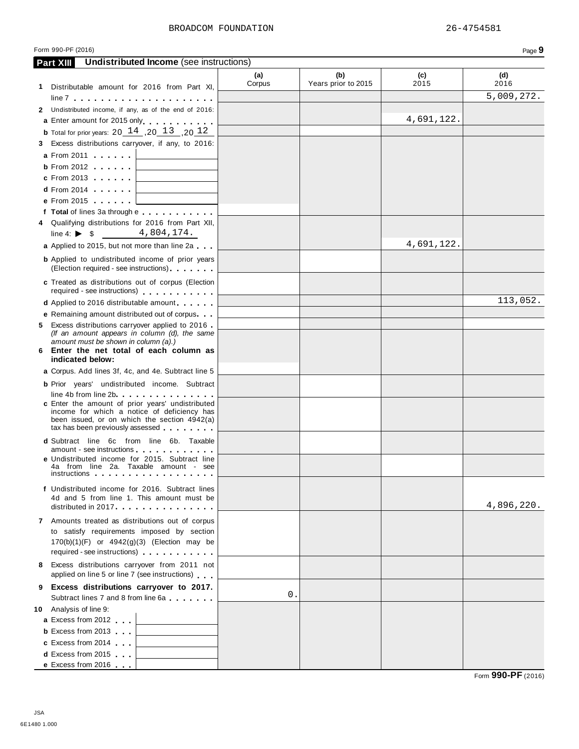| <b>Undistributed Income</b> (see instructions)<br><b>Part XIII</b>                                                                                              |               |                            |             |             |
|-----------------------------------------------------------------------------------------------------------------------------------------------------------------|---------------|----------------------------|-------------|-------------|
|                                                                                                                                                                 | (a)<br>Corpus | (b)<br>Years prior to 2015 | (c)<br>2015 | (d)<br>2016 |
| 1 Distributable amount for 2016 from Part XI,                                                                                                                   |               |                            |             |             |
| $line 7 +  +  +  +  +  + $                                                                                                                                      |               |                            |             | 5,009,272.  |
| 2 Undistributed income, if any, as of the end of 2016:                                                                                                          |               |                            |             |             |
| a Enter amount for 2015 only                                                                                                                                    |               |                            | 4,691,122.  |             |
| <b>b</b> Total for prior years: 20 $14$ , 20 $13$ , 20 $12$                                                                                                     |               |                            |             |             |
| 3 Excess distributions carryover, if any, to 2016:                                                                                                              |               |                            |             |             |
| <b>a</b> From 2011 <b>a</b>                                                                                                                                     |               |                            |             |             |
| <b>b</b> From 2012 <b>.</b> $\cdot \cdot \cdot$ <b>.</b> $\cdot \cdot \cdot$                                                                                    |               |                            |             |             |
| c From 2013 $\qquad \qquad$                                                                                                                                     |               |                            |             |             |
| <b>d</b> From 2014 $\vert$                                                                                                                                      |               |                            |             |             |
| e From 2015 $\qquad \qquad \Box$                                                                                                                                |               |                            |             |             |
| f Total of lines 3a through e                                                                                                                                   |               |                            |             |             |
| 4 Qualifying distributions for 2016 from Part XII,<br>4,804,174.                                                                                                |               |                            |             |             |
| line 4: $\triangleright$ \$                                                                                                                                     |               |                            | 4,691,122.  |             |
| a Applied to 2015, but not more than line 2a                                                                                                                    |               |                            |             |             |
| <b>b</b> Applied to undistributed income of prior years<br>(Election required - see instructions)                                                               |               |                            |             |             |
|                                                                                                                                                                 |               |                            |             |             |
| c Treated as distributions out of corpus (Election<br>required - see instructions)                                                                              |               |                            |             |             |
| d Applied to 2016 distributable amount                                                                                                                          |               |                            |             | 113,052.    |
| <b>e</b> Remaining amount distributed out of corpus                                                                                                             |               |                            |             |             |
| 5 Excess distributions carryover applied to 2016                                                                                                                |               |                            |             |             |
| (If an amount appears in column (d), the same                                                                                                                   |               |                            |             |             |
| amount must be shown in column (a).)<br>6 Enter the net total of each column as                                                                                 |               |                            |             |             |
| indicated below:                                                                                                                                                |               |                            |             |             |
| a Corpus. Add lines 3f, 4c, and 4e. Subtract line 5                                                                                                             |               |                            |             |             |
| <b>b</b> Prior years' undistributed income. Subtract                                                                                                            |               |                            |             |             |
| $line 4b$ from line $2b$                                                                                                                                        |               |                            |             |             |
| c Enter the amount of prior years' undistributed<br>income for which a notice of deficiency has                                                                 |               |                            |             |             |
| been issued, or on which the section 4942(a)                                                                                                                    |               |                            |             |             |
| tax has been previously assessed                                                                                                                                |               |                            |             |             |
| d Subtract line 6c from line 6b. Taxable                                                                                                                        |               |                            |             |             |
| amount - see instructions expansion and the set of the set of the set of the set of the set of the set of the<br>e Undistributed income for 2015. Subtract line |               |                            |             |             |
| 4a from line 2a. Taxable amount - see                                                                                                                           |               |                            |             |             |
|                                                                                                                                                                 |               |                            |             |             |
| f Undistributed income for 2016. Subtract lines                                                                                                                 |               |                            |             |             |
| 4d and 5 from line 1. This amount must be                                                                                                                       |               |                            |             | 4,896,220.  |
| distributed in $2017$ . $\ldots$ $\ldots$ $\ldots$ $\ldots$ .                                                                                                   |               |                            |             |             |
| 7 Amounts treated as distributions out of corpus                                                                                                                |               |                            |             |             |
| to satisfy requirements imposed by section<br>$170(b)(1)(F)$ or $4942(g)(3)$ (Election may be                                                                   |               |                            |             |             |
| required - see instructions)                                                                                                                                    |               |                            |             |             |
| 8 Excess distributions carryover from 2011 not                                                                                                                  |               |                            |             |             |
| applied on line 5 or line 7 (see instructions)                                                                                                                  |               |                            |             |             |
| 9 Excess distributions carryover to 2017.                                                                                                                       |               |                            |             |             |
| Subtract lines 7 and 8 from line 6a                                                                                                                             | 0.            |                            |             |             |
| 10 Analysis of line 9:                                                                                                                                          |               |                            |             |             |
| a Excess from 2012                                                                                                                                              |               |                            |             |             |
| <b>b</b> Excess from 2013 $\vert$                                                                                                                               |               |                            |             |             |
| c Excess from $2014$                                                                                                                                            |               |                            |             |             |
| <b>d</b> Excess from 2015 $\vert$                                                                                                                               |               |                            |             |             |
| e Excess from $2016$                                                                                                                                            |               |                            |             |             |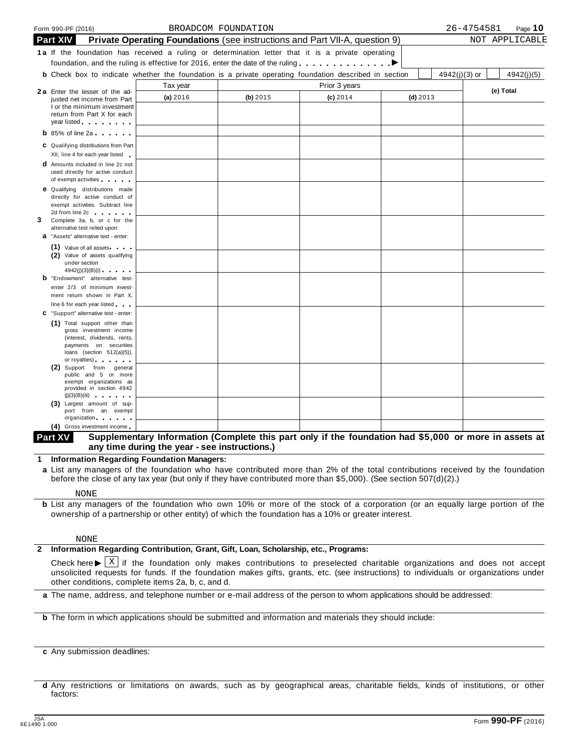|   | Form 990-PF (2016)                                                                                                                                                                                                                                                  |          | BROADCOM FOUNDATION                                                                |               |            | 26-4754581<br>Page 10         |
|---|---------------------------------------------------------------------------------------------------------------------------------------------------------------------------------------------------------------------------------------------------------------------|----------|------------------------------------------------------------------------------------|---------------|------------|-------------------------------|
|   | <b>Part XIV</b>                                                                                                                                                                                                                                                     |          | <b>Private Operating Foundations</b> (see instructions and Part VII-A, question 9) |               |            | NOT APPLICABLE                |
|   | 1a If the foundation has received a ruling or determination letter that it is a private operating                                                                                                                                                                   |          |                                                                                    |               |            |                               |
|   | foundation, and the ruling is effective for 2016, enter the date of the ruling                                                                                                                                                                                      |          |                                                                                    |               |            |                               |
|   | <b>b</b> Check box to indicate whether the foundation is a private operating foundation described in section                                                                                                                                                        |          |                                                                                    |               |            | $4942(j)(3)$ or<br>4942(j)(5) |
|   |                                                                                                                                                                                                                                                                     | Tax year |                                                                                    | Prior 3 years |            | (e) Total                     |
|   | 2a Enter the lesser of the ad-<br>justed net income from Part                                                                                                                                                                                                       | (a) 2016 | (b) 2015                                                                           | $(c)$ 2014    | $(d)$ 2013 |                               |
|   | I or the minimum investment                                                                                                                                                                                                                                         |          |                                                                                    |               |            |                               |
|   | return from Part X for each<br>year listed <b>the contract of the set of the set of the set of the set of the set of the set of the set of the set of the set of the set of the set of the set of the set of the set of the set of the set of the set of the se</b> |          |                                                                                    |               |            |                               |
|   | $\mathbf b$ 85% of line 2a $\mathbf b$                                                                                                                                                                                                                              |          |                                                                                    |               |            |                               |
|   |                                                                                                                                                                                                                                                                     |          |                                                                                    |               |            |                               |
|   | C Qualifying distributions from Part<br>XII, line 4 for each year listed                                                                                                                                                                                            |          |                                                                                    |               |            |                               |
|   | <b>d</b> Amounts included in line 2c not                                                                                                                                                                                                                            |          |                                                                                    |               |            |                               |
|   | used directly for active conduct                                                                                                                                                                                                                                    |          |                                                                                    |               |            |                               |
|   | of exempt activities<br><b>e</b> Qualifying distributions made                                                                                                                                                                                                      |          |                                                                                    |               |            |                               |
|   | directly for active conduct of                                                                                                                                                                                                                                      |          |                                                                                    |               |            |                               |
|   | exempt activities. Subtract line                                                                                                                                                                                                                                    |          |                                                                                    |               |            |                               |
| 3 | 2d from line 2c and the state of the state of the state of the state of the state of the state of the state of<br>Complete 3a, b, or c for the                                                                                                                      |          |                                                                                    |               |            |                               |
|   | alternative test relied upon:                                                                                                                                                                                                                                       |          |                                                                                    |               |            |                               |
|   | a "Assets" alternative test - enter:                                                                                                                                                                                                                                |          |                                                                                    |               |            |                               |
|   | $(1)$ Value of all assets $\cdots$<br>(2) Value of assets qualifying                                                                                                                                                                                                |          |                                                                                    |               |            |                               |
|   | under section                                                                                                                                                                                                                                                       |          |                                                                                    |               |            |                               |
|   | 4942(j)(3)(B)(i)                                                                                                                                                                                                                                                    |          |                                                                                    |               |            |                               |
|   | <b>b</b> "Endowment" alternative test-<br>enter 2/3 of minimum invest-                                                                                                                                                                                              |          |                                                                                    |               |            |                               |
|   | ment return shown in Part X,                                                                                                                                                                                                                                        |          |                                                                                    |               |            |                               |
|   | line 6 for each year listed                                                                                                                                                                                                                                         |          |                                                                                    |               |            |                               |
|   | C "Support" alternative test - enter:                                                                                                                                                                                                                               |          |                                                                                    |               |            |                               |
|   | (1) Total support other than<br>gross investment income                                                                                                                                                                                                             |          |                                                                                    |               |            |                               |
|   | (interest, dividends, rents,                                                                                                                                                                                                                                        |          |                                                                                    |               |            |                               |
|   | payments on securities<br>loans (section $512(a)(5)$ ),                                                                                                                                                                                                             |          |                                                                                    |               |            |                               |
|   | or royalties) and the control of the control of                                                                                                                                                                                                                     |          |                                                                                    |               |            |                               |
|   | (2) Support from general<br>public and 5 or more                                                                                                                                                                                                                    |          |                                                                                    |               |            |                               |
|   | exempt organizations as                                                                                                                                                                                                                                             |          |                                                                                    |               |            |                               |
|   | provided in section 4942<br>(j)(3)(B)(iii)                                                                                                                                                                                                                          |          |                                                                                    |               |            |                               |
|   | (3) Largest amount of sup-                                                                                                                                                                                                                                          |          |                                                                                    |               |            |                               |
|   | port from an exempt<br>organization and the control                                                                                                                                                                                                                 |          |                                                                                    |               |            |                               |
|   | $O(1222)$ in the set of $\alpha$                                                                                                                                                                                                                                    |          |                                                                                    |               |            |                               |

#### Supplementary Information (Complete this part only if the foundation had \$5,000 or more in assets at **any time during the year - see instructions.) Part XV**

**1 Information Regarding Foundation Managers:**

**a** List any managers of the foundation who have contributed more than 2% of the total contributions received by the foundation before the close of any tax year (but only if they have contributed more than \$5,000). (See section 507(d)(2).)

NONE

**b** List any managers of the foundation who own 10% or more of the stock of a corporation (or an equally large portion of the ownership of a partnership or other entity) of which the foundation has a 10% or greater interest.

#### NONE

#### **2 Information Regarding Contribution, Grant, Gift, Loan, Scholarship, etc., Programs:**

Check here  $\blacktriangleright \overline{X}$  if the foundation only makes contributions to preselected charitable organizations and does not accept unsolicited requests for funds if the foundation makes gifts graphs at  $\zeta$  (see instruction unsolicited requests for funds. If the foundation makes gifts, grants, etc. (see instructions) to individuals or organizations under other conditions, complete items 2a, b, c, and d.

**a** The name, address, and telephone number or e-mail address of the person to whom applications should be addressed:

**b** The form in which applications should be submitted and information and materials they should include:

**c** Any submission deadlines:

**d** Any restrictions or limitations on awards, such as by geographical areas, charitable fields, kinds of institutions, or other factors: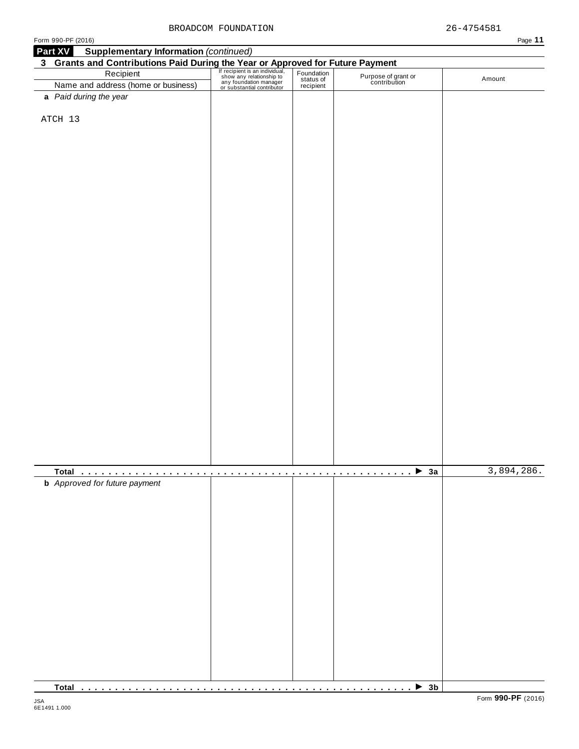| Form 990-PF (2016)                                                                                                                                                                                                                           |  |                                     | Page 11    |
|----------------------------------------------------------------------------------------------------------------------------------------------------------------------------------------------------------------------------------------------|--|-------------------------------------|------------|
| <b>Supplementary Information (continued)</b><br><b>Part XV</b>                                                                                                                                                                               |  |                                     |            |
| <b>3 Grants and Contributions Paid During the Year or Approved for Future Payment</b><br>Recipient Fection of the Contribution of the Contribution and address (home or business) <b>Exception Contribution</b><br>Name and address (home or |  |                                     |            |
|                                                                                                                                                                                                                                              |  | Purpose of grant or<br>contribution | Amount     |
|                                                                                                                                                                                                                                              |  |                                     |            |
| a Paid during the year                                                                                                                                                                                                                       |  |                                     |            |
|                                                                                                                                                                                                                                              |  |                                     |            |
| ATCH 13                                                                                                                                                                                                                                      |  |                                     |            |
|                                                                                                                                                                                                                                              |  |                                     |            |
|                                                                                                                                                                                                                                              |  |                                     |            |
|                                                                                                                                                                                                                                              |  |                                     |            |
|                                                                                                                                                                                                                                              |  |                                     |            |
|                                                                                                                                                                                                                                              |  |                                     |            |
|                                                                                                                                                                                                                                              |  |                                     |            |
|                                                                                                                                                                                                                                              |  |                                     |            |
|                                                                                                                                                                                                                                              |  |                                     |            |
|                                                                                                                                                                                                                                              |  |                                     |            |
|                                                                                                                                                                                                                                              |  |                                     |            |
|                                                                                                                                                                                                                                              |  |                                     |            |
|                                                                                                                                                                                                                                              |  |                                     |            |
|                                                                                                                                                                                                                                              |  |                                     |            |
|                                                                                                                                                                                                                                              |  |                                     |            |
|                                                                                                                                                                                                                                              |  |                                     |            |
|                                                                                                                                                                                                                                              |  |                                     |            |
|                                                                                                                                                                                                                                              |  |                                     |            |
|                                                                                                                                                                                                                                              |  |                                     |            |
|                                                                                                                                                                                                                                              |  |                                     |            |
|                                                                                                                                                                                                                                              |  |                                     |            |
|                                                                                                                                                                                                                                              |  |                                     |            |
|                                                                                                                                                                                                                                              |  |                                     |            |
|                                                                                                                                                                                                                                              |  |                                     |            |
|                                                                                                                                                                                                                                              |  |                                     |            |
|                                                                                                                                                                                                                                              |  |                                     |            |
|                                                                                                                                                                                                                                              |  |                                     |            |
|                                                                                                                                                                                                                                              |  |                                     |            |
|                                                                                                                                                                                                                                              |  |                                     |            |
|                                                                                                                                                                                                                                              |  |                                     |            |
|                                                                                                                                                                                                                                              |  |                                     |            |
|                                                                                                                                                                                                                                              |  |                                     |            |
|                                                                                                                                                                                                                                              |  |                                     |            |
|                                                                                                                                                                                                                                              |  | $$ 3a                               | 3,894,286. |
| <b>b</b> Approved for future payment                                                                                                                                                                                                         |  |                                     |            |
|                                                                                                                                                                                                                                              |  |                                     |            |
|                                                                                                                                                                                                                                              |  |                                     |            |
|                                                                                                                                                                                                                                              |  |                                     |            |
|                                                                                                                                                                                                                                              |  |                                     |            |
|                                                                                                                                                                                                                                              |  |                                     |            |
|                                                                                                                                                                                                                                              |  |                                     |            |
|                                                                                                                                                                                                                                              |  |                                     |            |
|                                                                                                                                                                                                                                              |  |                                     |            |
|                                                                                                                                                                                                                                              |  |                                     |            |
|                                                                                                                                                                                                                                              |  |                                     |            |
|                                                                                                                                                                                                                                              |  |                                     |            |
|                                                                                                                                                                                                                                              |  |                                     |            |
|                                                                                                                                                                                                                                              |  |                                     |            |
|                                                                                                                                                                                                                                              |  |                                     |            |
|                                                                                                                                                                                                                                              |  |                                     |            |
|                                                                                                                                                                                                                                              |  |                                     |            |
|                                                                                                                                                                                                                                              |  |                                     |            |
|                                                                                                                                                                                                                                              |  |                                     |            |
|                                                                                                                                                                                                                                              |  |                                     |            |

**Total** m m m m m m m m m m m m m m m m m m m m m m m m m m m m m m m m m m m m m m m m m m m m m m m m m I **3b**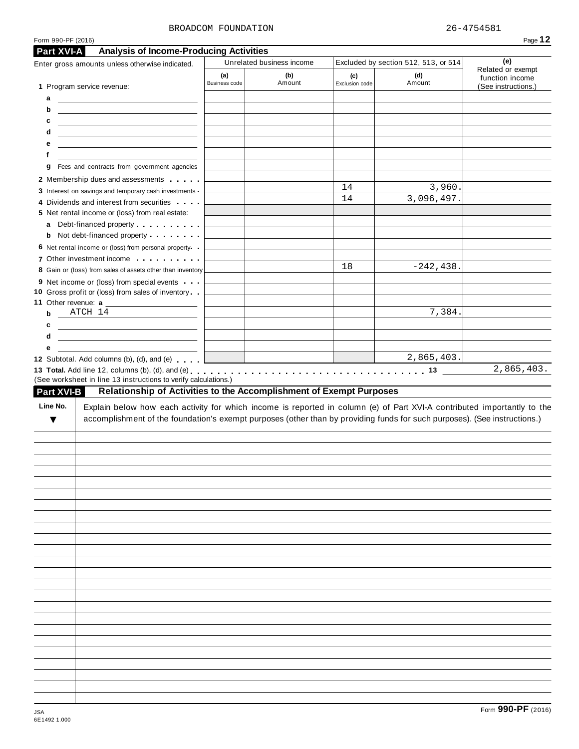#### BROADCOM FOUNDATION 26-4754581

| Form 990-PF (2016) |                                                                                                                                                                                                                                                      |                        |                           |                       |                                      | Page 12                                |
|--------------------|------------------------------------------------------------------------------------------------------------------------------------------------------------------------------------------------------------------------------------------------------|------------------------|---------------------------|-----------------------|--------------------------------------|----------------------------------------|
| Part XVI-A         | <b>Analysis of Income-Producing Activities</b>                                                                                                                                                                                                       |                        |                           |                       |                                      |                                        |
|                    | Enter gross amounts unless otherwise indicated.                                                                                                                                                                                                      |                        | Unrelated business income |                       | Excluded by section 512, 513, or 514 | (e)<br>Related or exempt               |
|                    | 1 Program service revenue:                                                                                                                                                                                                                           | (a)<br>Business code   | (b)<br>Amount             | (c)<br>Exclusion code | (d)<br>Amount                        | function income<br>(See instructions.) |
| a                  | <u> The Communication of the Communication</u>                                                                                                                                                                                                       |                        |                           |                       |                                      |                                        |
| b                  | <u> 1989 - Johann Barbara, martin amerikan basal dan berasal dalam basal dalam basal dalam basal dalam basal dala</u>                                                                                                                                |                        |                           |                       |                                      |                                        |
| c                  | <u> 1989 - Johann Stein, mars and de Britain (b. 1989)</u>                                                                                                                                                                                           |                        |                           |                       |                                      |                                        |
| d                  | <u> Alexandria de la contrada de la contrada de la contrada de la contrada de la contrada de la contrada de la c</u>                                                                                                                                 |                        |                           |                       |                                      |                                        |
| е                  |                                                                                                                                                                                                                                                      |                        |                           |                       |                                      |                                        |
| f                  | Fees and contracts from government agencies                                                                                                                                                                                                          |                        |                           |                       |                                      |                                        |
| g                  | 2 Membership dues and assessments                                                                                                                                                                                                                    |                        |                           |                       |                                      |                                        |
|                    | 3 Interest on savings and temporary cash investments                                                                                                                                                                                                 |                        |                           | 14                    | 3,960.                               |                                        |
|                    | 4 Dividends and interest from securities                                                                                                                                                                                                             |                        |                           | 14                    | 3,096,497.                           |                                        |
|                    | 5 Net rental income or (loss) from real estate:                                                                                                                                                                                                      |                        |                           |                       |                                      |                                        |
|                    |                                                                                                                                                                                                                                                      |                        |                           |                       |                                      |                                        |
|                    | <b>b</b> Not debt-financed property                                                                                                                                                                                                                  |                        |                           |                       |                                      |                                        |
|                    | 6 Net rental income or (loss) from personal property.                                                                                                                                                                                                |                        |                           |                       |                                      |                                        |
|                    | 7 Other investment income                                                                                                                                                                                                                            |                        |                           | 18                    | $-242, 438.$                         |                                        |
|                    | 8 Gain or (loss) from sales of assets other than inventory                                                                                                                                                                                           |                        |                           |                       |                                      |                                        |
|                    | 9 Net income or (loss) from special events<br>10 Gross profit or (loss) from sales of inventory                                                                                                                                                      |                        |                           |                       |                                      |                                        |
|                    |                                                                                                                                                                                                                                                      |                        |                           |                       |                                      |                                        |
|                    | ATCH 14                                                                                                                                                                                                                                              |                        |                           |                       | 7,384.                               |                                        |
|                    |                                                                                                                                                                                                                                                      |                        |                           |                       |                                      |                                        |
|                    | <u> 1999 - Johann Harry Harry Harry Harry Harry Harry Harry Harry Harry Harry Harry Harry Harry Harry Harry Harry Harry Harry Harry Harry Harry Harry Harry Harry Harry Harry Harry Harry Harry Harry Harry Harry Harry Harry Ha</u>                 |                        |                           |                       |                                      |                                        |
| b<br>c<br>d        | <u> 1999 - Johann Marie Barn, mars eta inperiodo</u>                                                                                                                                                                                                 |                        |                           |                       |                                      |                                        |
| е                  |                                                                                                                                                                                                                                                      |                        |                           |                       |                                      |                                        |
| Part XVI-B         | 12 Subtotal. Add columns (b), (d), and (e)<br>(See worksheet in line 13 instructions to verify calculations.)<br>Relationship of Activities to the Accomplishment of Exempt Purposes                                                                 | <u> The Common Sta</u> |                           |                       | 2,865,403.                           | 2,865,403.                             |
| Line No.<br>▼      | Explain below how each activity for which income is reported in column (e) of Part XVI-A contributed importantly to the<br>accomplishment of the foundation's exempt purposes (other than by providing funds for such purposes). (See instructions.) |                        |                           |                       |                                      |                                        |
|                    |                                                                                                                                                                                                                                                      |                        |                           |                       |                                      |                                        |
|                    |                                                                                                                                                                                                                                                      |                        |                           |                       |                                      |                                        |
|                    |                                                                                                                                                                                                                                                      |                        |                           |                       |                                      |                                        |
|                    |                                                                                                                                                                                                                                                      |                        |                           |                       |                                      |                                        |
|                    |                                                                                                                                                                                                                                                      |                        |                           |                       |                                      |                                        |
|                    |                                                                                                                                                                                                                                                      |                        |                           |                       |                                      |                                        |
|                    |                                                                                                                                                                                                                                                      |                        |                           |                       |                                      |                                        |
|                    |                                                                                                                                                                                                                                                      |                        |                           |                       |                                      |                                        |
|                    |                                                                                                                                                                                                                                                      |                        |                           |                       |                                      |                                        |
|                    |                                                                                                                                                                                                                                                      |                        |                           |                       |                                      |                                        |
|                    |                                                                                                                                                                                                                                                      |                        |                           |                       |                                      |                                        |
|                    |                                                                                                                                                                                                                                                      |                        |                           |                       |                                      |                                        |
|                    |                                                                                                                                                                                                                                                      |                        |                           |                       |                                      |                                        |
|                    |                                                                                                                                                                                                                                                      |                        |                           |                       |                                      |                                        |
|                    |                                                                                                                                                                                                                                                      |                        |                           |                       |                                      |                                        |
|                    |                                                                                                                                                                                                                                                      |                        |                           |                       |                                      |                                        |
|                    |                                                                                                                                                                                                                                                      |                        |                           |                       |                                      |                                        |
|                    |                                                                                                                                                                                                                                                      |                        |                           |                       |                                      |                                        |
|                    |                                                                                                                                                                                                                                                      |                        |                           |                       |                                      |                                        |
|                    |                                                                                                                                                                                                                                                      |                        |                           |                       |                                      |                                        |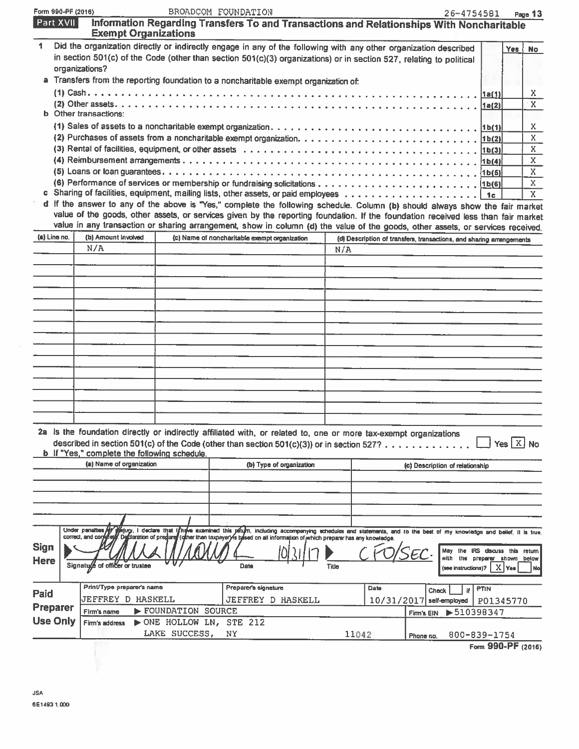| Form 990-PF (2016)  |                |                                                     |                         | BROADCOM FOUNDATION                                                                                                                                                                                                                                                  |                          |              |       |                                                                      | 26-4754581                                      |            | Page 13           |
|---------------------|----------------|-----------------------------------------------------|-------------------------|----------------------------------------------------------------------------------------------------------------------------------------------------------------------------------------------------------------------------------------------------------------------|--------------------------|--------------|-------|----------------------------------------------------------------------|-------------------------------------------------|------------|-------------------|
| Part XVII           |                | <b>Exempt Organizations</b>                         |                         | Information Regarding Transfers To and Transactions and Relationships With Noncharitable                                                                                                                                                                             |                          |              |       |                                                                      |                                                 |            |                   |
| 1                   | organizations? |                                                     |                         | Did the organization directly or indirectly engage in any of the following with any other organization described<br>in section 501(c) of the Code (other than section 501(c)(3) organizations) or in section 527, relating to political                              |                          |              |       |                                                                      |                                                 | Yes {      | <b>No</b>         |
|                     |                |                                                     |                         | a Transfers from the reporting foundation to a noncharitable exempt organization of:                                                                                                                                                                                 |                          |              |       |                                                                      |                                                 |            |                   |
|                     |                |                                                     |                         |                                                                                                                                                                                                                                                                      |                          |              |       |                                                                      |                                                 |            | x.                |
|                     |                | <b>b</b> Other transactions:                        |                         |                                                                                                                                                                                                                                                                      |                          |              |       |                                                                      |                                                 |            | X                 |
|                     |                |                                                     |                         |                                                                                                                                                                                                                                                                      |                          |              |       |                                                                      |                                                 |            | X.                |
|                     |                |                                                     |                         |                                                                                                                                                                                                                                                                      |                          |              |       |                                                                      |                                                 |            | X                 |
|                     |                |                                                     |                         |                                                                                                                                                                                                                                                                      |                          |              |       |                                                                      |                                                 |            | X<br>$\mathbf{X}$ |
|                     |                |                                                     |                         |                                                                                                                                                                                                                                                                      |                          |              |       |                                                                      |                                                 |            | $\overline{X}$    |
|                     |                |                                                     |                         |                                                                                                                                                                                                                                                                      |                          |              |       |                                                                      |                                                 |            | $\mathbf X$       |
|                     |                |                                                     |                         |                                                                                                                                                                                                                                                                      |                          |              |       |                                                                      |                                                 |            | $\mathbf{X}$      |
|                     |                |                                                     |                         | d If the answer to any of the above is "Yes," complete the following schedule. Column (b) should always show the fair market                                                                                                                                         |                          |              |       |                                                                      |                                                 |            |                   |
|                     |                |                                                     |                         | value of the goods, other assets, or services given by the reporting foundation. If the foundation received less than fair market<br>value in any transaction or sharing arrangement, show in column (d) the value of the goods, other assets, or services received. |                          |              |       |                                                                      |                                                 |            |                   |
| (a) Line no.        |                | (b) Amount involved                                 |                         | (c) Name of noncharitable exempt organization                                                                                                                                                                                                                        |                          |              |       | (d) Description of transfers, transactions, and sharing arrangements |                                                 |            |                   |
|                     |                | N/A                                                 |                         |                                                                                                                                                                                                                                                                      |                          | N/A          |       |                                                                      |                                                 |            |                   |
|                     |                |                                                     |                         |                                                                                                                                                                                                                                                                      |                          |              |       |                                                                      |                                                 |            |                   |
|                     |                |                                                     |                         |                                                                                                                                                                                                                                                                      |                          |              |       |                                                                      |                                                 |            |                   |
|                     |                |                                                     |                         |                                                                                                                                                                                                                                                                      |                          |              |       |                                                                      |                                                 |            |                   |
|                     |                |                                                     |                         |                                                                                                                                                                                                                                                                      |                          |              |       |                                                                      |                                                 |            |                   |
|                     |                |                                                     |                         |                                                                                                                                                                                                                                                                      |                          |              |       |                                                                      |                                                 |            |                   |
|                     |                |                                                     |                         |                                                                                                                                                                                                                                                                      |                          |              |       |                                                                      |                                                 |            |                   |
|                     |                |                                                     |                         |                                                                                                                                                                                                                                                                      |                          |              |       |                                                                      |                                                 |            |                   |
|                     |                |                                                     |                         |                                                                                                                                                                                                                                                                      |                          |              |       |                                                                      |                                                 |            |                   |
|                     |                |                                                     |                         |                                                                                                                                                                                                                                                                      |                          |              |       |                                                                      |                                                 |            |                   |
|                     |                |                                                     |                         |                                                                                                                                                                                                                                                                      |                          |              |       |                                                                      |                                                 |            |                   |
|                     |                |                                                     |                         |                                                                                                                                                                                                                                                                      |                          |              |       |                                                                      |                                                 |            |                   |
|                     |                |                                                     |                         |                                                                                                                                                                                                                                                                      |                          |              |       |                                                                      |                                                 |            |                   |
|                     |                |                                                     |                         |                                                                                                                                                                                                                                                                      |                          |              |       |                                                                      |                                                 |            |                   |
|                     |                |                                                     |                         |                                                                                                                                                                                                                                                                      |                          |              |       |                                                                      |                                                 |            |                   |
|                     |                | <b>b</b> If "Yes," complete the following schedule. |                         | 2a Is the foundation directly or indirectly affiliated with, or related to, one or more tax-exempt organizations<br>described in section 501(c) of the Code (other than section 501(c)(3)) or in section 527?.                                                       |                          |              |       |                                                                      |                                                 | Yes $X$ No |                   |
|                     |                | (a) Name of organization                            |                         |                                                                                                                                                                                                                                                                      | (b) Type of organization |              |       | (c) Description of relationship                                      |                                                 |            |                   |
|                     |                |                                                     |                         |                                                                                                                                                                                                                                                                      |                          |              |       |                                                                      |                                                 |            |                   |
|                     |                |                                                     |                         |                                                                                                                                                                                                                                                                      |                          |              |       |                                                                      |                                                 |            |                   |
|                     |                |                                                     |                         |                                                                                                                                                                                                                                                                      |                          |              |       |                                                                      |                                                 |            |                   |
|                     |                |                                                     |                         |                                                                                                                                                                                                                                                                      |                          |              |       |                                                                      |                                                 |            |                   |
|                     |                |                                                     |                         | Under penalties (if figury, I declare that thewe examined this petum, including accompanying schedules and statements, and to the best of my knowledge and belief, it is true<br>correct, and contries the officiation of prepare                                    |                          |              |       |                                                                      |                                                 |            |                   |
| <b>Sign</b><br>Here |                | Signatude of officer or trustee                     |                         | Date                                                                                                                                                                                                                                                                 |                          | <b>Title</b> |       | with<br>the<br>(see instructions)?                                   | IRS discuss this return<br>preparer shown below | $X$ Yes    | Nol               |
|                     |                | Print/Type preparer's name                          |                         | Preparer's signature                                                                                                                                                                                                                                                 |                          |              | Date  |                                                                      | PTIN                                            |            |                   |
| Paid                |                | <b>JEFFREY D HASKELL</b>                            |                         | JEFFREY D HASKELL                                                                                                                                                                                                                                                    |                          |              |       | <b>Check</b><br>$10/31/2017$ self-employed                           | Ħ                                               |            |                   |
| <b>Preparer</b>     |                | Firm's name                                         | FOUNDATION SOURCE       |                                                                                                                                                                                                                                                                      |                          |              |       |                                                                      | P01345770<br>▶510398347                         |            |                   |
| <b>Use Only</b>     |                | Firm's address                                      | NONE HOLLOW LN, STE 212 |                                                                                                                                                                                                                                                                      |                          |              |       | Firm's EIN                                                           |                                                 |            |                   |
|                     |                |                                                     | LAKE SUCCESS,           | NΥ                                                                                                                                                                                                                                                                   |                          |              | 11042 | Phone no.                                                            | 800-839-1754                                    |            |                   |
|                     |                |                                                     |                         |                                                                                                                                                                                                                                                                      |                          |              |       |                                                                      |                                                 |            |                   |

Form 990-PF (2016)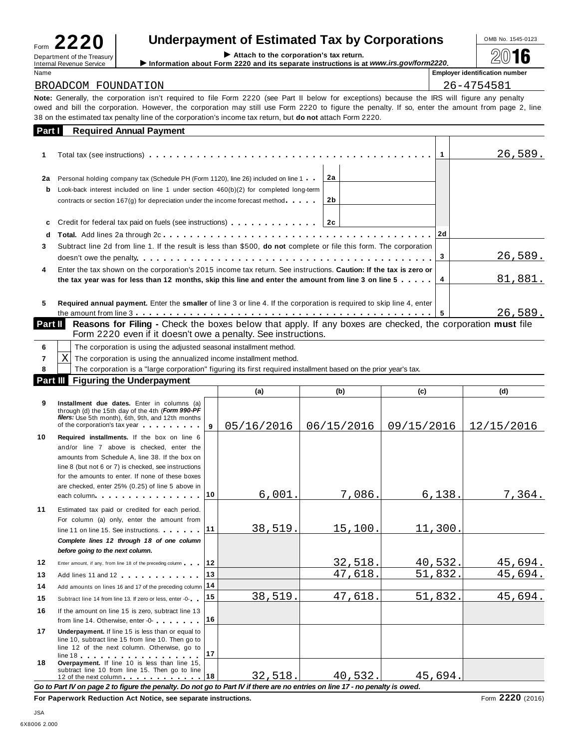| LL<br>Form                                             |  |
|--------------------------------------------------------|--|
| Department of the Treasury<br>Internal Revenue Service |  |

# Underpayment of Estimated Tax by Corporations<br>
Attach to the corporation's tax return.<br>
Information about Form 2220 and its senarate instructions is at *www.irs cov/form*2220

26,589.

|         | Form $ZZU$                                                    |                                                                                                                                                                                                                                                                                                                                                                                                                      |          |   |                                       |  |  |
|---------|---------------------------------------------------------------|----------------------------------------------------------------------------------------------------------------------------------------------------------------------------------------------------------------------------------------------------------------------------------------------------------------------------------------------------------------------------------------------------------------------|----------|---|---------------------------------------|--|--|
|         | Department of the Treasury<br><b>Internal Revenue Service</b> | Information about Form 2220 and its separate instructions is at www.irs.gov/form2220.                                                                                                                                                                                                                                                                                                                                |          |   |                                       |  |  |
| Name    |                                                               |                                                                                                                                                                                                                                                                                                                                                                                                                      |          |   | <b>Employer identification number</b> |  |  |
|         | BROADCOM FOUNDATION                                           |                                                                                                                                                                                                                                                                                                                                                                                                                      |          |   | 26-4754581                            |  |  |
|         |                                                               | Note: Generally, the corporation isn't required to file Form 2220 (see Part II below for exceptions) because the IRS will figure any penalty<br>owed and bill the corporation. However, the corporation may still use Form 2220 to figure the penalty. If so, enter the amount from page 2, line<br>38 on the estimated tax penalty line of the corporation's income tax return, but <b>do not</b> attach Form 2220. |          |   |                                       |  |  |
| Part I  |                                                               | <b>Required Annual Payment</b>                                                                                                                                                                                                                                                                                                                                                                                       |          |   |                                       |  |  |
|         |                                                               |                                                                                                                                                                                                                                                                                                                                                                                                                      |          |   | 26,589.                               |  |  |
| 2a<br>b |                                                               | Personal holding company tax (Schedule PH (Form 1120), line 26) included on line 1<br>Look-back interest included on line 1 under section $460(b)(2)$ for completed long-term<br>contracts or section 167(g) for depreciation under the income forecast method                                                                                                                                                       | 2a<br>2b |   |                                       |  |  |
| c       |                                                               | Credit for federal tax paid on fuels (see instructions) $\ldots$ 2c                                                                                                                                                                                                                                                                                                                                                  |          |   |                                       |  |  |
| 3.      |                                                               | Subtract line 2d from line 1. If the result is less than \$500, do not complete or file this form. The corporation                                                                                                                                                                                                                                                                                                   |          | 3 | 26,589.                               |  |  |

| Enter the tax shown on the corporation's 2015 income tax return. See instructions. Caution: If the tax is zero or            |         |
|------------------------------------------------------------------------------------------------------------------------------|---------|
| the tax year was for less than 12 months, skip this line and enter the amount from line 3 on line 5 $\dots$ . $ 4$           | 81.881. |
| <b>Deguired enough poursest.</b> Enter the amalier of line 2 or line 4. If the corporation is required to okin line 4, onter |         |

**5** the amount from line <sup>3</sup> m m m m m m m m m m m m m m m m m m m m m m m m m m m m m m m m m m m m m m m m m m m m **5 Required annual payment.** Enter the **smaller** of line 3 or line 4. If the corporation is required to skip line 4, enter

**Part II** Reasons for Filing - Check the boxes below that apply. If any boxes are checked, the corporation must file<br>Form 2220 even if it doesn't owe a penalty. See instructions.

|   | The corporation is using the adjusted seasonal installment method.                                              |  |  |  |  |  |  |
|---|-----------------------------------------------------------------------------------------------------------------|--|--|--|--|--|--|
| X | The corporation is using the annualized income installment method.                                              |  |  |  |  |  |  |
|   | The corporation is a "large corporation" figuring its first required installment based on the prior year's tax. |  |  |  |  |  |  |
|   | Part III Figuring the Underpayment                                                                              |  |  |  |  |  |  |
|   |                                                                                                                 |  |  |  |  |  |  |

|          |                                                                                                                                                                                                                                                                                                                                                                                                                                                                                                                                               |    | (a)        | (b)        | (c)        | (d)        |
|----------|-----------------------------------------------------------------------------------------------------------------------------------------------------------------------------------------------------------------------------------------------------------------------------------------------------------------------------------------------------------------------------------------------------------------------------------------------------------------------------------------------------------------------------------------------|----|------------|------------|------------|------------|
| 9        | Installment due dates. Enter in columns (a)<br>through (d) the 15th day of the 4th (Form 990-PF<br>filers: Use 5th month), 6th, 9th, and 12th months<br>of the corporation's tax year and the corporation's tax year                                                                                                                                                                                                                                                                                                                          | 9  | 05/16/2016 | 06/15/2016 | 09/15/2016 | 12/15/2016 |
| 10       | Required installments. If the box on line 6<br>and/or line 7 above is checked, enter the<br>amounts from Schedule A, line 38. If the box on<br>line 8 (but not 6 or 7) is checked, see instructions<br>for the amounts to enter. If none of these boxes<br>are checked, enter 25% (0.25) of line 5 above in<br>each column experience in the column state of the column state of the column state of the column state of the column state of the column state of the column state of the column state of the column state of the column state | 10 | 6,001      | 7,086.     | 6,138.     | 7,364.     |
| 11       | Estimated tax paid or credited for each period.<br>For column (a) only, enter the amount from<br>line 11 on line 15. See instructions.<br>Complete lines 12 through 18 of one column<br>before going to the next column.                                                                                                                                                                                                                                                                                                                      | 11 | 38,519.    | 15,100.    | 11,300.    |            |
| 12       | Enter amount, if any, from line 18 of the preceding column                                                                                                                                                                                                                                                                                                                                                                                                                                                                                    | 12 |            | 32,518.    | 40,532.    | 45,694.    |
| 13       | Add lines 11 and 12                                                                                                                                                                                                                                                                                                                                                                                                                                                                                                                           | 13 |            | 47,618.    | 51,832.    | 45,694.    |
| 14       | Add amounts on lines 16 and 17 of the preceding column 14                                                                                                                                                                                                                                                                                                                                                                                                                                                                                     |    |            |            |            |            |
| 15       | Subtract line 14 from line 13. If zero or less, enter -0-                                                                                                                                                                                                                                                                                                                                                                                                                                                                                     | 15 | 38,519.    | 47,618.    | 51,832.    | 45,694.    |
| 16       | If the amount on line 15 is zero, subtract line 13<br>from line 14. Otherwise, enter -0-                                                                                                                                                                                                                                                                                                                                                                                                                                                      | 16 |            |            |            |            |
| 17<br>18 | Underpayment. If line 15 is less than or equal to<br>line 10, subtract line 15 from line 10. Then go to<br>line 12 of the next column. Otherwise, go to<br>$line 18$<br>Overpayment. If line 10 is less than line 15,                                                                                                                                                                                                                                                                                                                         | 17 |            |            |            |            |
|          | subtract line 10 from line 15. Then go to line<br>12 of the next column 18                                                                                                                                                                                                                                                                                                                                                                                                                                                                    |    | 32,518.    | 40,532.    | 45,694.    |            |

Go to Part IV on page 2 to figure the penalty. Do not go to Part IV if there are no entries on line 17 - no penalty is owed.

**For Paperwork Reduction Act Notice, see separate instructions.** Form **2220** (2016)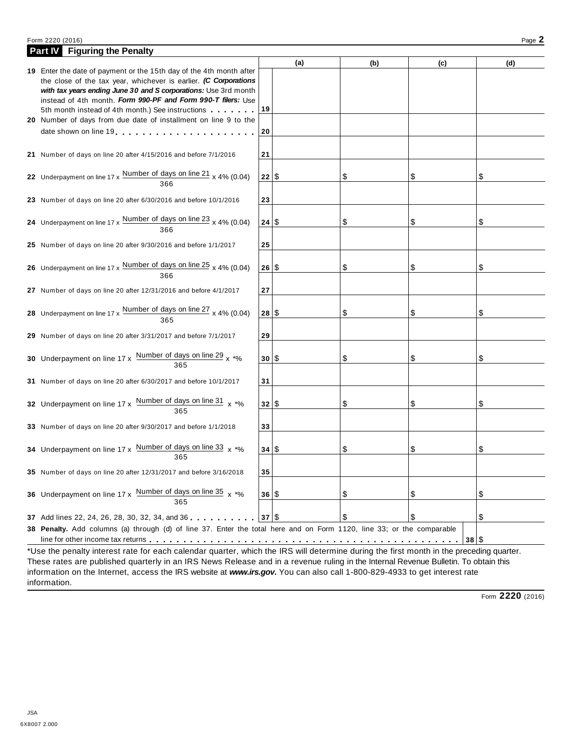#### Form <sup>2220</sup> (2016) Page **2**

| <b>Part IV</b> Figuring the Penalty                                                                                                     |       |     |     |      |     |
|-----------------------------------------------------------------------------------------------------------------------------------------|-------|-----|-----|------|-----|
|                                                                                                                                         |       | (a) | (b) | (c)  | (d) |
| 19 Enter the date of payment or the 15th day of the 4th month after                                                                     |       |     |     |      |     |
| the close of the tax year, whichever is earlier. (C Corporations<br>with tax years ending June 30 and S corporations: Use 3rd month     |       |     |     |      |     |
| instead of 4th month. Form 990-PF and Form 990-T filers: Use                                                                            |       |     |     |      |     |
| 5th month instead of 4th month.) See instructions                                                                                       | 19    |     |     |      |     |
| 20 Number of days from due date of installment on line 9 to the                                                                         |       |     |     |      |     |
|                                                                                                                                         | 20    |     |     |      |     |
|                                                                                                                                         |       |     |     |      |     |
| 21 Number of days on line 20 after 4/15/2016 and before 7/1/2016                                                                        | 21    |     |     |      |     |
|                                                                                                                                         |       |     |     |      |     |
| 22 Underpayment on line $17 \times \frac{\text{Number of days on line 21}}{366} \times 4\% (0.04)$                                      | 22 \$ |     | \$  | \$   | \$  |
|                                                                                                                                         |       |     |     |      |     |
| 23 Number of days on line 20 after 6/30/2016 and before 10/1/2016                                                                       | 23    |     |     |      |     |
|                                                                                                                                         |       |     |     |      |     |
| 24 Underpayment on line $17 \times \frac{\text{Number of days on line 23}}{366} \times 4\% (0.04)$                                      | 24 S  |     | \$  | \$   | \$  |
|                                                                                                                                         |       |     |     |      |     |
| 25 Number of days on line 20 after 9/30/2016 and before 1/1/2017                                                                        | 25    |     |     |      |     |
|                                                                                                                                         |       |     |     |      |     |
| 26 Underpayment on line 17 x Number of days on line 25 x 4% (0.04)                                                                      | 26 S  |     | \$  | \$   | \$  |
| 366                                                                                                                                     |       |     |     |      |     |
| 27 Number of days on line 20 after 12/31/2016 and before 4/1/2017                                                                       | 27    |     |     |      |     |
|                                                                                                                                         |       |     |     |      |     |
| 28 Underpayment on line $17 \times \frac{\text{Number of days on line } 27}{365} \times 4\% (0.04)$                                     | 28 S  |     | \$  | \$   | \$  |
|                                                                                                                                         |       |     |     |      |     |
| 29 Number of days on line 20 after 3/31/2017 and before 7/1/2017                                                                        | 29    |     |     |      |     |
|                                                                                                                                         |       |     |     |      |     |
| 30 Underpayment on line $17 \times \frac{\text{Number of days on line 29}}{365} \times \frac{10000 \text{ m}}{365}$                     | 30 S  |     | \$  | \$   | \$  |
|                                                                                                                                         |       |     |     |      |     |
| 31 Number of days on line 20 after 6/30/2017 and before 10/1/2017                                                                       | 31    |     |     |      |     |
| 32 Underpayment on line 17 x Number of days on line 31 x *%                                                                             | 32 S  |     | \$  | \$   |     |
| 365                                                                                                                                     |       |     |     |      | \$  |
|                                                                                                                                         | 33    |     |     |      |     |
| 33 Number of days on line 20 after 9/30/2017 and before 1/1/2018                                                                        |       |     |     |      |     |
| 34 Underpayment on line 17 x Number of days on line 33 x *%                                                                             | 34 S  |     | \$  | \$   | \$  |
| 365                                                                                                                                     |       |     |     |      |     |
| 35 Number of days on line 20 after 12/31/2017 and before 3/16/2018                                                                      | 35    |     |     |      |     |
|                                                                                                                                         |       |     |     |      |     |
| 36 Underpayment on line 17 x Number of days on line 35 x *%                                                                             | 36 S  |     | \$  | \$   | \$  |
| 365                                                                                                                                     |       |     |     |      |     |
| 37 Add lines 22, 24, 26, 28, 30, 32, 34, and 36                                                                                         | 37 S  |     | \$  | \$   | \$  |
| 38 Penalty. Add columns (a) through (d) of line 37. Enter the total here and on Form 1120, line 33; or the comparable                   |       |     |     |      |     |
| line for other income tax returns enterpretation of the set of the set of the set of the set of the set of the                          |       |     |     | 38 S |     |
| *Use the penalty interest rate for each calendar quarter, which the IRS will determine during the first month in the preceding quarter. |       |     |     |      |     |

\*Use the penalty interest rate for each calendar quarter, which the IRS will determine during the first month in the preceding quarter. These rates are published quarterly in an IRS News Release and in a revenue ruling in the Internal Revenue Bulletin. To obtain this information on the Internet, access the IRS website at *www.irs.gov***.** You can also call 1-800-829-4933 to get interest rate information.

Form **2220** (2016)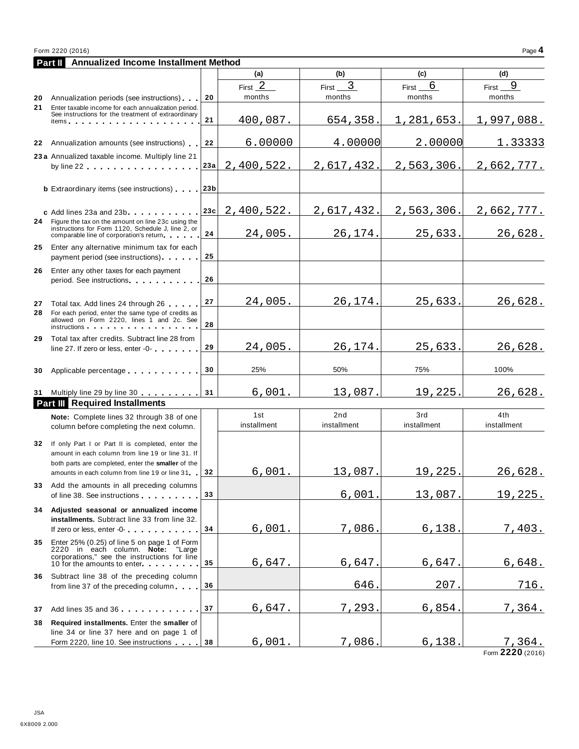|    | <b>Annualized Income Installment Method</b><br>Part II                                                                                                                                                            |     |                                          |                                   |                      |                      |
|----|-------------------------------------------------------------------------------------------------------------------------------------------------------------------------------------------------------------------|-----|------------------------------------------|-----------------------------------|----------------------|----------------------|
|    |                                                                                                                                                                                                                   |     | (a)                                      | (b)                               | (c)                  | (d)                  |
| 20 | Annualization periods (see instructions)                                                                                                                                                                          | 20  | First $\overline{\phantom{a}}$<br>months | $\overline{3}$<br>First<br>months | 6<br>First<br>months | 9<br>First<br>months |
| 21 | Enter taxable income for each annualization period.<br>See instructions for the treatment of extraordinary<br>items                                                                                               | 21  | 400,087.                                 | 654,358.                          | 1,281,653.           | 1,997,088.           |
|    |                                                                                                                                                                                                                   |     |                                          |                                   |                      |                      |
|    | 22 Annualization amounts (see instructions)                                                                                                                                                                       | 22  | 6.00000                                  | 4.00000                           | 2.00000              | 1.33333              |
|    | 23 a Annualized taxable income. Multiply line 21<br>by line $22$ , , , , , , , , , , , , , , , , ,                                                                                                                | 23a | 2,400,522.                               | 2,617,432.                        | 2,563,306.           | 2,662,777.           |
|    | <b>b</b> Extraordinary items (see instructions) 23b                                                                                                                                                               |     |                                          |                                   |                      |                      |
|    | c Add lines 23a and 23b                                                                                                                                                                                           | 23c | 2,400,522.                               | 2,617,432.                        | 2,563,306.           | 2,662,777.           |
| 24 | Figure the tax on the amount on line 23c using the<br>instructions for Form 1120, Schedule J, line 2, or<br>comparable line of corporation's return                                                               | 24  | 24,005.                                  | 26,174.                           | 25,633.              | 26,628.              |
| 25 | Enter any alternative minimum tax for each<br>payment period (see instructions)                                                                                                                                   | 25  |                                          |                                   |                      |                      |
| 26 | Enter any other taxes for each payment<br>period. See instructions experience of the set of the set of the set of the set of the set of the set of the s                                                          | 26  |                                          |                                   |                      |                      |
| 27 | Total tax. Add lines 24 through 26                                                                                                                                                                                | 27  | 24,005.                                  | 26,174.                           | 25,633.              | 26,628.              |
| 28 | For each period, enter the same type of credits as<br>allowed on Form 2220, lines 1 and 2c. See<br>instructions and the set of the set of the set of the set of the set of the set of the set of the set of the s | 28  |                                          |                                   |                      |                      |
| 29 | Total tax after credits. Subtract line 28 from<br>line 27. If zero or less, enter -0-                                                                                                                             | 29  | 24,005.                                  | 26,174.                           | 25,633.              | 26,628.              |
| 30 | Applicable percentage                                                                                                                                                                                             | 30  | 25%                                      | 50%                               | 75%                  | 100%                 |
|    | 31 Multiply line 29 by line 30                                                                                                                                                                                    | 31  | 6,001.                                   | 13,087.                           | 19,225.              | 26,628.              |
|    | <b>Part III</b> Required Installments                                                                                                                                                                             |     |                                          |                                   |                      |                      |
|    | Note: Complete lines 32 through 38 of one<br>column before completing the next column.                                                                                                                            |     | 1st<br>installment                       | 2nd<br>installment                | 3rd<br>installment   | 4th<br>installment   |
| 32 | If only Part I or Part II is completed, enter the<br>amount in each column from line 19 or line 31. If<br>both parts are completed, enter the smaller of the                                                      |     |                                          |                                   |                      |                      |
|    | amounts in each column from line 19 or line 31                                                                                                                                                                    | 32  | 6,001.                                   | 13,087.                           | 19,225.              | 26,628.              |
|    | 33 Add the amounts in all preceding columns<br>of line 38. See instructions example 28.                                                                                                                           | 33  |                                          | 6,001.                            | 13,087.              | 19,225.              |
|    | 34 Adjusted seasonal or annualized income<br>installments. Subtract line 33 from line 32.<br>If zero or less, enter -0-                                                                                           | 34  | 6,001.                                   | 7,086.                            | 6,138.               | <u>7,403.</u>        |
| 35 | Enter 25% (0.25) of line 5 on page 1 of Form<br>2220 in each column. Note: "Large<br>corporations," see the instructions for line                                                                                 |     |                                          |                                   |                      |                      |
|    | 10 for the amounts to enter<br>36 Subtract line 38 of the preceding column                                                                                                                                        | 35  | 6,647.                                   | 6,647.                            | 6,647.               | 6,648.               |
|    | from line 37 of the preceding column                                                                                                                                                                              | 36  |                                          | 646.                              | 207.                 | 716.                 |
|    | 37 Add lines 35 and 36                                                                                                                                                                                            | 37  | 6,647.                                   | 7,293.                            | 6,854.               | 7,364.               |
| 38 | Required installments. Enter the smaller of<br>line 34 or line 37 here and on page 1 of<br>Form 2220, line 10. See instructions                                                                                   | 38  | 6,001.                                   | 7,086.                            | 6,138.               |                      |
|    |                                                                                                                                                                                                                   |     |                                          |                                   |                      | <u>7,364.</u>        |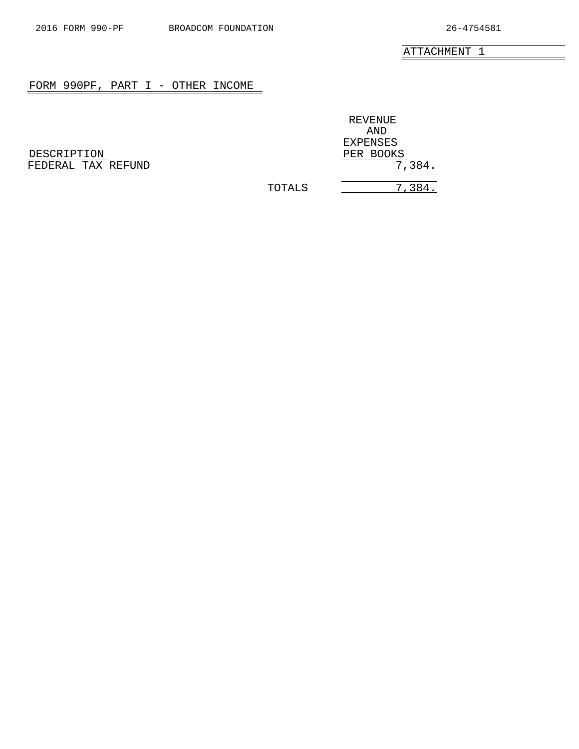$\overline{\phantom{0}}$ 

ATTACHMENT 1

### <span id="page-16-0"></span>FORM 990PF, PART I - OTHER INCOME

| DESCRIPTION        |  |  | PER BOOKS |
|--------------------|--|--|-----------|
| FEDERAL TAX REFUND |  |  | 7,384.    |

REVENUE AND EXPENSES

TOTALS  $\overline{\qquad \qquad }$  7,384.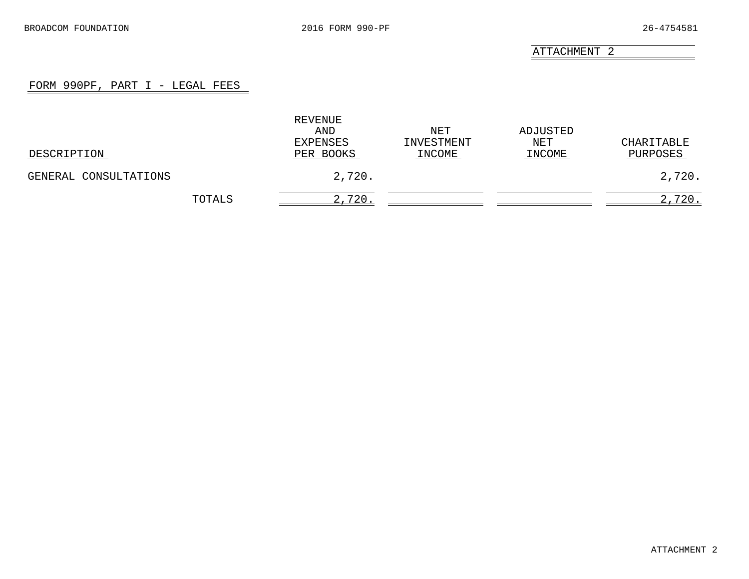#### FORM 990PF, PART I - LEGAL FEES

<span id="page-17-0"></span>

| DESCRIPTION           | REVENUE<br>AND<br>EXPENSES<br>PER BOOKS | NET<br>INVESTMENT<br>INCOME | ADJUSTED<br>NET<br>INCOME | CHARITABLE<br>PURPOSES |
|-----------------------|-----------------------------------------|-----------------------------|---------------------------|------------------------|
| GENERAL CONSULTATIONS | 2,720.                                  |                             |                           | 2,720.                 |
| TOTALS                | 2,720.                                  |                             |                           | 2,720.                 |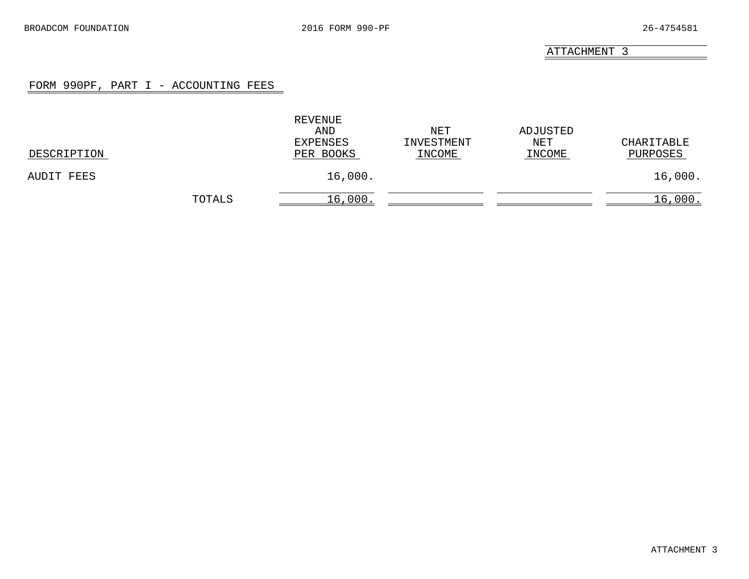#### FORM 990PF, PART I - ACCOUNTING FEES

<span id="page-18-0"></span>

| DESCRIPTION |        | REVENUE<br>AND<br>EXPENSES<br>PER BOOKS | NET<br>INVESTMENT<br>INCOME | ADJUSTED<br>NET<br>INCOME | CHARITABLE<br>PURPOSES |
|-------------|--------|-----------------------------------------|-----------------------------|---------------------------|------------------------|
| AUDIT FEES  |        | 16,000.                                 |                             |                           | 16,000.                |
|             | TOTALS | 16,000                                  |                             |                           | 16,000.                |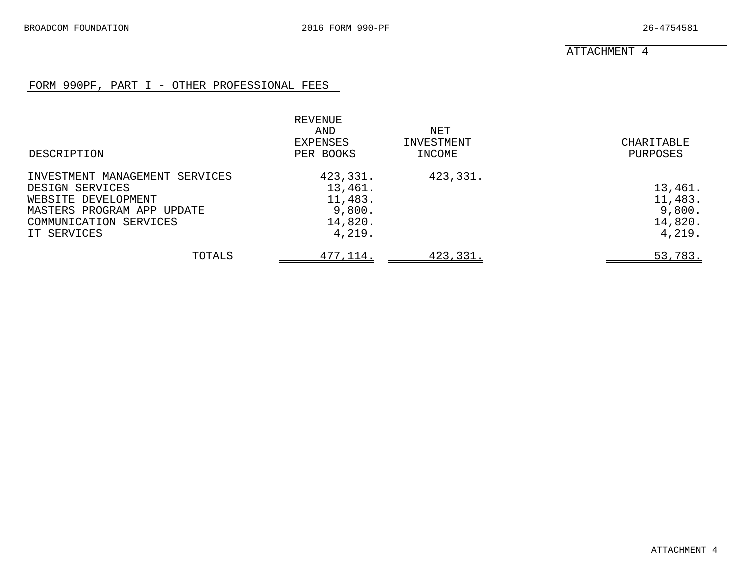#### FORM 990PF, PART I - OTHER PROFESSIONAL FEES

<span id="page-19-0"></span>

| DESCRIPTION                    | REVENUE<br>AND<br>EXPENSES<br>PER BOOKS | NET<br>INVESTMENT<br>INCOME | CHARITABLE<br>PURPOSES |
|--------------------------------|-----------------------------------------|-----------------------------|------------------------|
| INVESTMENT MANAGEMENT SERVICES | 423,331.                                | 423,331.                    |                        |
| DESIGN SERVICES                | 13,461.                                 |                             | 13,461.                |
| WEBSITE DEVELOPMENT            | 11,483.                                 |                             | 11,483.                |
| MASTERS PROGRAM APP UPDATE     | 9,800.                                  |                             | 9,800.                 |
| COMMUNICATION SERVICES         | 14,820.                                 |                             | 14,820.                |
| IT SERVICES                    | 4,219.                                  |                             | 4,219.                 |
| TOTALS                         | 477, 114.                               | 423,331.                    | 53,783.                |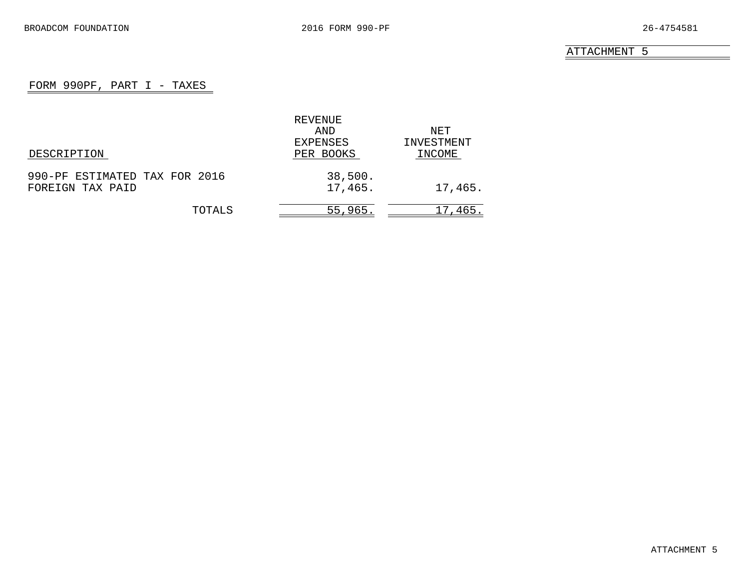#### FORM 990PF, PART I - TAXES

<span id="page-20-0"></span>

|                               | REVENUE   |            |
|-------------------------------|-----------|------------|
|                               | AND       | NET.       |
|                               | EXPENSES  | INVESTMENT |
| DESCRIPTION                   | PER BOOKS | INCOME     |
| 990-PF ESTIMATED TAX FOR 2016 | 38,500.   |            |
| FOREIGN TAX PAID              | 17,465.   | 17,465.    |
| TOTALS                        | 55,965.   | 17,465.    |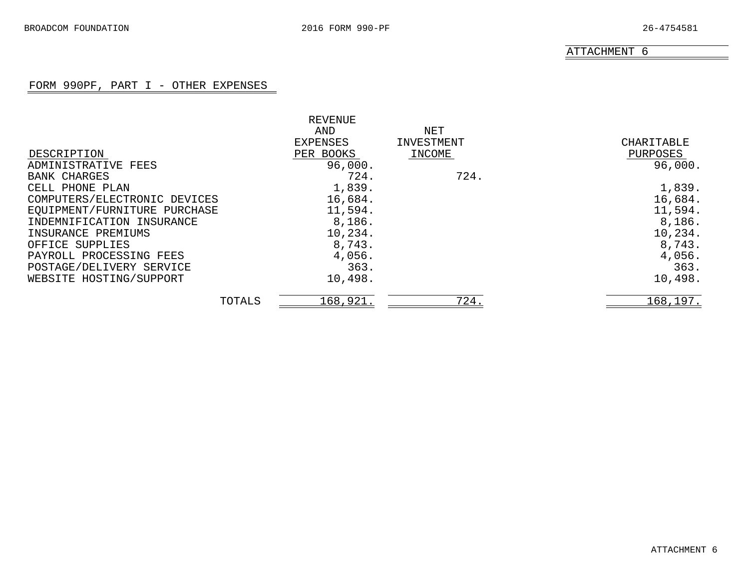#### FORM 990PF, PART I - OTHER EXPENSES

<span id="page-21-0"></span>

|                              | REVENUE   |            |            |
|------------------------------|-----------|------------|------------|
|                              | AND       | NET        |            |
|                              | EXPENSES  | INVESTMENT | CHARITABLE |
| DESCRIPTION                  | PER BOOKS | INCOME     | PURPOSES   |
| ADMINISTRATIVE FEES          | 96,000.   |            | 96,000.    |
| BANK CHARGES                 | 724.      | 724.       |            |
| CELL PHONE PLAN              | 1,839.    |            | 1,839.     |
| COMPUTERS/ELECTRONIC DEVICES | 16,684.   |            | 16,684.    |
| EQUIPMENT/FURNITURE PURCHASE | 11,594.   |            | 11,594.    |
| INDEMNIFICATION INSURANCE    | 8,186.    |            | 8,186.     |
| INSURANCE PREMIUMS           | 10,234.   |            | 10,234.    |
| OFFICE SUPPLIES              | 8,743.    |            | 8,743.     |
| PAYROLL PROCESSING FEES      | 4,056.    |            | 4,056.     |
| POSTAGE/DELIVERY SERVICE     | 363.      |            | 363.       |
| WEBSITE HOSTING/SUPPORT      | 10,498.   |            | 10,498.    |
| TOTALS                       | 168,921.  | 724.       | 168,197.   |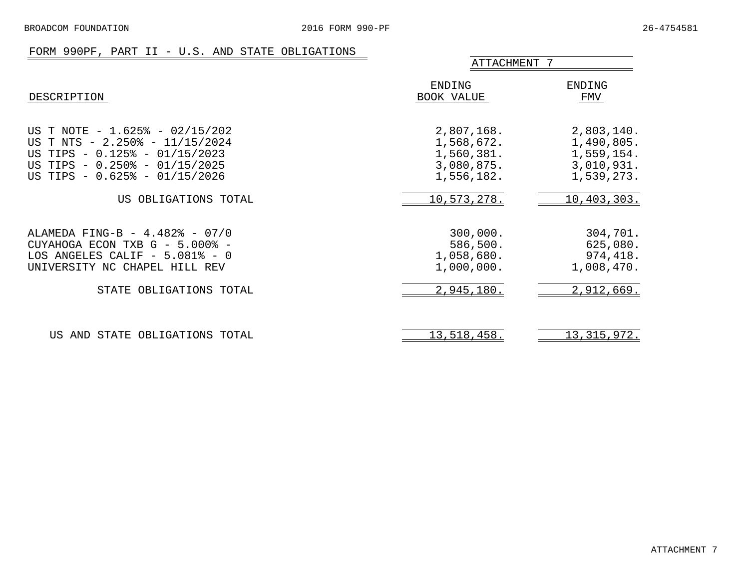#### FORM 990PF, PART II - U.S. AND STATE OBLIGATIONS

<span id="page-22-0"></span>

|                                                                                                                                                                                     | ATTACHMENT 7                                                       |                                                                    |
|-------------------------------------------------------------------------------------------------------------------------------------------------------------------------------------|--------------------------------------------------------------------|--------------------------------------------------------------------|
| DESCRIPTION                                                                                                                                                                         | ENDING<br>BOOK VALUE                                               | ENDING<br>FMV                                                      |
| US T NOTE - $1.625$ <sup>2</sup> - $02/15/202$<br>US T NTS - 2.250% - 11/15/2024<br>US TIPS - 0.125% - 01/15/2023<br>US TIPS - 0.250% - 01/15/2025<br>US TIPS - 0.625% - 01/15/2026 | 2,807,168.<br>1,568,672.<br>1,560,381.<br>3,080,875.<br>1,556,182. | 2,803,140.<br>1,490,805.<br>1,559,154.<br>3,010,931.<br>1,539,273. |
| US OBLIGATIONS TOTAL                                                                                                                                                                | 10,573,278.                                                        | 10,403,303.                                                        |
| ALAMEDA FING-B - 4.482% - 07/0<br>CUYAHOGA ECON TXB G - 5.000% -<br>LOS ANGELES CALIF $-5.081$ <sup>2</sup> - 0<br>UNIVERSITY NC CHAPEL HILL REV                                    | 300,000.<br>586,500.<br>1,058,680.<br>1,000,000.                   | 304,701.<br>625,080.<br>974,418.<br>1,008,470.                     |
| STATE OBLIGATIONS TOTAL                                                                                                                                                             | 2,945,180.                                                         | 2,912,669.                                                         |
| US AND STATE OBLIGATIONS TOTAL                                                                                                                                                      | 13,518,458.                                                        | 13, 315, 972.                                                      |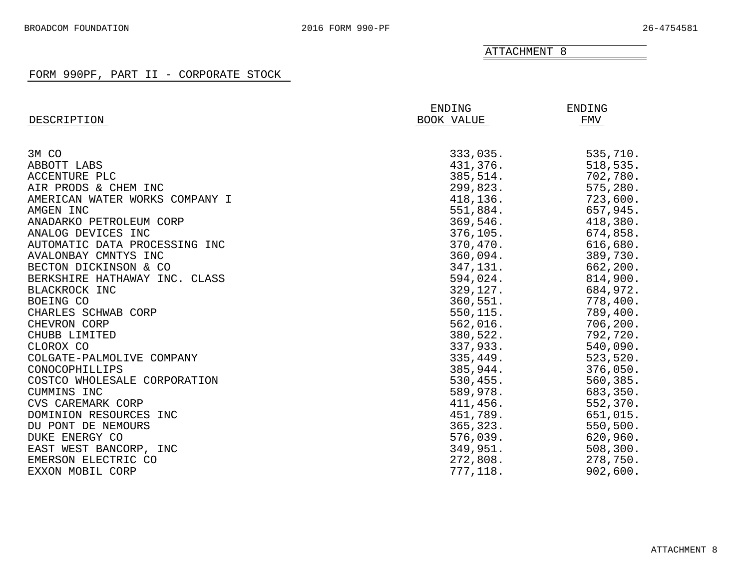#### FORM 990PF, PART II - CORPORATE STOCK

<span id="page-23-0"></span>

|                                | ENDING     | ENDING    |
|--------------------------------|------------|-----------|
| DESCRIPTION                    | BOOK VALUE | FMV       |
|                                |            |           |
| 3M CO                          | 333,035.   | 535,710.  |
| ABBOTT LABS                    | 431,376.   | 518, 535. |
| ACCENTURE PLC                  | 385,514.   | 702,780.  |
| AIR PRODS & CHEM INC           | 299,823.   | 575,280.  |
| AMERICAN WATER WORKS COMPANY I | 418,136.   | 723,600.  |
| AMGEN INC                      | 551,884.   | 657,945.  |
| ANADARKO PETROLEUM CORP        | 369,546.   | 418,380.  |
| ANALOG DEVICES INC             | 376,105.   | 674,858.  |
| AUTOMATIC DATA PROCESSING INC  | 370,470.   | 616,680.  |
| AVALONBAY CMNTYS INC           | 360,094.   | 389,730.  |
| BECTON DICKINSON & CO          | 347,131.   | 662,200.  |
| BERKSHIRE HATHAWAY INC. CLASS  | 594,024.   | 814,900.  |
| BLACKROCK INC                  | 329,127.   | 684,972.  |
| BOEING CO                      | 360,551.   | 778,400.  |
| CHARLES SCHWAB CORP            | 550,115.   | 789,400.  |
| CHEVRON CORP                   | 562,016.   | 706, 200. |
| CHUBB LIMITED                  | 380,522.   | 792,720.  |
| CLOROX CO                      | 337,933.   | 540,090.  |
| COLGATE-PALMOLIVE COMPANY      | 335,449.   | 523,520.  |
| CONOCOPHILLIPS                 | 385,944.   | 376,050.  |
| COSTCO WHOLESALE CORPORATION   | 530,455.   | 560,385.  |
| CUMMINS INC                    | 589,978.   | 683,350.  |
| CVS CAREMARK CORP              | 411,456.   | 552,370.  |
| DOMINION RESOURCES<br>INC      | 451,789.   | 651,015.  |
| DU PONT DE NEMOURS             | 365, 323.  | 550,500.  |
| DUKE ENERGY CO                 | 576,039.   | 620,960.  |
| EAST WEST BANCORP, INC         | 349,951.   | 508, 300. |
| EMERSON ELECTRIC CO            | 272,808.   | 278,750.  |
| EXXON MOBIL CORP               | 777,118.   | 902,600.  |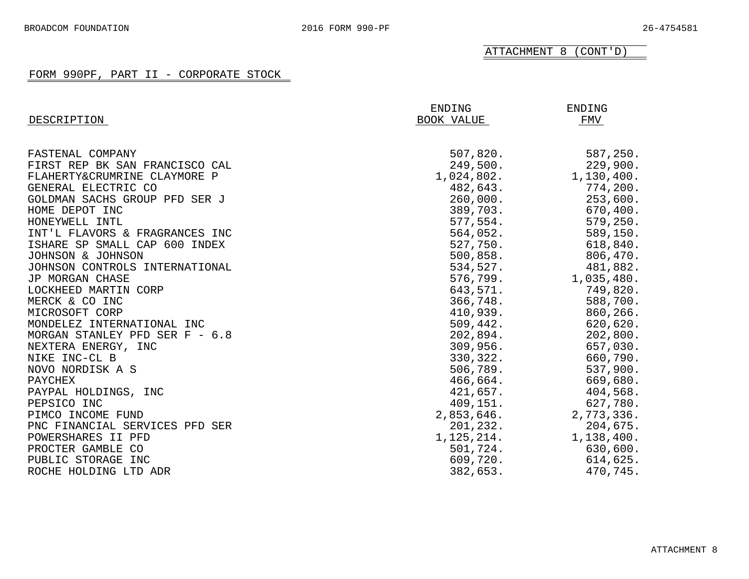ATTACHMENT 8 (CONT'D)

#### FORM 990PF, PART II - CORPORATE STOCK

| DESCRIPTION                    | ENDING<br>BOOK VALUE | ENDING<br>FMV |
|--------------------------------|----------------------|---------------|
|                                |                      |               |
| FASTENAL COMPANY               | 507,820.             | 587,250.      |
| FIRST REP BK SAN FRANCISCO CAL | 249,500.             | 229,900.      |
| FLAHERTY&CRUMRINE CLAYMORE P   | 1,024,802.           | 1,130,400.    |
| GENERAL ELECTRIC CO            | 482,643.             | 774,200.      |
| GOLDMAN SACHS GROUP PFD SER J  | 260,000.             | 253,600.      |
| HOME DEPOT INC                 | 389,703.             | 670,400.      |
| HONEYWELL INTL                 | 577,554.             | 579,250.      |
| INT'L FLAVORS & FRAGRANCES INC | 564,052.             | 589,150.      |
| ISHARE SP SMALL CAP 600 INDEX  | 527,750.             | 618,840.      |
| JOHNSON & JOHNSON              | 500, 858.            | 806,470.      |
| JOHNSON CONTROLS INTERNATIONAL | 534,527.             | 481,882.      |
| JP MORGAN CHASE                | 576,799.             | 1,035,480.    |
| LOCKHEED MARTIN CORP           | 643,571.             | 749,820.      |
| MERCK & CO INC                 | 366,748.             | 588,700.      |
| MICROSOFT CORP                 | 410,939.             | 860,266.      |
| MONDELEZ INTERNATIONAL INC     | 509,442.             | 620,620.      |
| MORGAN STANLEY PFD SER F - 6.8 | 202,894.             | 202,800.      |
| NEXTERA ENERGY, INC            | 309,956.             | 657,030.      |
| NIKE INC-CL B                  | 330,322.             | 660,790.      |
| NOVO NORDISK A S               | 506,789.             | 537,900.      |
| PAYCHEX                        | 466,664.             | 669,680.      |
| PAYPAL HOLDINGS, INC           | 421,657.             | 404,568.      |
| PEPSICO INC                    | 409,151.             | 627,780.      |
| PIMCO INCOME FUND              | 2,853,646.           | 2,773,336.    |
| PNC FINANCIAL SERVICES PFD SER | 201,232.             | 204,675.      |
| POWERSHARES II PFD             | 1, 125, 214.         | 1,138,400.    |
| PROCTER GAMBLE CO              | 501,724.             | 630,600.      |
| PUBLIC STORAGE INC             | 609,720.             | 614,625.      |
| ROCHE HOLDING LTD ADR          | 382,653.             | 470,745.      |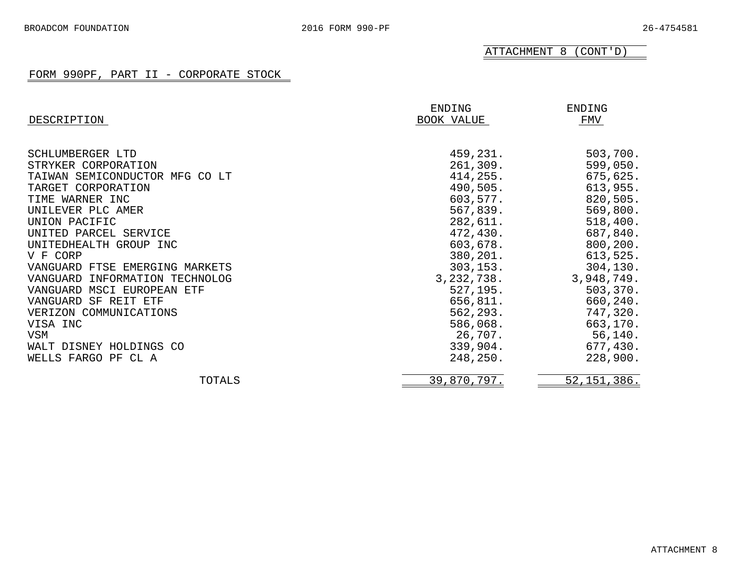ATTACHMENT 8 (CONT'D)

#### FORM 990PF, PART II - CORPORATE STOCK

|                                | ENDING       | ENDING        |
|--------------------------------|--------------|---------------|
| DESCRIPTION                    | BOOK VALUE   | FMV           |
|                                |              |               |
| SCHLUMBERGER LTD               | 459,231.     | 503,700.      |
| STRYKER CORPORATION            | 261,309.     | 599,050.      |
| TAIWAN SEMICONDUCTOR MFG CO LT | 414, 255.    | 675,625.      |
| TARGET CORPORATION             | 490,505.     | 613,955.      |
| TIME WARNER INC                | 603,577.     | 820,505.      |
| UNILEVER PLC AMER              | 567,839.     | 569,800.      |
| UNION PACIFIC                  | 282,611.     | 518,400.      |
| UNITED PARCEL SERVICE          | 472,430.     | 687,840.      |
| UNITEDHEALTH GROUP INC         | 603,678.     | 800, 200.     |
| V F CORP                       | 380,201.     | 613,525.      |
| VANGUARD FTSE EMERGING MARKETS | 303, 153.    | 304, 130.     |
| VANGUARD INFORMATION TECHNOLOG | 3, 232, 738. | 3,948,749.    |
| VANGUARD MSCI EUROPEAN ETF     | 527,195.     | 503, 370.     |
| VANGUARD SF REIT ETF           | 656,811.     | 660,240.      |
| VERIZON COMMUNICATIONS         | 562,293.     | 747,320.      |
| VISA INC                       | 586,068.     | 663,170.      |
| VSM                            | 26,707.      | 56, 140.      |
| WALT DISNEY HOLDINGS CO        | 339,904.     | 677,430.      |
| WELLS FARGO PF CL A            | 248, 250.    | 228,900.      |
| TOTALS                         | 39,870,797.  | 52, 151, 386. |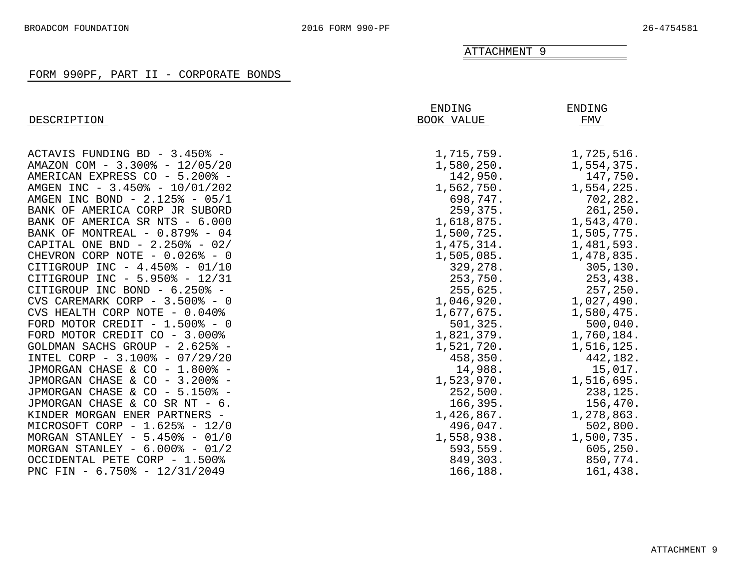#### FORM 990PF, PART II - CORPORATE BONDS

<span id="page-26-0"></span>

|                                        | ENDING     | <b>ENDING</b> |
|----------------------------------------|------------|---------------|
| DESCRIPTION                            | BOOK VALUE | FMV           |
| ACTAVIS FUNDING BD - 3.450% -          | 1,715,759. | 1,725,516.    |
| AMAZON COM - 3.300% - 12/05/20         | 1,580,250. | 1,554,375.    |
| AMERICAN EXPRESS CO - 5.200% -         | 142,950.   | 147,750.      |
| AMGEN INC - 3.450% - 10/01/202         | 1,562,750. | 1,554,225.    |
| AMGEN INC BOND - 2.125% - 05/1         | 698,747.   | 702,282.      |
| BANK OF AMERICA CORP JR SUBORD         | 259,375.   | 261,250.      |
| BANK OF AMERICA SR NTS - 6.000         | 1,618,875. | 1,543,470.    |
| BANK OF MONTREAL - 0.879% - 04         | 1,500,725. | 1,505,775.    |
| CAPITAL ONE BND - $2.250\%$ - 02/      | 1,475,314. | 1,481,593.    |
| CHEVRON CORP NOTE - 0.026% - 0         | 1,505,085. | 1,478,835.    |
| CITIGROUP INC - $4.450\%$ - 01/10      | 329,278.   | 305, 130.     |
| CITIGROUP INC - 5.950% - 12/31         | 253,750.   | 253,438.      |
| CITIGROUP INC BOND - 6.250% -          | 255,625.   | 257,250.      |
| CVS CAREMARK CORP - 3.500% - 0         | 1,046,920. | 1,027,490.    |
| CVS HEALTH CORP NOTE - 0.040%          | 1,677,675. | 1,580,475.    |
| FORD MOTOR CREDIT $-1.500\text{*}$ - 0 | 501, 325.  | 500,040.      |
| FORD MOTOR CREDIT CO - 3.000%          | 1,821,379. | 1,760,184.    |
| GOLDMAN SACHS GROUP - 2.625% -         | 1,521,720. | 1,516,125.    |
| INTEL CORP - 3.100% - 07/29/20         | 458,350.   | 442,182.      |
| JPMORGAN CHASE & CO - 1.800% -         | 14,988.    | 15,017.       |
| JPMORGAN CHASE & CO - 3.200% -         | 1,523,970. | 1,516,695.    |
| JPMORGAN CHASE & CO - 5.150% -         | 252,500.   | 238,125.      |
| JPMORGAN CHASE & CO SR NT - 6.         | 166, 395.  | 156,470.      |
| KINDER MORGAN ENER PARTNERS -          | 1,426,867. | 1,278,863.    |
| MICROSOFT CORP - 1.625% - 12/0         | 496,047.   | 502,800.      |
| MORGAN STANLEY - $5.450\%$ - 01/0      | 1,558,938. | 1,500,735.    |
| MORGAN STANLEY - $6.000\%$ - 01/2      | 593,559.   | 605, 250.     |
| OCCIDENTAL PETE CORP - 1.500%          | 849,303.   | 850,774.      |
| PNC FIN - $6.750\%$ - $12/31/2049$     | 166,188.   | 161,438.      |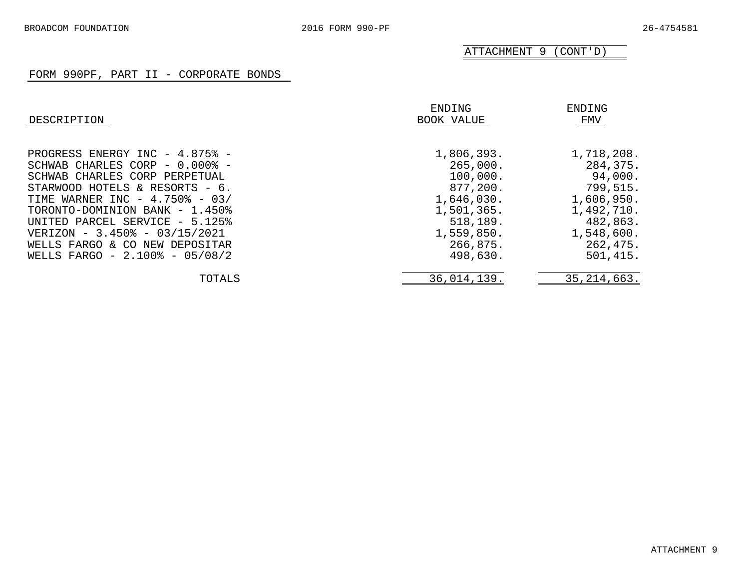ATTACHMENT 9 (CONT'D)

#### FORM 990PF, PART II - CORPORATE BONDS

| DESCRIPTION                                                                                                                                                                                                                                                                                                  | ENDING<br>BOOK VALUE                                                                                             | ENDING<br>FMV                                                                                                   |
|--------------------------------------------------------------------------------------------------------------------------------------------------------------------------------------------------------------------------------------------------------------------------------------------------------------|------------------------------------------------------------------------------------------------------------------|-----------------------------------------------------------------------------------------------------------------|
| PROGRESS ENERGY INC - 4.875% -<br>SCHWAB CHARLES CORP - 0.000% -<br>SCHWAB CHARLES CORP PERPETUAL<br>STARWOOD HOTELS & RESORTS - 6.<br>TIME WARNER INC - 4.750% - 03/<br>TORONTO-DOMINION BANK - 1.450%<br>UNITED PARCEL SERVICE - 5.125%<br>VERIZON - 3.450% - 03/15/2021<br>WELLS FARGO & CO NEW DEPOSITAR | 1,806,393.<br>265,000.<br>100,000.<br>877,200.<br>1,646,030.<br>1,501,365.<br>518,189.<br>1,559,850.<br>266,875. | 1,718,208.<br>284,375.<br>94,000.<br>799,515.<br>1,606,950.<br>1,492,710.<br>482,863.<br>1,548,600.<br>262,475. |
| WELLS FARGO - 2.100% - 05/08/2                                                                                                                                                                                                                                                                               | 498,630.                                                                                                         | 501, 415.                                                                                                       |
| TOTALS                                                                                                                                                                                                                                                                                                       | 36,014,139.                                                                                                      | 35, 214, 663.                                                                                                   |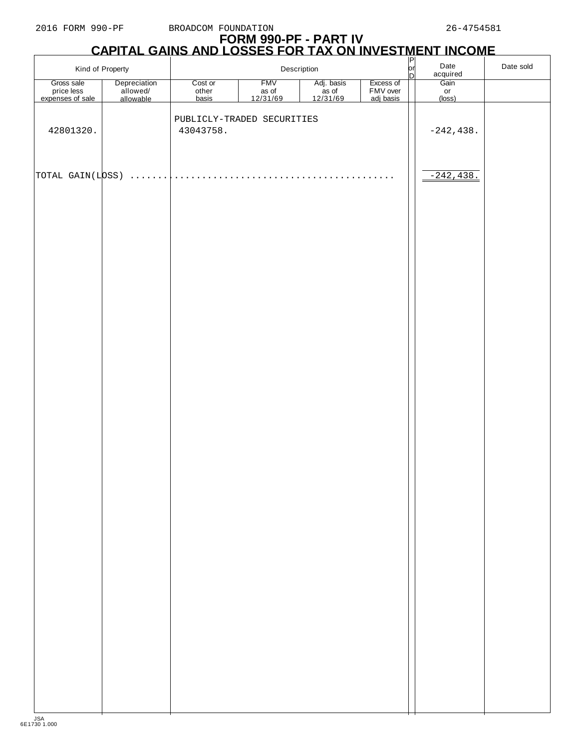$\overline{1}$ 

## **FORM 990-PF - PART IV CAPITAL GAINS AND LOSSES FOR TAX ON INVESTMENT INCOME** P

|                                | Kind of Property                      |                  | Description                |                                 | $\frac{1}{D}$         | Date<br>acquired | Date sold           |  |
|--------------------------------|---------------------------------------|------------------|----------------------------|---------------------------------|-----------------------|------------------|---------------------|--|
| Gross sale                     | Depreciation<br>allowed/<br>allowable | Cost or          | <b>FMV</b>                 | Adj. basis<br>as of<br>12/31/69 | Excess of             |                  | Gain<br>or          |  |
| price less<br>expenses of sale |                                       | obot of<br>basis | as of<br>12/31/69          |                                 | FMV over<br>adj basis |                  | $(\overline{loss})$ |  |
| 42801320.                      |                                       | 43043758.        | PUBLICLY-TRADED SECURITIES |                                 |                       |                  | $-242, 438.$        |  |
|                                |                                       |                  |                            |                                 |                       |                  |                     |  |
| TOTAL GAIN(LOSS)               | $\mathbf{r}$                          |                  |                            |                                 |                       |                  | $-242, 438.$        |  |
|                                |                                       |                  |                            |                                 |                       |                  |                     |  |
|                                |                                       |                  |                            |                                 |                       |                  |                     |  |
|                                |                                       |                  |                            |                                 |                       |                  |                     |  |
|                                |                                       |                  |                            |                                 |                       |                  |                     |  |
|                                |                                       |                  |                            |                                 |                       |                  |                     |  |
|                                |                                       |                  |                            |                                 |                       |                  |                     |  |
|                                |                                       |                  |                            |                                 |                       |                  |                     |  |
|                                |                                       |                  |                            |                                 |                       |                  |                     |  |
|                                |                                       |                  |                            |                                 |                       |                  |                     |  |
|                                |                                       |                  |                            |                                 |                       |                  |                     |  |
|                                |                                       |                  |                            |                                 |                       |                  |                     |  |
|                                |                                       |                  |                            |                                 |                       |                  |                     |  |
|                                |                                       |                  |                            |                                 |                       |                  |                     |  |
|                                |                                       |                  |                            |                                 |                       |                  |                     |  |
|                                |                                       |                  |                            |                                 |                       |                  |                     |  |
|                                |                                       |                  |                            |                                 |                       |                  |                     |  |
|                                |                                       |                  |                            |                                 |                       |                  |                     |  |
|                                |                                       |                  |                            |                                 |                       |                  |                     |  |
|                                |                                       |                  |                            |                                 |                       |                  |                     |  |
|                                |                                       |                  |                            |                                 |                       |                  |                     |  |
|                                |                                       |                  |                            |                                 |                       |                  |                     |  |
|                                |                                       |                  |                            |                                 |                       |                  |                     |  |
|                                |                                       |                  |                            |                                 |                       |                  |                     |  |
|                                |                                       |                  |                            |                                 |                       |                  |                     |  |
|                                |                                       |                  |                            |                                 |                       |                  |                     |  |
|                                |                                       |                  |                            |                                 |                       |                  |                     |  |
|                                |                                       |                  |                            |                                 |                       |                  |                     |  |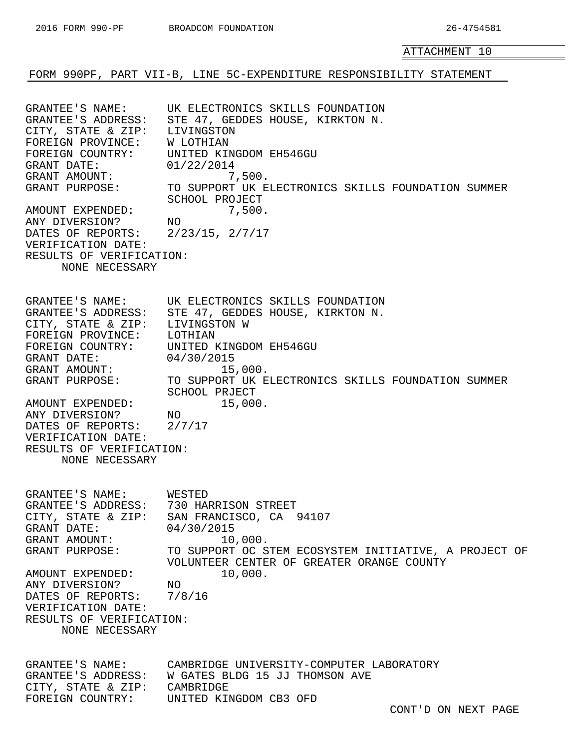<span id="page-29-0"></span>FORM 990PF, PART VII-B, LINE 5C-EXPENDITURE RESPONSIBILITY STATEMENT

GRANTEE'S NAME: UK ELECTRONICS SKILLS FOUNDATION GRANTEE'S ADDRESS: STE 47, GEDDES HOUSE, KIRKTON N. CITY, STATE & ZIP: LIVINGSTON FOREIGN PROVINCE: W LOTHIAN FOREIGN COUNTRY: UNITED KINGDOM EH546GU GRANT DATE: 01/22/2014 GRANT AMOUNT:  $7,500$ . GRANT PURPOSE: TO SUPPORT UK ELECTRONICS SKILLS FOUNDATION SUMMER SCHOOL PROJECT AMOUNT EXPENDED: 7,500. ANY DIVERSION? NO DATES OF REPORTS: 2/23/15, 2/7/17 VERIFICATION DATE: RESULTS OF VERIFICATION: NONE NECESSARY GRANTEE'S NAME: UK ELECTRONICS SKILLS FOUNDATION GRANTEE'S ADDRESS: STE 47, GEDDES HOUSE, KIRKTON N. CITY, STATE & ZIP: LIVINGSTON W FOREIGN PROVINCE: LOTHIAN FOREIGN COUNTRY: UNITED KINGDOM EH546GU GRANT DATE: 04/30/2015 GRANT AMOUNT: 15,000.<br>GRANT PURPOSE: TO SUPPORT UK E TO SUPPORT UK ELECTRONICS SKILLS FOUNDATION SUMMER SCHOOL PRJECT AMOUNT EXPENDED: 15,000. ANY DIVERSION? NO DATES OF REPORTS: 2/7/17 VERIFICATION DATE: RESULTS OF VERIFICATION: NONE NECESSARY GRANTEE'S NAME: WESTED GRANTEE'S ADDRESS: 730 HARRISON STREET CITY, STATE & ZIP: SAN FRANCISCO, CA 94107 GRANT DATE: 04/30/2015 GRANT AMOUNT: 10,000.<br>GRANT PURPOSE: TO SUPPORT OC ST GRANT PURPOSE: TO SUPPORT OC STEM ECOSYSTEM INITIATIVE, A PROJECT OF VOLUNTEER CENTER OF GREATER ORANGE COUNTY AMOUNT EXPENDED: 10,000. ANY DIVERSION? NO DATES OF REPORTS: 7/8/16 VERIFICATION DATE: RESULTS OF VERIFICATION: NONE NECESSARY GRANTEE'S NAME: CAMBRIDGE UNIVERSITY-COMPUTER LABORATORY GRANTEE'S ADDRESS: W GATES BLDG 15 JJ THOMSON AVE CITY, STATE & ZIP: CAMBRIDGE FOREIGN COUNTRY: UNITED KINGDOM CB3 OFD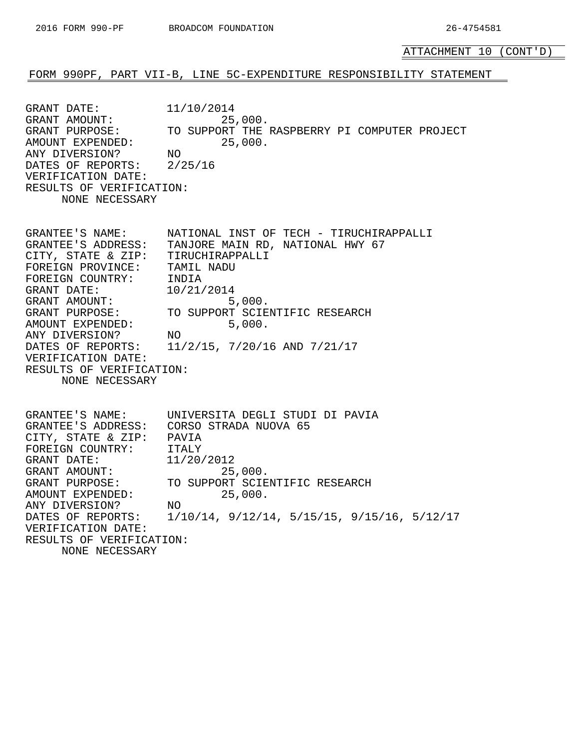ATTACHMENT 10 (CONT'D)

#### FORM 990PF, PART VII-B, LINE 5C-EXPENDITURE RESPONSIBILITY STATEMENT

GRANT DATE: 11/10/2014 GRANT AMOUNT: 25,000.<br>GRANT PURPOSE: TO SUPPORT THE TO SUPPORT THE RASPBERRY PI COMPUTER PROJECT AMOUNT EXPENDED: 25,000. ANY DIVERSION? NO DATES OF REPORTS: 2/25/16 VERIFICATION DATE: RESULTS OF VERIFICATION: NONE NECESSARY

GRANTEE'S NAME: NATIONAL INST OF TECH - TIRUCHIRAPPALLI GRANTEE'S ADDRESS: TANJORE MAIN RD, NATIONAL HWY 67 CITY, STATE & ZIP: TIRUCHIRAPPALLI FOREIGN PROVINCE: TAMIL NADU FOREIGN COUNTRY: INDIA GRANT DATE: 10/21/2014 GRANT AMOUNT: 5,000. GRANT PURPOSE: TO SUPPORT SCIENTIFIC RESEARCH AMOUNT EXPENDED: 5,000. ANY DIVERSION? NO DATES OF REPORTS: 11/2/15, 7/20/16 AND 7/21/17 VERIFICATION DATE: RESULTS OF VERIFICATION: NONE NECESSARY

GRANTEE'S NAME: UNIVERSITA DEGLI STUDI DI PAVIA GRANTEE'S ADDRESS: CORSO STRADA NUOVA 65 CITY, STATE & ZIP: PAVIA FOREIGN COUNTRY: ITALY GRANT DATE: 11/20/2012 GRANT AMOUNT: 25,000. GRANT PURPOSE: TO SUPPORT SCIENTIFIC RESEARCH AMOUNT EXPENDED: 25,000. ANY DIVERSION? NO DATES OF REPORTS: 1/10/14, 9/12/14, 5/15/15, 9/15/16, 5/12/17 VERIFICATION DATE: RESULTS OF VERIFICATION: NONE NECESSARY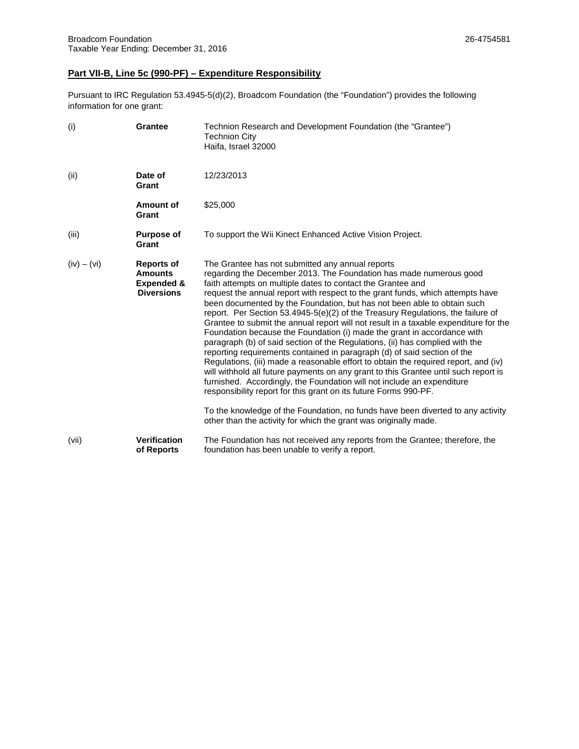#### **Part VII-B, Line 5c (990-PF) – Expenditure Responsibility**

Pursuant to IRC Regulation 53.4945-5(d)(2), Broadcom Foundation (the "Foundation") provides the following information for one grant:

| (i)           | <b>Grantee</b>                                                                    | Technion Research and Development Foundation (the "Grantee")<br><b>Technion City</b><br>Haifa, Israel 32000                                                                                                                                                                                                                                                                                                                                                                                                                                                                                                                                                                                                                                                                                                                                                                                                                                                                                                                                                                                                                                                                                                                                             |
|---------------|-----------------------------------------------------------------------------------|---------------------------------------------------------------------------------------------------------------------------------------------------------------------------------------------------------------------------------------------------------------------------------------------------------------------------------------------------------------------------------------------------------------------------------------------------------------------------------------------------------------------------------------------------------------------------------------------------------------------------------------------------------------------------------------------------------------------------------------------------------------------------------------------------------------------------------------------------------------------------------------------------------------------------------------------------------------------------------------------------------------------------------------------------------------------------------------------------------------------------------------------------------------------------------------------------------------------------------------------------------|
| (ii)          | Date of<br>Grant                                                                  | 12/23/2013                                                                                                                                                                                                                                                                                                                                                                                                                                                                                                                                                                                                                                                                                                                                                                                                                                                                                                                                                                                                                                                                                                                                                                                                                                              |
|               | Amount of<br>Grant                                                                | \$25,000                                                                                                                                                                                                                                                                                                                                                                                                                                                                                                                                                                                                                                                                                                                                                                                                                                                                                                                                                                                                                                                                                                                                                                                                                                                |
| (iii)         | <b>Purpose of</b><br>Grant                                                        | To support the Wii Kinect Enhanced Active Vision Project.                                                                                                                                                                                                                                                                                                                                                                                                                                                                                                                                                                                                                                                                                                                                                                                                                                                                                                                                                                                                                                                                                                                                                                                               |
| $(iv) - (vi)$ | <b>Reports of</b><br><b>Amounts</b><br><b>Expended &amp;</b><br><b>Diversions</b> | The Grantee has not submitted any annual reports<br>regarding the December 2013. The Foundation has made numerous good<br>faith attempts on multiple dates to contact the Grantee and<br>request the annual report with respect to the grant funds, which attempts have<br>been documented by the Foundation, but has not been able to obtain such<br>report. Per Section 53.4945-5(e)(2) of the Treasury Regulations, the failure of<br>Grantee to submit the annual report will not result in a taxable expenditure for the<br>Foundation because the Foundation (i) made the grant in accordance with<br>paragraph (b) of said section of the Regulations, (ii) has complied with the<br>reporting requirements contained in paragraph (d) of said section of the<br>Regulations, (iii) made a reasonable effort to obtain the required report, and (iv)<br>will withhold all future payments on any grant to this Grantee until such report is<br>furnished. Accordingly, the Foundation will not include an expenditure<br>responsibility report for this grant on its future Forms 990-PF.<br>To the knowledge of the Foundation, no funds have been diverted to any activity<br>other than the activity for which the grant was originally made. |
| (vii)         | <b>Verification</b><br>of Reports                                                 | The Foundation has not received any reports from the Grantee; therefore, the<br>foundation has been unable to verify a report.                                                                                                                                                                                                                                                                                                                                                                                                                                                                                                                                                                                                                                                                                                                                                                                                                                                                                                                                                                                                                                                                                                                          |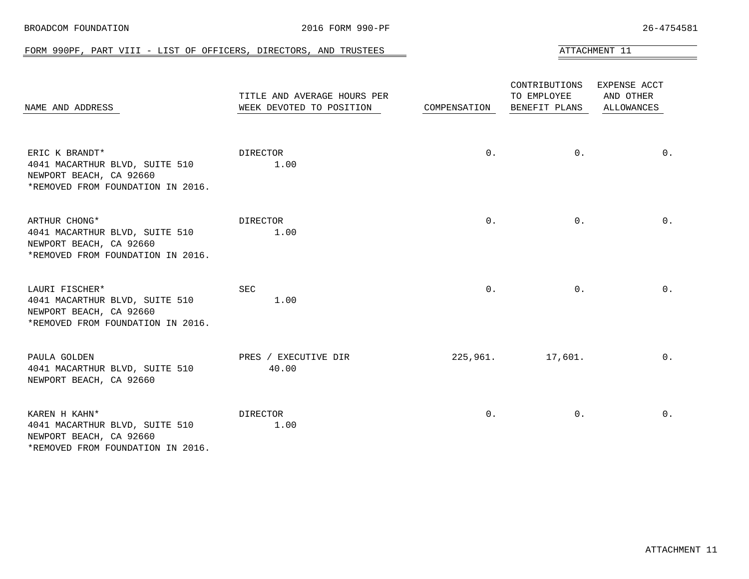<span id="page-32-0"></span>

| NAME AND ADDRESS                                                                                                 | TITLE AND AVERAGE HOURS PER<br>WEEK DEVOTED TO POSITION | COMPENSATION | CONTRIBUTIONS<br>TO EMPLOYEE<br>BENEFIT PLANS | EXPENSE ACCT<br>AND OTHER<br>ALLOWANCES |
|------------------------------------------------------------------------------------------------------------------|---------------------------------------------------------|--------------|-----------------------------------------------|-----------------------------------------|
| ERIC K BRANDT*<br>4041 MACARTHUR BLVD, SUITE 510<br>NEWPORT BEACH, CA 92660<br>*REMOVED FROM FOUNDATION IN 2016. | DIRECTOR<br>1.00                                        | $0$ .        | $0$ .                                         | $0$ .                                   |
| ARTHUR CHONG*<br>4041 MACARTHUR BLVD, SUITE 510<br>NEWPORT BEACH, CA 92660<br>*REMOVED FROM FOUNDATION IN 2016.  | DIRECTOR<br>1.00                                        | 0.           | $0$ .                                         | $0$ .                                   |
| LAURI FISCHER*<br>4041 MACARTHUR BLVD, SUITE 510<br>NEWPORT BEACH, CA 92660<br>*REMOVED FROM FOUNDATION IN 2016. | <b>SEC</b><br>1.00                                      | 0.           | $0$ .                                         | $0$ .                                   |
| PAULA GOLDEN<br>4041 MACARTHUR BLVD, SUITE 510<br>NEWPORT BEACH, CA 92660                                        | PRES / EXECUTIVE DIR<br>40.00                           | 225,961.     | 17,601.                                       | $0$ .                                   |
| KAREN H KAHN*<br>4041 MACARTHUR BLVD, SUITE 510<br>NEWPORT BEACH, CA 92660<br>*REMOVED FROM FOUNDATION IN 2016.  | DIRECTOR<br>1.00                                        | $0$ .        | 0 <sub>1</sub>                                | $0$ .                                   |

#### BROADCOM FOUNDATION 2016 FORM 990-PF 26-4754581

#### FORM 990PF, PART VIII - LIST OF OFFICERS, DIRECTORS, AND TRUSTEES ATTACHMENT 11

ATTACHMENT 11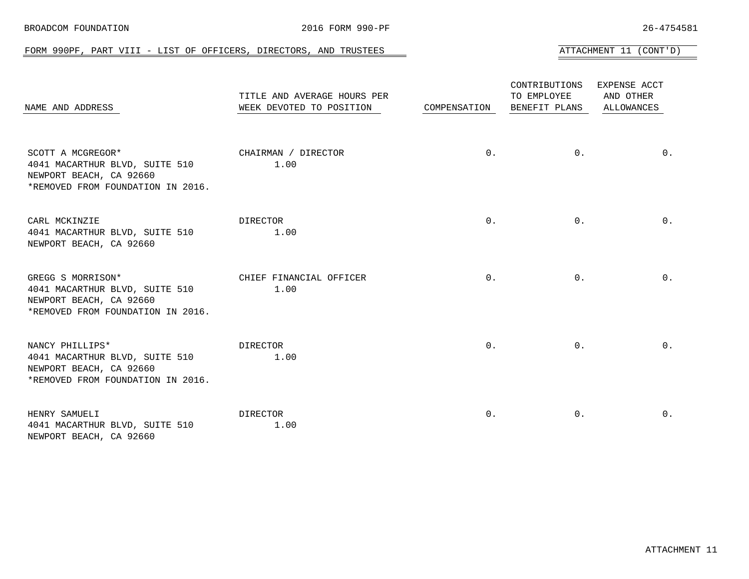| NAME AND ADDRESS                                                                                                                                      | TITLE AND AVERAGE HOURS PER<br>WEEK DEVOTED TO POSITION | COMPENSATION | CONTRIBUTIONS EXPENSE ACCT<br>TO EMPLOYEE<br>BENEFIT PLANS | AND OTHER<br>ALLOWANCES |
|-------------------------------------------------------------------------------------------------------------------------------------------------------|---------------------------------------------------------|--------------|------------------------------------------------------------|-------------------------|
| SCOTT A MCGREGOR* CHAIRMAN / DIRECTOR<br>4041 MACARTHUR BLVD, SUITE 510<br>NEWPORT BEACH, CA 92660<br>*REMOVED FROM FOUNDATION IN 2016.               | 1.00                                                    | $0$ .        | 0.                                                         | $0$ .                   |
| CARL MCKINZIE<br>4041 MACARTHUR BLVD, SUITE 510 1.00<br>NEWPORT BEACH, CA 92660                                                                       | DIRECTOR                                                | $0$ .        | $0$ .                                                      | $0$ .                   |
| GREGG S MORRISON* THE STATE CHIEF FINANCIAL OFFICER<br>4041 MACARTHUR BLVD, SUITE 510<br>NEWPORT BEACH, CA 92660<br>*REMOVED FROM FOUNDATION IN 2016. | 1.00                                                    | 0.           | 0.                                                         | 0.                      |
| NANCY PHILLIPS*<br>4041 MACARTHUR BLVD, SUITE 510 1.00<br>NEWPORT BEACH, CA 92660<br>*REMOVED FROM FOUNDATION IN 2016.                                | DIRECTOR                                                | $0$ .        | 0.                                                         | 0.                      |
| HENRY SAMUELI<br>4041 MACARTHUR BLVD, SUITE 510                                                                                                       | DIRECTOR<br>1.00                                        | 0.           | $0$ .                                                      | 0.                      |

#### FORM 990PF, PART VIII - LIST OF OFFICERS, DIRECTORS, AND TRUSTEES AND AND ATTACHMENT 11 (CONT'D)

NEWPORT BEACH, CA 92660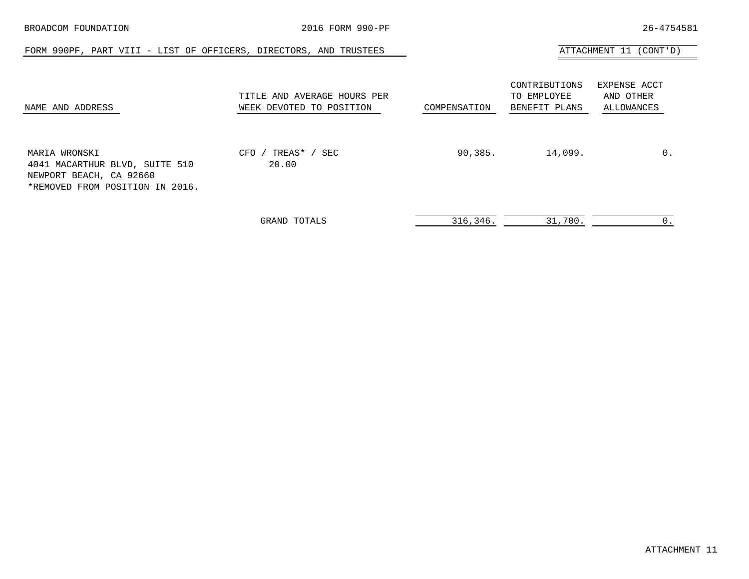| BROADCOM FOUNDATION                                                                                           | 2016 FORM 990-PF                                        |              |                                               | 26-4754581                              |
|---------------------------------------------------------------------------------------------------------------|---------------------------------------------------------|--------------|-----------------------------------------------|-----------------------------------------|
| FORM 990PF, PART VIII - LIST OF OFFICERS, DIRECTORS, AND TRUSTEES                                             |                                                         |              |                                               | ATTACHMENT 11 (CONT'D)                  |
| NAME AND ADDRESS                                                                                              | TITLE AND AVERAGE HOURS PER<br>WEEK DEVOTED TO POSITION | COMPENSATION | CONTRIBUTIONS<br>TO EMPLOYEE<br>BENEFIT PLANS | EXPENSE ACCT<br>AND OTHER<br>ALLOWANCES |
| MARIA WRONSKI<br>4041 MACARTHUR BLVD, SUITE 510<br>NEWPORT BEACH, CA 92660<br>*REMOVED FROM POSITION IN 2016. | TREAS* / SEC<br>CFO /<br>20.00                          | 90,385.      | 14,099.                                       | $0$ .                                   |
|                                                                                                               | GRAND TOTALS                                            | 316,346.     | 31,700.                                       | 0.                                      |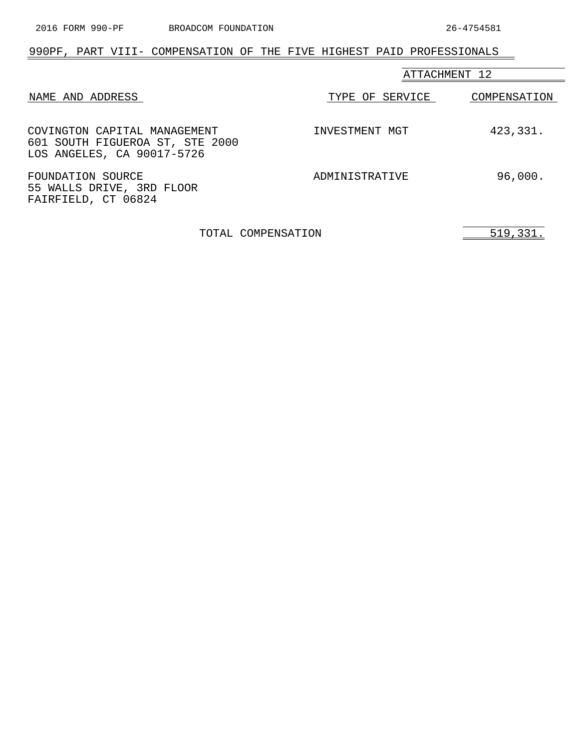### <span id="page-35-0"></span>990PF, PART VIII- COMPENSATION OF THE FIVE HIGHEST PAID PROFESSIONALS

|                                                                                               | ATTACHMENT 12   |              |  |
|-----------------------------------------------------------------------------------------------|-----------------|--------------|--|
| NAME AND ADDRESS                                                                              | TYPE OF SERVICE | COMPENSATION |  |
| COVINGTON CAPITAL MANAGEMENT<br>601 SOUTH FIGUEROA ST, STE 2000<br>LOS ANGELES, CA 90017-5726 | INVESTMENT MGT  | 423,331.     |  |
| FOUNDATION SOURCE<br>55 WALLS DRIVE, 3RD FLOOR<br>FAIRFIELD, CT 06824                         | ADMINISTRATIVE  | 96,000.      |  |

TOTAL COMPENSATION 519,331.

 $\overline{\phantom{0}}$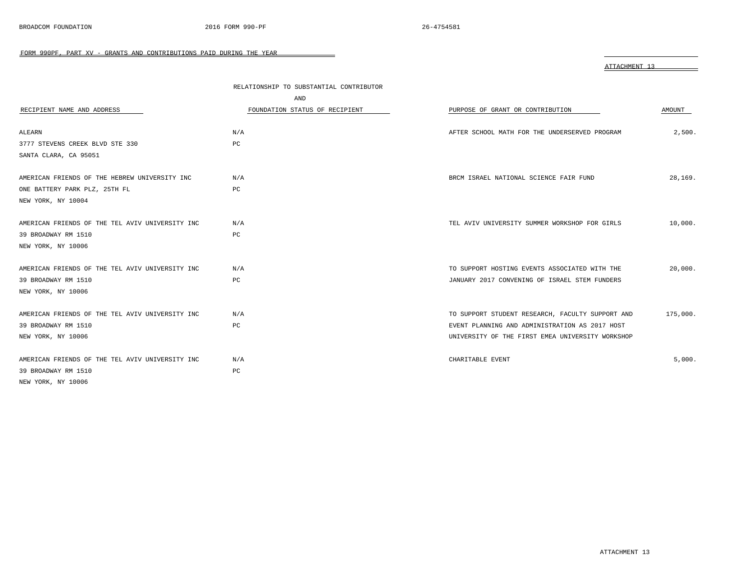<span id="page-36-0"></span>

|                                                 | RELATIONSHIP TO SUBSTANTIAL CONTRIBUTOR<br>AND |                                                  |          |
|-------------------------------------------------|------------------------------------------------|--------------------------------------------------|----------|
| RECIPIENT NAME AND ADDRESS                      | FOUNDATION STATUS OF RECIPIENT                 | PURPOSE OF GRANT OR CONTRIBUTION                 | AMOUNT   |
| ALEARN                                          | N/A                                            | AFTER SCHOOL MATH FOR THE UNDERSERVED PROGRAM    | 2,500.   |
| 3777 STEVENS CREEK BLVD STE 330                 | PC                                             |                                                  |          |
| SANTA CLARA, CA 95051                           |                                                |                                                  |          |
| AMERICAN FRIENDS OF THE HEBREW UNIVERSITY INC   | N/A                                            | BRCM ISRAEL NATIONAL SCIENCE FAIR FUND           | 28,169.  |
| ONE BATTERY PARK PLZ, 25TH FL                   | PC                                             |                                                  |          |
| NEW YORK, NY 10004                              |                                                |                                                  |          |
| AMERICAN FRIENDS OF THE TEL AVIV UNIVERSITY INC | N/A                                            | TEL AVIV UNIVERSITY SUMMER WORKSHOP FOR GIRLS    | 10,000.  |
| 39 BROADWAY RM 1510                             | PC                                             |                                                  |          |
| NEW YORK, NY 10006                              |                                                |                                                  |          |
| AMERICAN FRIENDS OF THE TEL AVIV UNIVERSITY INC | N/A                                            | TO SUPPORT HOSTING EVENTS ASSOCIATED WITH THE    | 20,000.  |
| 39 BROADWAY RM 1510                             | PC                                             | JANUARY 2017 CONVENING OF ISRAEL STEM FUNDERS    |          |
| NEW YORK, NY 10006                              |                                                |                                                  |          |
| AMERICAN FRIENDS OF THE TEL AVIV UNIVERSITY INC | N/A                                            | TO SUPPORT STUDENT RESEARCH, FACULTY SUPPORT AND | 175,000. |
| 39 BROADWAY RM 1510                             | PC                                             | EVENT PLANNING AND ADMINISTRATION AS 2017 HOST   |          |
| NEW YORK, NY 10006                              |                                                | UNIVERSITY OF THE FIRST EMEA UNIVERSITY WORKSHOP |          |
| AMERICAN FRIENDS OF THE TEL AVIV UNIVERSITY INC | N/A                                            | CHARITABLE EVENT                                 | 5.000.   |
| 39 BROADWAY RM 1510                             | PC                                             |                                                  |          |
| NEW YORK, NY 10006                              |                                                |                                                  |          |

ATTACHMENT 13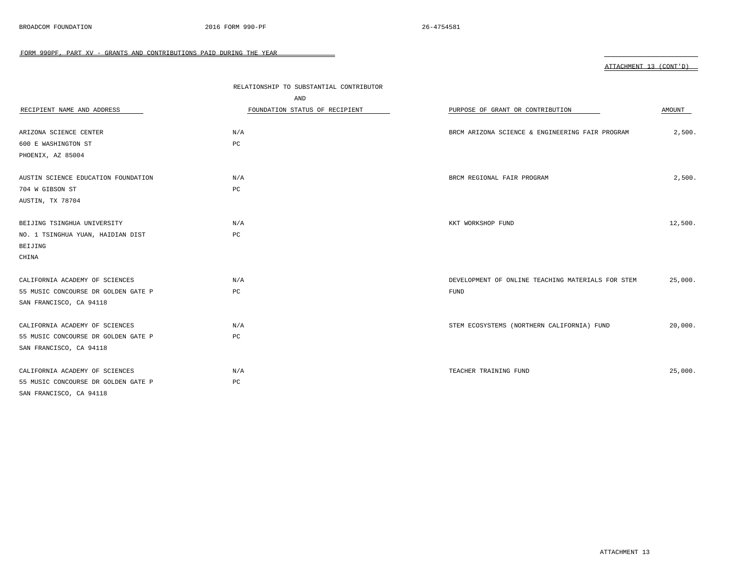|                                     | RELATIONSHIP TO SUBSTANTIAL CONTRIBUTOR |                                                   |         |
|-------------------------------------|-----------------------------------------|---------------------------------------------------|---------|
|                                     | AND                                     |                                                   |         |
| RECIPIENT NAME AND ADDRESS          | FOUNDATION STATUS OF RECIPIENT          | PURPOSE OF GRANT OR CONTRIBUTION                  | AMOUNT  |
|                                     |                                         |                                                   |         |
| ARIZONA SCIENCE CENTER              | N/A                                     | BRCM ARIZONA SCIENCE & ENGINEERING FAIR PROGRAM   | 2,500.  |
| 600 E WASHINGTON ST                 | PC                                      |                                                   |         |
| PHOENIX, AZ 85004                   |                                         |                                                   |         |
|                                     |                                         |                                                   |         |
| AUSTIN SCIENCE EDUCATION FOUNDATION | N/A                                     | BRCM REGIONAL FAIR PROGRAM                        | 2,500.  |
| 704 W GIBSON ST                     | PC                                      |                                                   |         |
| AUSTIN, TX 78704                    |                                         |                                                   |         |
|                                     |                                         |                                                   |         |
| BEIJING TSINGHUA UNIVERSITY         | N/A                                     | KKT WORKSHOP FUND                                 | 12,500. |
| NO. 1 TSINGHUA YUAN, HAIDIAN DIST   | PC                                      |                                                   |         |
| BEIJING                             |                                         |                                                   |         |
| CHINA                               |                                         |                                                   |         |
| CALIFORNIA ACADEMY OF SCIENCES      | N/A                                     | DEVELOPMENT OF ONLINE TEACHING MATERIALS FOR STEM | 25,000. |
| 55 MUSIC CONCOURSE DR GOLDEN GATE P | PC                                      | <b>FUND</b>                                       |         |
| SAN FRANCISCO, CA 94118             |                                         |                                                   |         |
|                                     |                                         |                                                   |         |
| CALIFORNIA ACADEMY OF SCIENCES      | N/A                                     | STEM ECOSYSTEMS (NORTHERN CALIFORNIA) FUND        | 20,000. |
| 55 MUSIC CONCOURSE DR GOLDEN GATE P | PC                                      |                                                   |         |
| SAN FRANCISCO, CA 94118             |                                         |                                                   |         |
|                                     |                                         |                                                   |         |
| CALIFORNIA ACADEMY OF SCIENCES      | N/A                                     | TEACHER TRAINING FUND                             | 25,000. |
| 55 MUSIC CONCOURSE DR GOLDEN GATE P | PC                                      |                                                   |         |
| SAN FRANCISCO, CA 94118             |                                         |                                                   |         |

 $\overline{\phantom{0}}$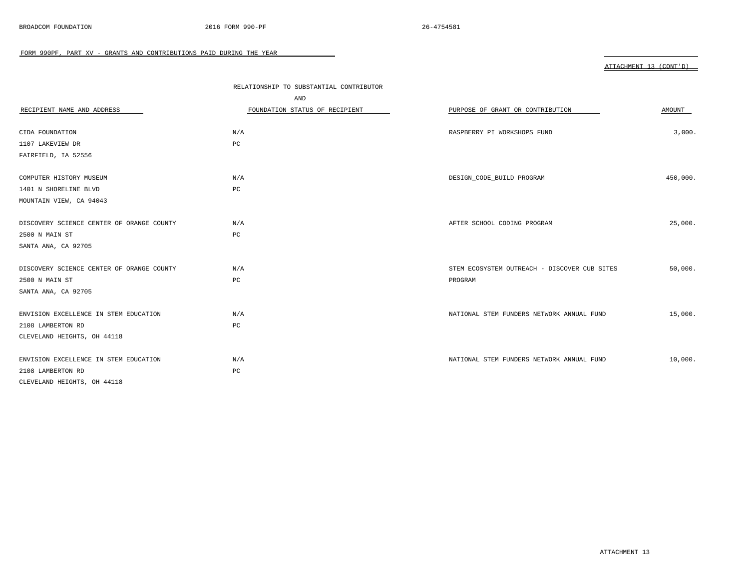|                                           | RELATIONSHIP TO SUBSTANTIAL CONTRIBUTOR |                                              |          |
|-------------------------------------------|-----------------------------------------|----------------------------------------------|----------|
|                                           | AND                                     |                                              |          |
| RECIPIENT NAME AND ADDRESS                | FOUNDATION STATUS OF RECIPIENT          | PURPOSE OF GRANT OR CONTRIBUTION             | AMOUNT   |
|                                           |                                         |                                              |          |
| CIDA FOUNDATION                           | N/A                                     | RASPBERRY PI WORKSHOPS FUND                  | 3,000.   |
| 1107 LAKEVIEW DR                          | PC                                      |                                              |          |
| FAIRFIELD, IA 52556                       |                                         |                                              |          |
|                                           |                                         |                                              |          |
| COMPUTER HISTORY MUSEUM                   | N/A                                     | DESIGN_CODE_BUILD PROGRAM                    | 450,000. |
| 1401 N SHORELINE BLVD                     | PC                                      |                                              |          |
| MOUNTAIN VIEW, CA 94043                   |                                         |                                              |          |
|                                           |                                         |                                              |          |
| DISCOVERY SCIENCE CENTER OF ORANGE COUNTY | N/A                                     | AFTER SCHOOL CODING PROGRAM                  | 25,000.  |
| 2500 N MAIN ST                            | PC                                      |                                              |          |
| SANTA ANA, CA 92705                       |                                         |                                              |          |
|                                           |                                         |                                              |          |
| DISCOVERY SCIENCE CENTER OF ORANGE COUNTY | N/A                                     | STEM ECOSYSTEM OUTREACH - DISCOVER CUB SITES | 50,000.  |
| 2500 N MAIN ST                            | PC                                      | PROGRAM                                      |          |
| SANTA ANA, CA 92705                       |                                         |                                              |          |
|                                           |                                         |                                              |          |
| ENVISION EXCELLENCE IN STEM EDUCATION     | N/A                                     | NATIONAL STEM FUNDERS NETWORK ANNUAL FUND    | 15,000.  |
| 2108 LAMBERTON RD                         | PC                                      |                                              |          |
| CLEVELAND HEIGHTS, OH 44118               |                                         |                                              |          |
|                                           |                                         |                                              |          |
| ENVISION EXCELLENCE IN STEM EDUCATION     | N/A                                     | NATIONAL STEM FUNDERS NETWORK ANNUAL FUND    | 10,000.  |
| 2108 LAMBERTON RD                         | PC                                      |                                              |          |
| CLEVELAND HEIGHTS, OH 44118               |                                         |                                              |          |

 $\overline{\phantom{0}}$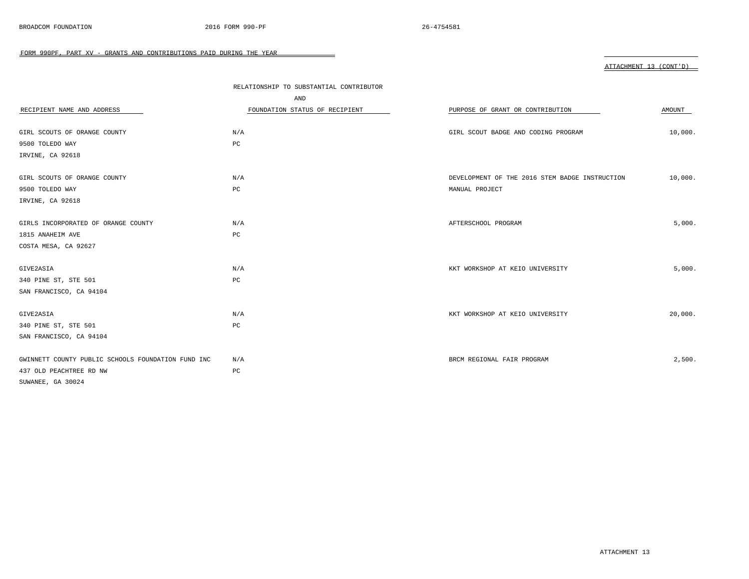|                                                    | RELATIONSHIP TO SUBSTANTIAL CONTRIBUTOR |                                                |         |  |
|----------------------------------------------------|-----------------------------------------|------------------------------------------------|---------|--|
|                                                    | AND                                     |                                                |         |  |
| RECIPIENT NAME AND ADDRESS                         | FOUNDATION STATUS OF RECIPIENT          | PURPOSE OF GRANT OR CONTRIBUTION               | AMOUNT  |  |
| GIRL SCOUTS OF ORANGE COUNTY                       | N/A                                     | GIRL SCOUT BADGE AND CODING PROGRAM            | 10,000. |  |
| 9500 TOLEDO WAY                                    | $_{\rm PC}$                             |                                                |         |  |
| IRVINE, CA 92618                                   |                                         |                                                |         |  |
| GIRL SCOUTS OF ORANGE COUNTY                       | N/A                                     | DEVELOPMENT OF THE 2016 STEM BADGE INSTRUCTION | 10,000. |  |
| 9500 TOLEDO WAY                                    | $_{\rm PC}$                             | MANUAL PROJECT                                 |         |  |
| IRVINE, CA 92618                                   |                                         |                                                |         |  |
| GIRLS INCORPORATED OF ORANGE COUNTY                | N/A                                     | AFTERSCHOOL PROGRAM                            | 5,000.  |  |
| 1815 ANAHEIM AVE                                   | PC                                      |                                                |         |  |
| COSTA MESA, CA 92627                               |                                         |                                                |         |  |
| GIVE2ASIA                                          | N/A                                     | KKT WORKSHOP AT KEIO UNIVERSITY                | 5,000.  |  |
| 340 PINE ST, STE 501                               | PC                                      |                                                |         |  |
| SAN FRANCISCO, CA 94104                            |                                         |                                                |         |  |
| GIVE2ASIA                                          | N/A                                     | KKT WORKSHOP AT KEIO UNIVERSITY                | 20,000. |  |
| 340 PINE ST, STE 501                               | PC                                      |                                                |         |  |
| SAN FRANCISCO, CA 94104                            |                                         |                                                |         |  |
| GWINNETT COUNTY PUBLIC SCHOOLS FOUNDATION FUND INC | N/A                                     | BRCM REGIONAL FAIR PROGRAM                     | 2,500.  |  |
| 437 OLD PEACHTREE RD NW                            | PC                                      |                                                |         |  |
| SUWANEE, GA 30024                                  |                                         |                                                |         |  |

 $\overline{\phantom{0}}$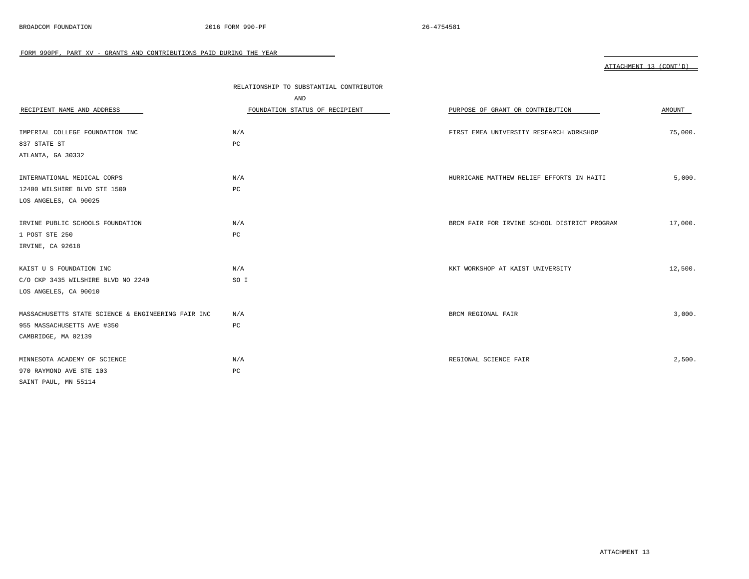|                                                    | RELATIONSHIP TO SUBSTANTIAL CONTRIBUTOR<br>AND |                                              |         |
|----------------------------------------------------|------------------------------------------------|----------------------------------------------|---------|
| RECIPIENT NAME AND ADDRESS                         | FOUNDATION STATUS OF RECIPIENT                 | PURPOSE OF GRANT OR CONTRIBUTION             | AMOUNT  |
| IMPERIAL COLLEGE FOUNDATION INC                    | N/A                                            | FIRST EMEA UNIVERSITY RESEARCH WORKSHOP      | 75,000. |
| 837 STATE ST                                       | PC                                             |                                              |         |
| ATLANTA, GA 30332                                  |                                                |                                              |         |
| INTERNATIONAL MEDICAL CORPS                        | N/A                                            | HURRICANE MATTHEW RELIEF EFFORTS IN HAITI    | 5,000.  |
| 12400 WILSHIRE BLVD STE 1500                       | PC                                             |                                              |         |
| LOS ANGELES, CA 90025                              |                                                |                                              |         |
| IRVINE PUBLIC SCHOOLS FOUNDATION                   | N/A                                            | BRCM FAIR FOR IRVINE SCHOOL DISTRICT PROGRAM | 17,000. |
| 1 POST STE 250                                     | PC                                             |                                              |         |
| IRVINE, CA 92618                                   |                                                |                                              |         |
| KAIST U S FOUNDATION INC                           | N/A                                            | KKT WORKSHOP AT KAIST UNIVERSITY             | 12,500. |
| C/O CKP 3435 WILSHIRE BLVD NO 2240                 | SO I                                           |                                              |         |
| LOS ANGELES, CA 90010                              |                                                |                                              |         |
| MASSACHUSETTS STATE SCIENCE & ENGINEERING FAIR INC | N/A                                            | BRCM REGIONAL FAIR                           | 3,000.  |
| 955 MASSACHUSETTS AVE #350                         | PC                                             |                                              |         |
| CAMBRIDGE, MA 02139                                |                                                |                                              |         |
| MINNESOTA ACADEMY OF SCIENCE                       | N/A                                            | REGIONAL SCIENCE FAIR                        | 2,500.  |
| 970 RAYMOND AVE STE 103                            | $_{\rm PC}$                                    |                                              |         |
| SAINT PAUL, MN 55114                               |                                                |                                              |         |

 $\overline{\phantom{0}}$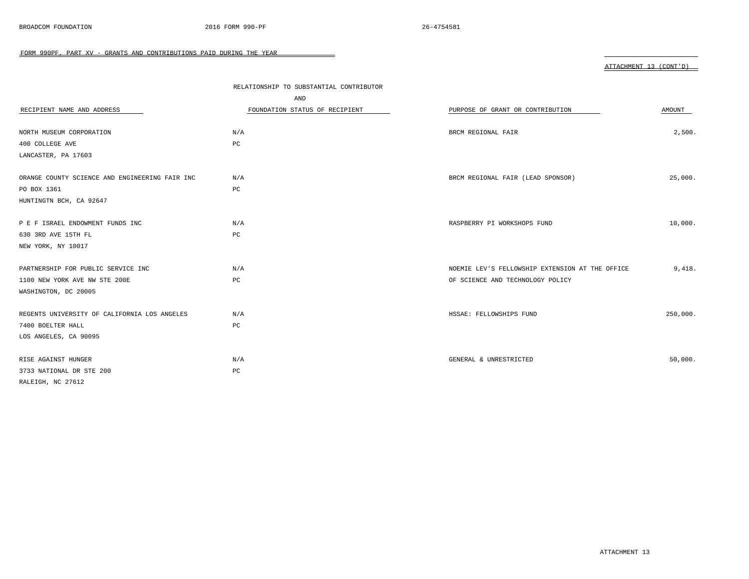|                                                | RELATIONSHIP TO SUBSTANTIAL CONTRIBUTOR |                                                 |          |
|------------------------------------------------|-----------------------------------------|-------------------------------------------------|----------|
|                                                | AND                                     |                                                 |          |
| RECIPIENT NAME AND ADDRESS                     | FOUNDATION STATUS OF RECIPIENT          | PURPOSE OF GRANT OR CONTRIBUTION                | AMOUNT   |
|                                                |                                         |                                                 |          |
| NORTH MUSEUM CORPORATION                       | N/A                                     | BRCM REGIONAL FAIR                              | 2,500.   |
| 400 COLLEGE AVE                                | $_{\rm PC}$                             |                                                 |          |
| LANCASTER, PA 17603                            |                                         |                                                 |          |
| ORANGE COUNTY SCIENCE AND ENGINEERING FAIR INC | N/A                                     | BRCM REGIONAL FAIR (LEAD SPONSOR)               | 25,000.  |
| PO BOX 1361                                    | PC                                      |                                                 |          |
| HUNTINGTN BCH, CA 92647                        |                                         |                                                 |          |
| P E F ISRAEL ENDOWMENT FUNDS INC               | N/A                                     | RASPBERRY PI WORKSHOPS FUND                     | 10,000.  |
| 630 3RD AVE 15TH FL                            | PC                                      |                                                 |          |
| NEW YORK, NY 10017                             |                                         |                                                 |          |
|                                                |                                         |                                                 |          |
| PARTNERSHIP FOR PUBLIC SERVICE INC             | N/A                                     | NOEMIE LEV'S FELLOWSHIP EXTENSION AT THE OFFICE | 9,418.   |
| 1100 NEW YORK AVE NW STE 200E                  | $_{\rm PC}$                             | OF SCIENCE AND TECHNOLOGY POLICY                |          |
| WASHINGTON, DC 20005                           |                                         |                                                 |          |
| REGENTS UNIVERSITY OF CALIFORNIA LOS ANGELES   | N/A                                     | HSSAE: FELLOWSHIPS FUND                         | 250,000. |
| 7400 BOELTER HALL                              | PC                                      |                                                 |          |
| LOS ANGELES, CA 90095                          |                                         |                                                 |          |
| RISE AGAINST HUNGER                            | N/A                                     | GENERAL & UNRESTRICTED                          | 50,000.  |
| 3733 NATIONAL DR STE 200                       | $_{\rm PC}$                             |                                                 |          |
| RALEIGH, NC 27612                              |                                         |                                                 |          |

 $\overline{\phantom{0}}$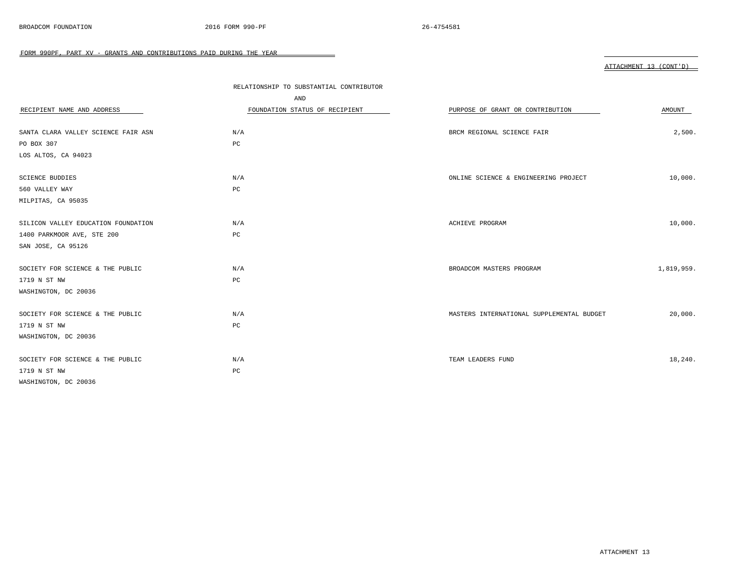|                                     | RELATIONSHIP TO SUBSTANTIAL CONTRIBUTOR |                                           |            |
|-------------------------------------|-----------------------------------------|-------------------------------------------|------------|
|                                     | AND                                     |                                           |            |
| RECIPIENT NAME AND ADDRESS          | FOUNDATION STATUS OF RECIPIENT          | PURPOSE OF GRANT OR CONTRIBUTION          | AMOUNT     |
| SANTA CLARA VALLEY SCIENCE FAIR ASN | N/A                                     | BRCM REGIONAL SCIENCE FAIR                | 2,500.     |
| PO BOX 307                          | $_{\rm PC}$                             |                                           |            |
| LOS ALTOS, CA 94023                 |                                         |                                           |            |
| SCIENCE BUDDIES                     | N/A                                     | ONLINE SCIENCE & ENGINEERING PROJECT      | 10,000.    |
| 560 VALLEY WAY                      | PC                                      |                                           |            |
| MILPITAS, CA 95035                  |                                         |                                           |            |
| SILICON VALLEY EDUCATION FOUNDATION | N/A                                     | ACHIEVE PROGRAM                           | 10,000.    |
| 1400 PARKMOOR AVE, STE 200          | PC                                      |                                           |            |
| SAN JOSE, CA 95126                  |                                         |                                           |            |
| SOCIETY FOR SCIENCE & THE PUBLIC    | N/A                                     | BROADCOM MASTERS PROGRAM                  | 1,819,959. |
| 1719 N ST NW                        | PC                                      |                                           |            |
| WASHINGTON, DC 20036                |                                         |                                           |            |
| SOCIETY FOR SCIENCE & THE PUBLIC    | N/A                                     | MASTERS INTERNATIONAL SUPPLEMENTAL BUDGET | 20,000.    |
| 1719 N ST NW                        | PC                                      |                                           |            |
| WASHINGTON, DC 20036                |                                         |                                           |            |
| SOCIETY FOR SCIENCE & THE PUBLIC    | N/A                                     | TEAM LEADERS FUND                         | 18,240.    |
| 1719 N ST NW                        | PC                                      |                                           |            |
| WASHINGTON, DC 20036                |                                         |                                           |            |

 $\overline{\phantom{0}}$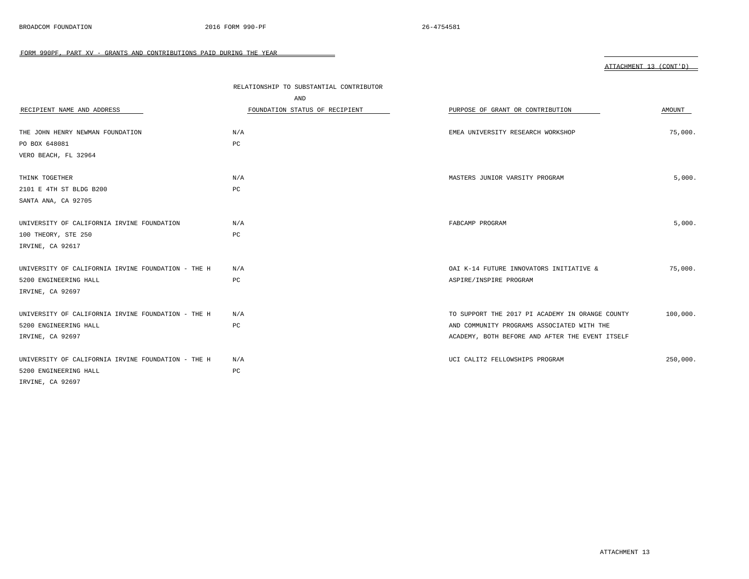|                                                    | RELATIONSHIP TO SUBSTANTIAL CONTRIBUTOR |                                                 |          |
|----------------------------------------------------|-----------------------------------------|-------------------------------------------------|----------|
|                                                    | AND                                     |                                                 |          |
| RECIPIENT NAME AND ADDRESS                         | FOUNDATION STATUS OF RECIPIENT          | PURPOSE OF GRANT OR CONTRIBUTION                | AMOUNT   |
| THE JOHN HENRY NEWMAN FOUNDATION                   | N/A                                     | EMEA UNIVERSITY RESEARCH WORKSHOP               | 75,000.  |
| PO BOX 648081                                      | PC                                      |                                                 |          |
| VERO BEACH, FL 32964                               |                                         |                                                 |          |
| THINK TOGETHER                                     | N/A                                     | MASTERS JUNIOR VARSITY PROGRAM                  | 5,000.   |
| 2101 E 4TH ST BLDG B200                            | PC                                      |                                                 |          |
| SANTA ANA, CA 92705                                |                                         |                                                 |          |
| UNIVERSITY OF CALIFORNIA IRVINE FOUNDATION         | N/A                                     | FABCAMP PROGRAM                                 | 5,000.   |
| 100 THEORY, STE 250                                | PC                                      |                                                 |          |
| IRVINE, CA 92617                                   |                                         |                                                 |          |
| UNIVERSITY OF CALIFORNIA IRVINE FOUNDATION - THE H | N/A                                     | OAI K-14 FUTURE INNOVATORS INITIATIVE &         | 75,000.  |
| 5200 ENGINEERING HALL                              | PC                                      | ASPIRE/INSPIRE PROGRAM                          |          |
| IRVINE, CA 92697                                   |                                         |                                                 |          |
| UNIVERSITY OF CALIFORNIA IRVINE FOUNDATION - THE H | N/A                                     | TO SUPPORT THE 2017 PI ACADEMY IN ORANGE COUNTY | 100,000. |
| 5200 ENGINEERING HALL                              | PC                                      | AND COMMUNITY PROGRAMS ASSOCIATED WITH THE      |          |
| IRVINE, CA 92697                                   |                                         | ACADEMY, BOTH BEFORE AND AFTER THE EVENT ITSELF |          |
| UNIVERSITY OF CALIFORNIA IRVINE FOUNDATION - THE H | N/A                                     | UCI CALIT2 FELLOWSHIPS PROGRAM                  | 250,000. |
| 5200 ENGINEERING HALL                              | PC                                      |                                                 |          |
| IRVINE, CA 92697                                   |                                         |                                                 |          |

 $\overline{\phantom{0}}$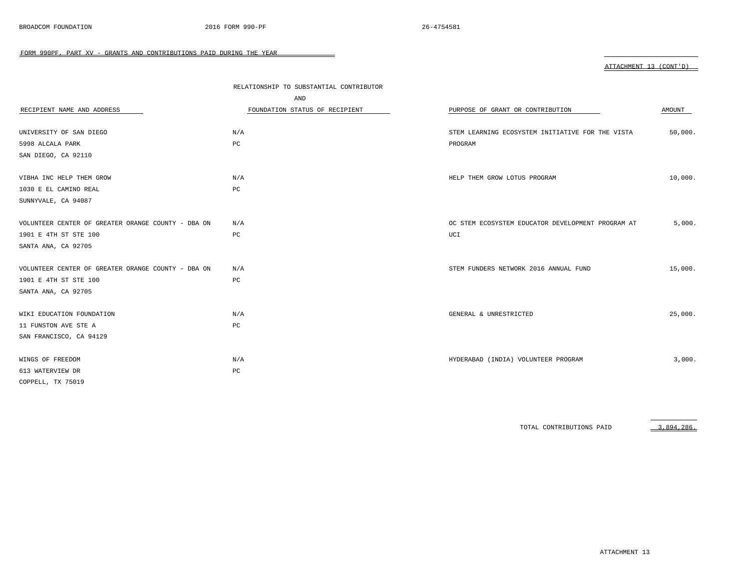|                                                    | RELATIONSHIP TO SUBSTANTIAL CONTRIBUTOR |                                                   |         |
|----------------------------------------------------|-----------------------------------------|---------------------------------------------------|---------|
|                                                    | AND                                     |                                                   |         |
| RECIPIENT NAME AND ADDRESS                         | FOUNDATION STATUS OF RECIPIENT          | PURPOSE OF GRANT OR CONTRIBUTION                  | AMOUNT  |
|                                                    |                                         |                                                   |         |
| UNIVERSITY OF SAN DIEGO                            | N/A                                     | STEM LEARNING ECOSYSTEM INITIATIVE FOR THE VISTA  | 50,000. |
| 5998 ALCALA PARK                                   | PC                                      | PROGRAM                                           |         |
| SAN DIEGO, CA 92110                                |                                         |                                                   |         |
|                                                    |                                         |                                                   |         |
| VIBHA INC HELP THEM GROW                           | N/A                                     | HELP THEM GROW LOTUS PROGRAM                      | 10,000. |
| 1030 E EL CAMINO REAL                              | PC                                      |                                                   |         |
| SUNNYVALE, CA 94087                                |                                         |                                                   |         |
|                                                    |                                         |                                                   |         |
| VOLUNTEER CENTER OF GREATER ORANGE COUNTY - DBA ON | N/A                                     | OC STEM ECOSYSTEM EDUCATOR DEVELOPMENT PROGRAM AT | 5,000.  |
| 1901 E 4TH ST STE 100                              | $_{\rm PC}$                             | UCI                                               |         |
| SANTA ANA, CA 92705                                |                                         |                                                   |         |
|                                                    |                                         |                                                   |         |
| VOLUNTEER CENTER OF GREATER ORANGE COUNTY - DBA ON | N/A                                     | STEM FUNDERS NETWORK 2016 ANNUAL FUND             | 15,000. |
| 1901 E 4TH ST STE 100                              | PC                                      |                                                   |         |
| SANTA ANA, CA 92705                                |                                         |                                                   |         |
|                                                    |                                         |                                                   |         |
| WIKI EDUCATION FOUNDATION                          | N/A                                     | GENERAL & UNRESTRICTED                            | 25,000. |
| 11 FUNSTON AVE STE A                               | PC                                      |                                                   |         |
| SAN FRANCISCO, CA 94129                            |                                         |                                                   |         |
|                                                    |                                         |                                                   |         |
| WINGS OF FREEDOM                                   | N/A                                     | HYDERABAD (INDIA) VOLUNTEER PROGRAM               | 3,000.  |
| 613 WATERVIEW DR                                   | PC                                      |                                                   |         |
| COPPELL, TX 75019                                  |                                         |                                                   |         |

TOTAL CONTRIBUTIONS PAID 3,894,286.